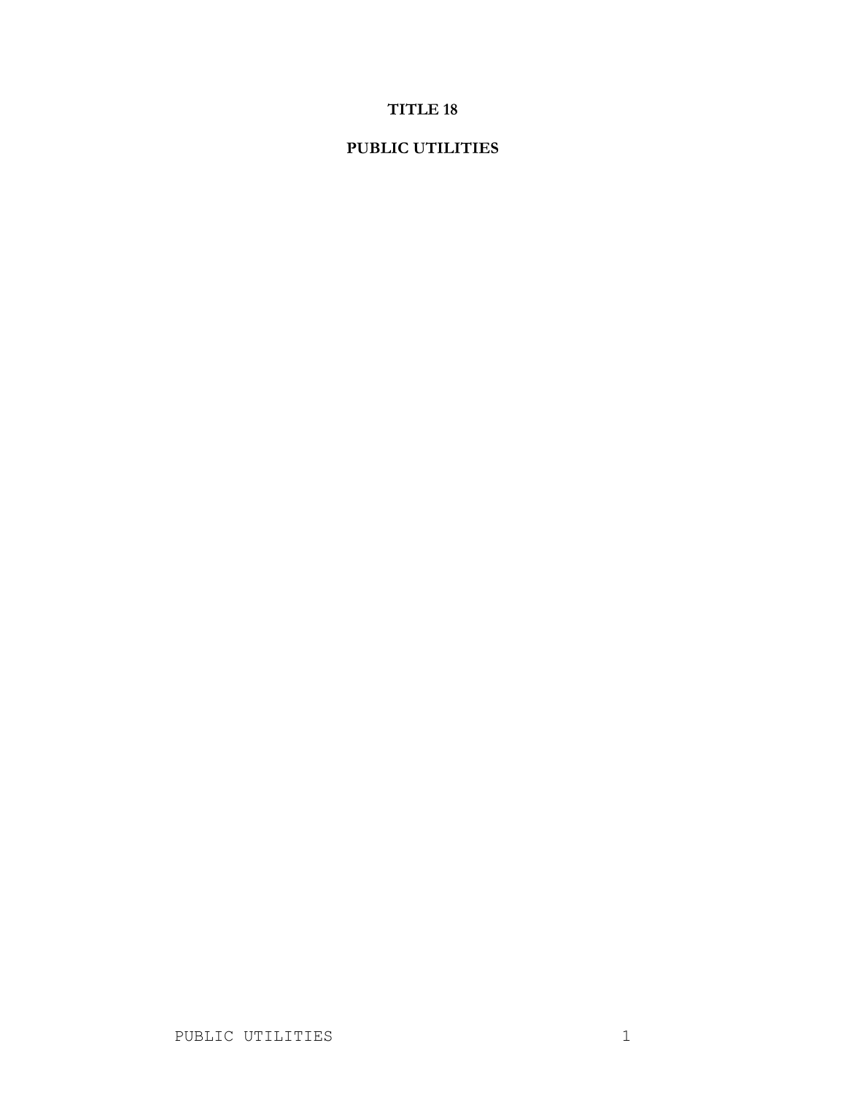# **TITLE 18**

# **PUBLIC UTILITIES**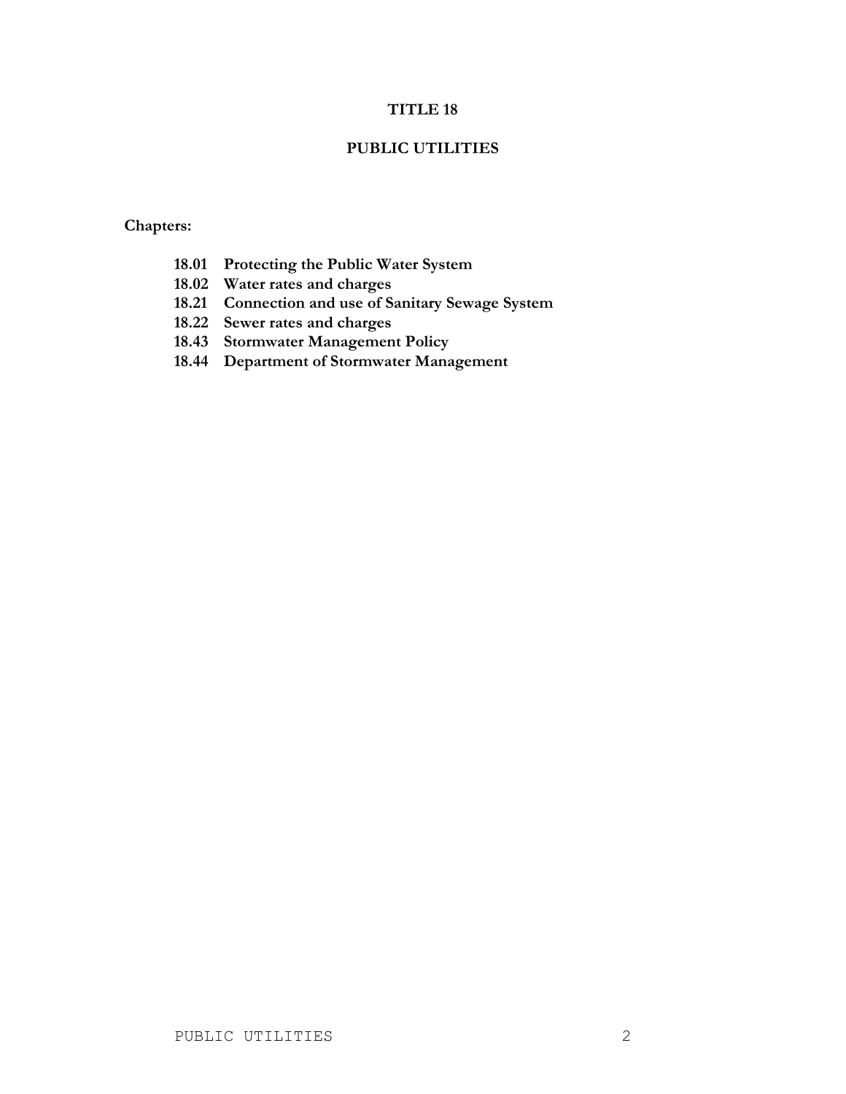### **TITLE 18**

#### **PUBLIC UTILITIES**

# **Chapters:**

- **18.01 Protecting the Public Water System**
- **18.02 Water rates and charges**
- **18.21 Connection and use of Sanitary Sewage System**
- **18.22 Sewer rates and charges**
- **18.43 Stormwater Management Policy**
- **18.44 Department of Stormwater Management**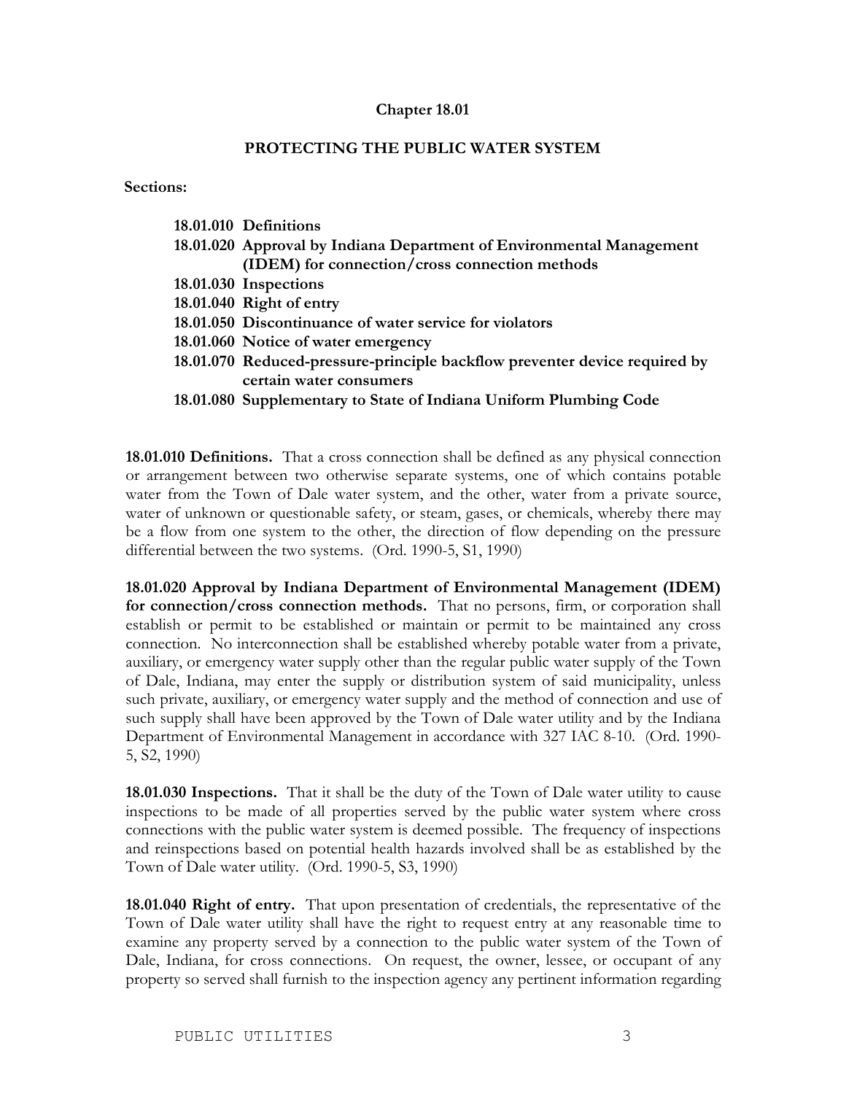#### **Chapter 18.01**

### **PROTECTING THE PUBLIC WATER SYSTEM**

**Sections:**

| 18.01.010 Definitions                                                      |
|----------------------------------------------------------------------------|
| 18.01.020 Approval by Indiana Department of Environmental Management       |
| (IDEM) for connection/cross connection methods                             |
| 18.01.030 Inspections                                                      |
| 18.01.040 Right of entry                                                   |
| 18.01.050 Discontinuance of water service for violators                    |
| 18.01.060 Notice of water emergency                                        |
| 18.01.070 Reduced-pressure-principle backflow preventer device required by |
| certain water consumers                                                    |

**18.01.080 Supplementary to State of Indiana Uniform Plumbing Code**

**18.01.010 Definitions.** That a cross connection shall be defined as any physical connection or arrangement between two otherwise separate systems, one of which contains potable water from the Town of Dale water system, and the other, water from a private source, water of unknown or questionable safety, or steam, gases, or chemicals, whereby there may be a flow from one system to the other, the direction of flow depending on the pressure differential between the two systems. (Ord. 1990-5, S1, 1990)

**18.01.020 Approval by Indiana Department of Environmental Management (IDEM) for connection/cross connection methods.** That no persons, firm, or corporation shall establish or permit to be established or maintain or permit to be maintained any cross connection. No interconnection shall be established whereby potable water from a private, auxiliary, or emergency water supply other than the regular public water supply of the Town of Dale, Indiana, may enter the supply or distribution system of said municipality, unless such private, auxiliary, or emergency water supply and the method of connection and use of such supply shall have been approved by the Town of Dale water utility and by the Indiana Department of Environmental Management in accordance with 327 IAC 8-10. (Ord. 1990- 5, S2, 1990)

**18.01.030 Inspections.** That it shall be the duty of the Town of Dale water utility to cause inspections to be made of all properties served by the public water system where cross connections with the public water system is deemed possible. The frequency of inspections and reinspections based on potential health hazards involved shall be as established by the Town of Dale water utility. (Ord. 1990-5, S3, 1990)

**18.01.040 Right of entry.** That upon presentation of credentials, the representative of the Town of Dale water utility shall have the right to request entry at any reasonable time to examine any property served by a connection to the public water system of the Town of Dale, Indiana, for cross connections. On request, the owner, lessee, or occupant of any property so served shall furnish to the inspection agency any pertinent information regarding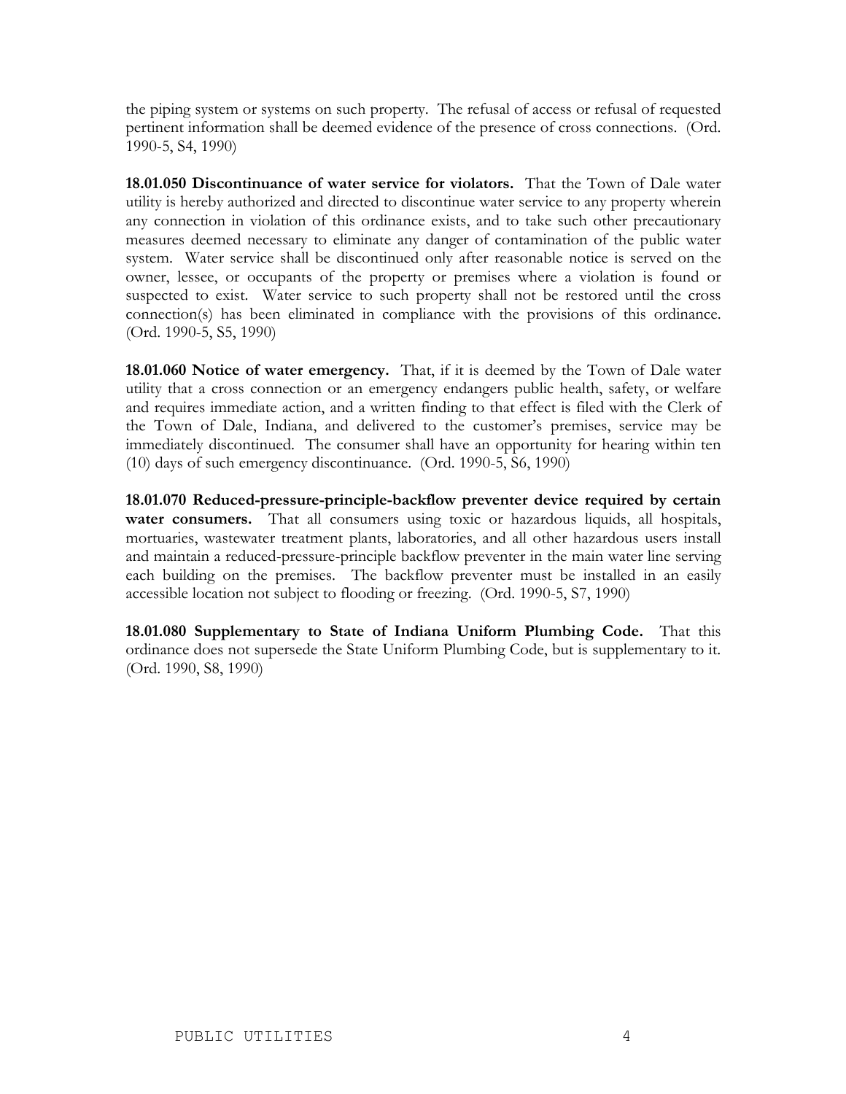the piping system or systems on such property. The refusal of access or refusal of requested pertinent information shall be deemed evidence of the presence of cross connections. (Ord. 1990-5, S4, 1990)

**18.01.050 Discontinuance of water service for violators.** That the Town of Dale water utility is hereby authorized and directed to discontinue water service to any property wherein any connection in violation of this ordinance exists, and to take such other precautionary measures deemed necessary to eliminate any danger of contamination of the public water system. Water service shall be discontinued only after reasonable notice is served on the owner, lessee, or occupants of the property or premises where a violation is found or suspected to exist. Water service to such property shall not be restored until the cross connection(s) has been eliminated in compliance with the provisions of this ordinance. (Ord. 1990-5, S5, 1990)

**18.01.060 Notice of water emergency.** That, if it is deemed by the Town of Dale water utility that a cross connection or an emergency endangers public health, safety, or welfare and requires immediate action, and a written finding to that effect is filed with the Clerk of the Town of Dale, Indiana, and delivered to the customer's premises, service may be immediately discontinued. The consumer shall have an opportunity for hearing within ten (10) days of such emergency discontinuance. (Ord. 1990-5, S6, 1990)

**18.01.070 Reduced-pressure-principle-backflow preventer device required by certain water consumers.** That all consumers using toxic or hazardous liquids, all hospitals, mortuaries, wastewater treatment plants, laboratories, and all other hazardous users install and maintain a reduced-pressure-principle backflow preventer in the main water line serving each building on the premises. The backflow preventer must be installed in an easily accessible location not subject to flooding or freezing. (Ord. 1990-5, S7, 1990)

**18.01.080 Supplementary to State of Indiana Uniform Plumbing Code.** That this ordinance does not supersede the State Uniform Plumbing Code, but is supplementary to it. (Ord. 1990, S8, 1990)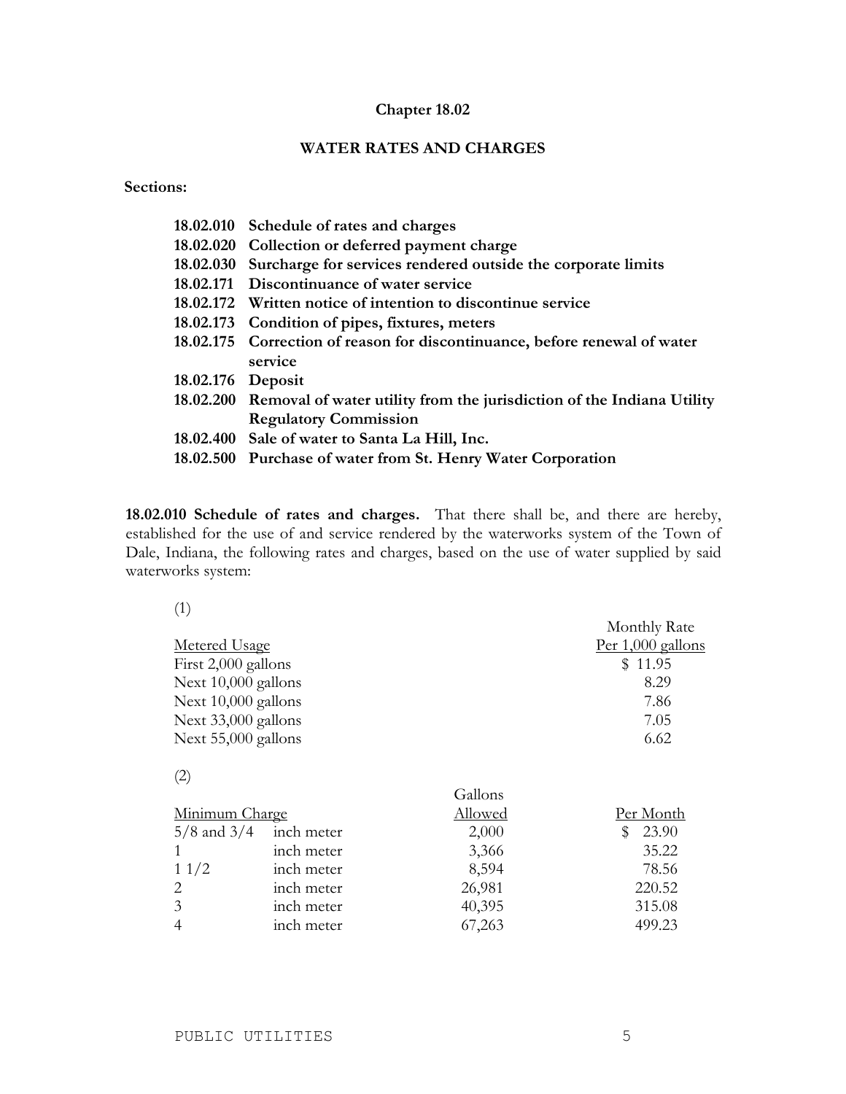#### **Chapter 18.02**

# **WATER RATES AND CHARGES**

**Sections:**

|                   | 18.02.010 Schedule of rates and charges                                         |
|-------------------|---------------------------------------------------------------------------------|
|                   | 18.02.020 Collection or deferred payment charge                                 |
|                   | 18.02.030 Surcharge for services rendered outside the corporate limits          |
|                   | 18.02.171 Discontinuance of water service                                       |
|                   | 18.02.172 Written notice of intention to discontinue service                    |
|                   | 18.02.173 Condition of pipes, fixtures, meters                                  |
|                   | 18.02.175 Correction of reason for discontinuance, before renewal of water      |
|                   | service                                                                         |
| 18.02.176 Deposit |                                                                                 |
|                   | 18.02.200 Removal of water utility from the jurisdiction of the Indiana Utility |
|                   | <b>Regulatory Commission</b>                                                    |
|                   | 18.02.400 Sale of water to Santa La Hill, Inc.                                  |
|                   | 18.02.500 Purchase of water from St. Henry Water Corporation                    |

**18.02.010 Schedule of rates and charges.** That there shall be, and there are hereby, established for the use of and service rendered by the waterworks system of the Town of Dale, Indiana, the following rates and charges, based on the use of water supplied by said waterworks system:

| (1)                   |            |                | Monthly Rate        |
|-----------------------|------------|----------------|---------------------|
| <b>Metered Usage</b>  |            |                | Per $1,000$ gallons |
| First 2,000 gallons   |            |                | \$11.95             |
| Next 10,000 gallons   |            |                | 8.29                |
| Next 10,000 gallons   |            |                | 7.86                |
| Next 33,000 gallons   |            |                | 7.05                |
| Next 55,000 gallons   |            |                | 6.62                |
| (2)                   |            |                |                     |
|                       |            | Gallons        |                     |
| <u>Minimum Charge</u> |            | <u>Allowed</u> | <u>Per Month</u>    |
| $5/8$ and $3/4$       | inch meter | 2,000          | \$<br>23.90         |
| 1                     | inch meter | 3,366          | 35.22               |
| 11/2                  | inch meter | 8,594          | 78.56               |
| 2                     | inch meter | 26,981         | 220.52              |
| 3                     | inch meter | 40,395         | 315.08              |
| $\overline{4}$        | inch meter | 67,263         | 499.23              |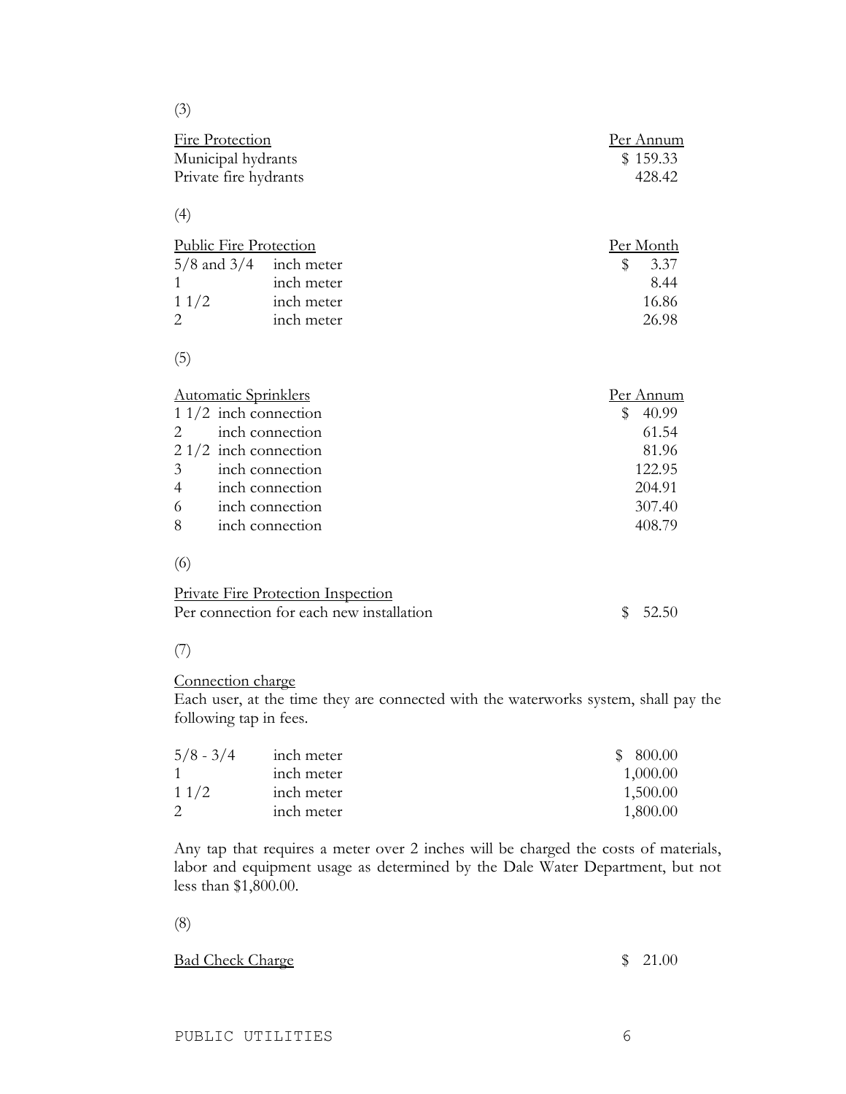(3)

| Fire Protection       | Per Annum |
|-----------------------|-----------|
| Municipal hydrants    | \$159.33  |
| Private fire hydrants | 428.42    |

# (4)

| Public Fire Protection     |            |     | Per Month |
|----------------------------|------------|-----|-----------|
| $5/8$ and $3/4$ inch meter |            | SS. | 3.37      |
|                            | inch meter |     | 844       |
| 11/2                       | inch meter |     | 16.86     |
|                            | inch meter |     | 26.98     |

# (5)

| <b>Automatic Sprinklers</b> |                 | Per Annum  |
|-----------------------------|-----------------|------------|
| $11/2$ inch connection      |                 | 40.99<br>5 |
| 2 <sup>1</sup>              | inch connection | 61.54      |
| $21/2$ inch connection      |                 | 81.96      |
| $\mathfrak{Z}$              | inch connection | 122.95     |
| $\overline{4}$              | inch connection | 204.91     |
| 6                           | inch connection | 307.40     |
| 8                           | inch connection | 408.79     |
|                             |                 |            |
|                             |                 |            |

| Private Fire Protection Inspection       |         |
|------------------------------------------|---------|
| Per connection for each new installation | \$52.50 |

# (7)

# Connection charge

Each user, at the time they are connected with the waterworks system, shall pay the following tap in fees.

| $5/8 - 3/4$ | inch meter | \$800.00 |
|-------------|------------|----------|
|             | inch meter | 1,000.00 |
| 11/2        | inch meter | 1,500.00 |
|             | inch meter | 1,800.00 |

Any tap that requires a meter over 2 inches will be charged the costs of materials, labor and equipment usage as determined by the Dale Water Department, but not less than \$1,800.00.

#### (8)

# Bad Check Charge \$ 21.00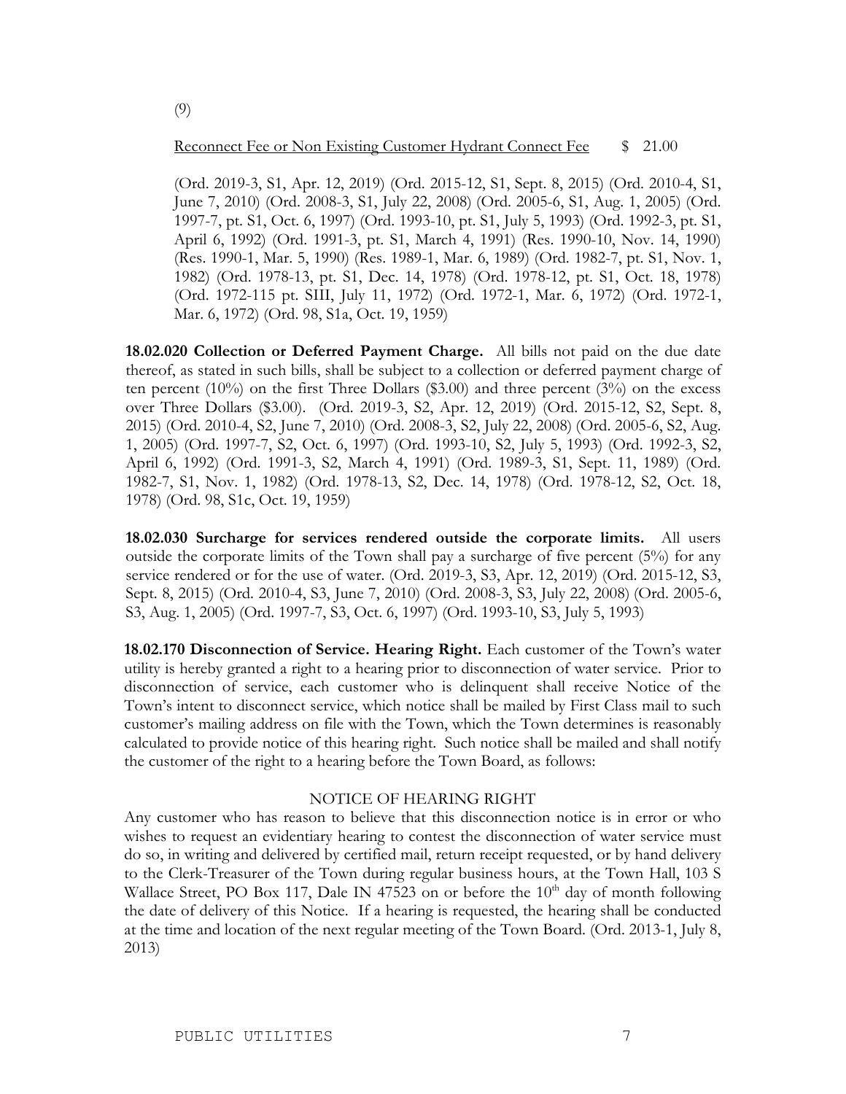#### Reconnect Fee or Non Existing Customer Hydrant Connect Fee \$ 21.00

(Ord. 2019-3, S1, Apr. 12, 2019) (Ord. 2015-12, S1, Sept. 8, 2015) (Ord. 2010-4, S1, June 7, 2010) (Ord. 2008-3, S1, July 22, 2008) (Ord. 2005-6, S1, Aug. 1, 2005) (Ord. 1997-7, pt. S1, Oct. 6, 1997) (Ord. 1993-10, pt. S1, July 5, 1993) (Ord. 1992-3, pt. S1, April 6, 1992) (Ord. 1991-3, pt. S1, March 4, 1991) (Res. 1990-10, Nov. 14, 1990) (Res. 1990-1, Mar. 5, 1990) (Res. 1989-1, Mar. 6, 1989) (Ord. 1982-7, pt. S1, Nov. 1, 1982) (Ord. 1978-13, pt. S1, Dec. 14, 1978) (Ord. 1978-12, pt. S1, Oct. 18, 1978) (Ord. 1972-115 pt. SIII, July 11, 1972) (Ord. 1972-1, Mar. 6, 1972) (Ord. 1972-1, Mar. 6, 1972) (Ord. 98, S1a, Oct. 19, 1959)

**18.02.020 Collection or Deferred Payment Charge.** All bills not paid on the due date thereof, as stated in such bills, shall be subject to a collection or deferred payment charge of ten percent  $(10\%)$  on the first Three Dollars (\$3.00) and three percent  $(3\%)$  on the excess over Three Dollars (\$3.00). (Ord. 2019-3, S2, Apr. 12, 2019) (Ord. 2015-12, S2, Sept. 8, 2015) (Ord. 2010-4, S2, June 7, 2010) (Ord. 2008-3, S2, July 22, 2008) (Ord. 2005-6, S2, Aug. 1, 2005) (Ord. 1997-7, S2, Oct. 6, 1997) (Ord. 1993-10, S2, July 5, 1993) (Ord. 1992-3, S2, April 6, 1992) (Ord. 1991-3, S2, March 4, 1991) (Ord. 1989-3, S1, Sept. 11, 1989) (Ord. 1982-7, S1, Nov. 1, 1982) (Ord. 1978-13, S2, Dec. 14, 1978) (Ord. 1978-12, S2, Oct. 18, 1978) (Ord. 98, S1c, Oct. 19, 1959)

**18.02.030 Surcharge for services rendered outside the corporate limits.** All users outside the corporate limits of the Town shall pay a surcharge of five percent (5%) for any service rendered or for the use of water. (Ord. 2019-3, S3, Apr. 12, 2019) (Ord. 2015-12, S3, Sept. 8, 2015) (Ord. 2010-4, S3, June 7, 2010) (Ord. 2008-3, S3, July 22, 2008) (Ord. 2005-6, S3, Aug. 1, 2005) (Ord. 1997-7, S3, Oct. 6, 1997) (Ord. 1993-10, S3, July 5, 1993)

**18.02.170 Disconnection of Service. Hearing Right.** Each customer of the Town's water utility is hereby granted a right to a hearing prior to disconnection of water service. Prior to disconnection of service, each customer who is delinquent shall receive Notice of the Town's intent to disconnect service, which notice shall be mailed by First Class mail to such customer's mailing address on file with the Town, which the Town determines is reasonably calculated to provide notice of this hearing right. Such notice shall be mailed and shall notify the customer of the right to a hearing before the Town Board, as follows:

#### NOTICE OF HEARING RIGHT

Any customer who has reason to believe that this disconnection notice is in error or who wishes to request an evidentiary hearing to contest the disconnection of water service must do so, in writing and delivered by certified mail, return receipt requested, or by hand delivery to the Clerk-Treasurer of the Town during regular business hours, at the Town Hall, 103 S Wallace Street, PO Box 117, Dale IN 47523 on or before the 10<sup>th</sup> day of month following the date of delivery of this Notice. If a hearing is requested, the hearing shall be conducted at the time and location of the next regular meeting of the Town Board. (Ord. 2013-1, July 8, 2013)

(9)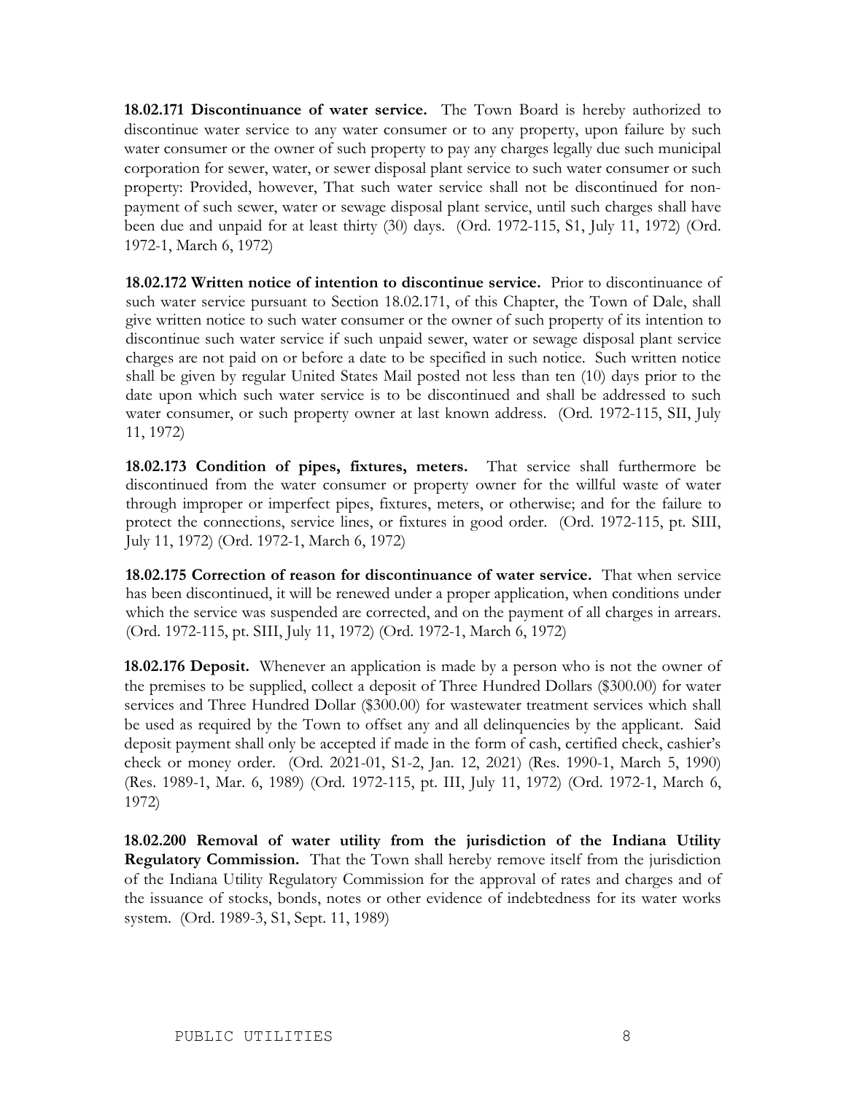**18.02.171 Discontinuance of water service.** The Town Board is hereby authorized to discontinue water service to any water consumer or to any property, upon failure by such water consumer or the owner of such property to pay any charges legally due such municipal corporation for sewer, water, or sewer disposal plant service to such water consumer or such property: Provided, however, That such water service shall not be discontinued for nonpayment of such sewer, water or sewage disposal plant service, until such charges shall have been due and unpaid for at least thirty (30) days. (Ord. 1972-115, S1, July 11, 1972) (Ord. 1972-1, March 6, 1972)

**18.02.172 Written notice of intention to discontinue service.** Prior to discontinuance of such water service pursuant to Section 18.02.171, of this Chapter, the Town of Dale, shall give written notice to such water consumer or the owner of such property of its intention to discontinue such water service if such unpaid sewer, water or sewage disposal plant service charges are not paid on or before a date to be specified in such notice. Such written notice shall be given by regular United States Mail posted not less than ten (10) days prior to the date upon which such water service is to be discontinued and shall be addressed to such water consumer, or such property owner at last known address. (Ord. 1972-115, SII, July 11, 1972)

**18.02.173 Condition of pipes, fixtures, meters.** That service shall furthermore be discontinued from the water consumer or property owner for the willful waste of water through improper or imperfect pipes, fixtures, meters, or otherwise; and for the failure to protect the connections, service lines, or fixtures in good order. (Ord. 1972-115, pt. SIII, July 11, 1972) (Ord. 1972-1, March 6, 1972)

**18.02.175 Correction of reason for discontinuance of water service.** That when service has been discontinued, it will be renewed under a proper application, when conditions under which the service was suspended are corrected, and on the payment of all charges in arrears. (Ord. 1972-115, pt. SIII, July 11, 1972) (Ord. 1972-1, March 6, 1972)

**18.02.176 Deposit.** Whenever an application is made by a person who is not the owner of the premises to be supplied, collect a deposit of Three Hundred Dollars (\$300.00) for water services and Three Hundred Dollar (\$300.00) for wastewater treatment services which shall be used as required by the Town to offset any and all delinquencies by the applicant. Said deposit payment shall only be accepted if made in the form of cash, certified check, cashier's check or money order. (Ord. 2021-01, S1-2, Jan. 12, 2021) (Res. 1990-1, March 5, 1990) (Res. 1989-1, Mar. 6, 1989) (Ord. 1972-115, pt. III, July 11, 1972) (Ord. 1972-1, March 6, 1972)

**18.02.200 Removal of water utility from the jurisdiction of the Indiana Utility Regulatory Commission.** That the Town shall hereby remove itself from the jurisdiction of the Indiana Utility Regulatory Commission for the approval of rates and charges and of the issuance of stocks, bonds, notes or other evidence of indebtedness for its water works system. (Ord. 1989-3, S1, Sept. 11, 1989)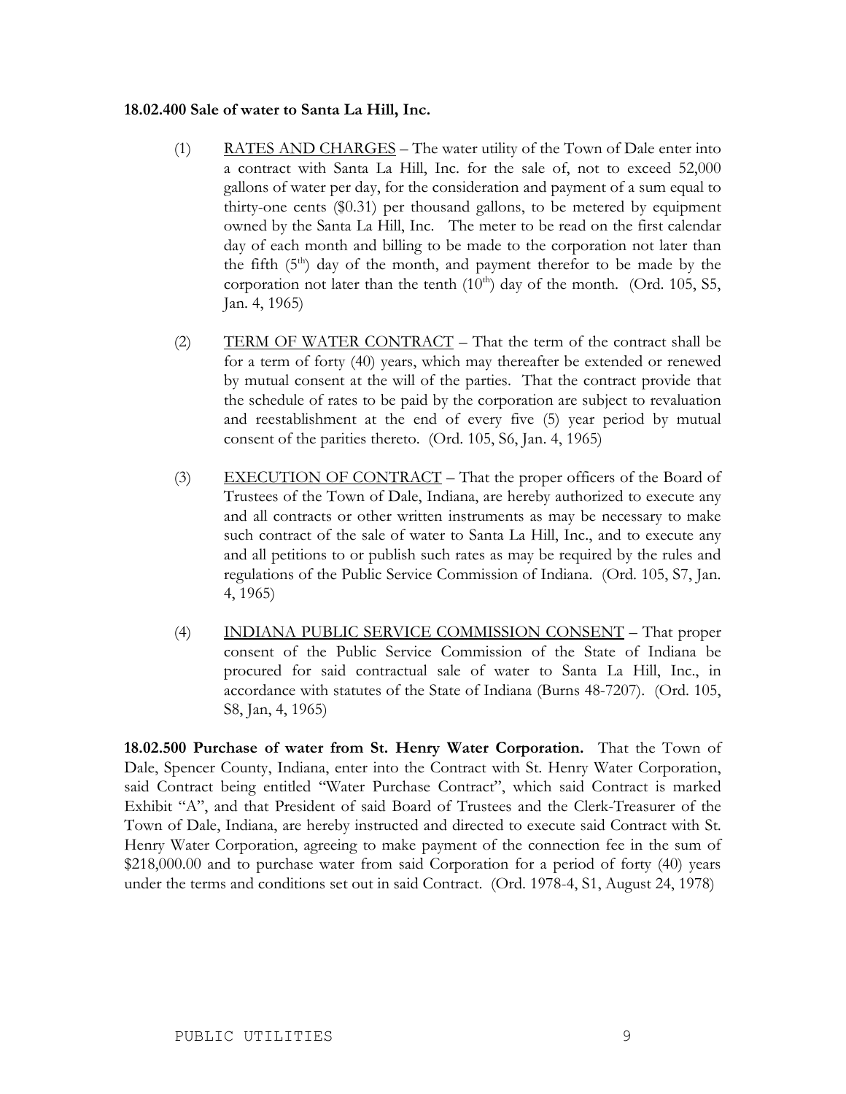#### **18.02.400 Sale of water to Santa La Hill, Inc.**

- (1) RATES AND CHARGES The water utility of the Town of Dale enter into a contract with Santa La Hill, Inc. for the sale of, not to exceed 52,000 gallons of water per day, for the consideration and payment of a sum equal to thirty-one cents (\$0.31) per thousand gallons, to be metered by equipment owned by the Santa La Hill, Inc. The meter to be read on the first calendar day of each month and billing to be made to the corporation not later than the fifth  $(5<sup>th</sup>)$  day of the month, and payment therefor to be made by the corporation not later than the tenth  $(10<sup>th</sup>)$  day of the month. (Ord. 105, S5, Jan. 4, 1965)
- (2) TERM OF WATER CONTRACT That the term of the contract shall be for a term of forty (40) years, which may thereafter be extended or renewed by mutual consent at the will of the parties. That the contract provide that the schedule of rates to be paid by the corporation are subject to revaluation and reestablishment at the end of every five (5) year period by mutual consent of the parities thereto. (Ord. 105, S6, Jan. 4, 1965)
- (3) EXECUTION OF CONTRACT That the proper officers of the Board of Trustees of the Town of Dale, Indiana, are hereby authorized to execute any and all contracts or other written instruments as may be necessary to make such contract of the sale of water to Santa La Hill, Inc., and to execute any and all petitions to or publish such rates as may be required by the rules and regulations of the Public Service Commission of Indiana. (Ord. 105, S7, Jan. 4, 1965)
- (4) INDIANA PUBLIC SERVICE COMMISSION CONSENT That proper consent of the Public Service Commission of the State of Indiana be procured for said contractual sale of water to Santa La Hill, Inc., in accordance with statutes of the State of Indiana (Burns 48-7207). (Ord. 105, S8, Jan, 4, 1965)

**18.02.500 Purchase of water from St. Henry Water Corporation.** That the Town of Dale, Spencer County, Indiana, enter into the Contract with St. Henry Water Corporation, said Contract being entitled "Water Purchase Contract", which said Contract is marked Exhibit "A", and that President of said Board of Trustees and the Clerk-Treasurer of the Town of Dale, Indiana, are hereby instructed and directed to execute said Contract with St. Henry Water Corporation, agreeing to make payment of the connection fee in the sum of \$218,000.00 and to purchase water from said Corporation for a period of forty (40) years under the terms and conditions set out in said Contract. (Ord. 1978-4, S1, August 24, 1978)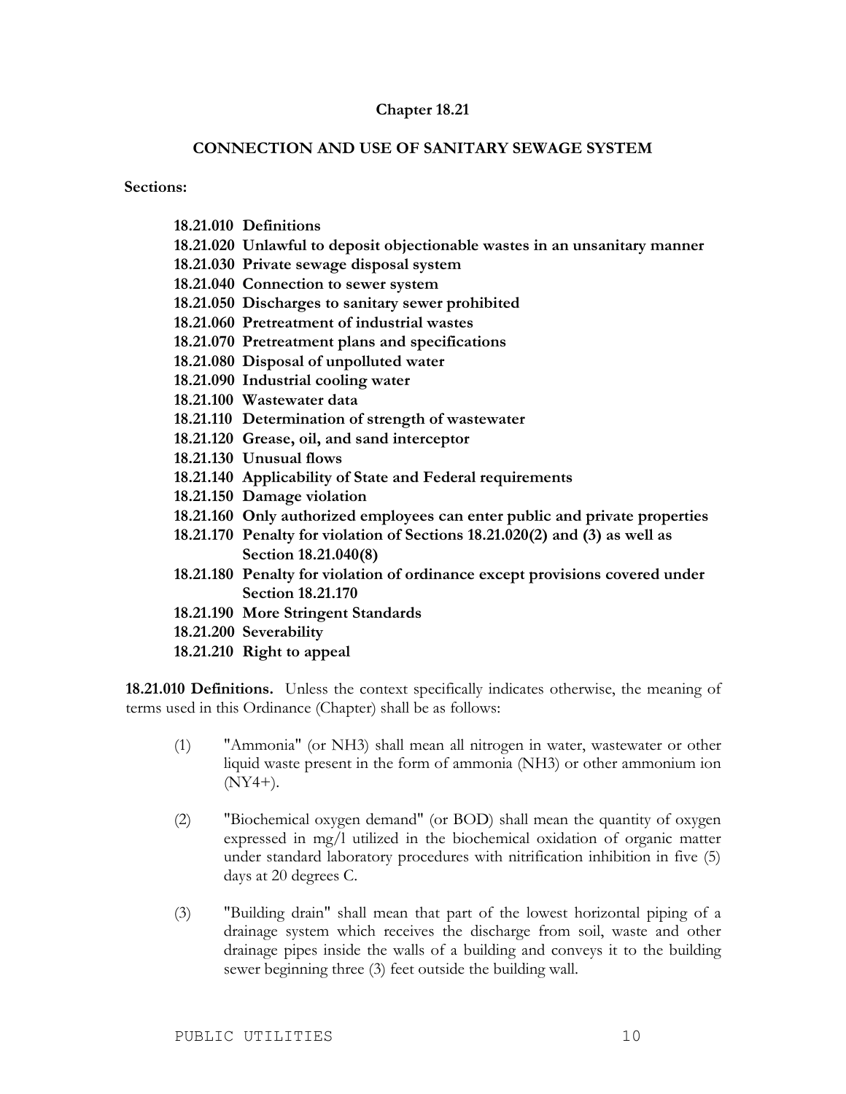### **Chapter 18.21**

#### **CONNECTION AND USE OF SANITARY SEWAGE SYSTEM**

**Sections:**

- **18.21.010 Definitions**
- **18.21.020 Unlawful to deposit objectionable wastes in an unsanitary manner**
- **18.21.030 Private sewage disposal system**
- **18.21.040 Connection to sewer system**
- **18.21.050 Discharges to sanitary sewer prohibited**
- **18.21.060 Pretreatment of industrial wastes**
- **18.21.070 Pretreatment plans and specifications**
- **18.21.080 Disposal of unpolluted water**
- **18.21.090 Industrial cooling water**
- **18.21.100 Wastewater data**
- **18.21.110 Determination of strength of wastewater**
- **18.21.120 Grease, oil, and sand interceptor**
- **18.21.130 Unusual flows**
- **18.21.140 Applicability of State and Federal requirements**
- **18.21.150 Damage violation**
- **18.21.160 Only authorized employees can enter public and private properties**
- **18.21.170 Penalty for violation of Sections 18.21.020(2) and (3) as well as Section 18.21.040(8)**
- **18.21.180 Penalty for violation of ordinance except provisions covered under Section 18.21.170**
- **18.21.190 More Stringent Standards**
- **18.21.200 Severability**
- **18.21.210 Right to appeal**

**18.21.010 Definitions.** Unless the context specifically indicates otherwise, the meaning of terms used in this Ordinance (Chapter) shall be as follows:

- (1) "Ammonia" (or NH3) shall mean all nitrogen in water, wastewater or other liquid waste present in the form of ammonia (NH3) or other ammonium ion (NY4+).
- (2) "Biochemical oxygen demand" (or BOD) shall mean the quantity of oxygen expressed in mg/l utilized in the biochemical oxidation of organic matter under standard laboratory procedures with nitrification inhibition in five (5) days at 20 degrees C.
- (3) "Building drain" shall mean that part of the lowest horizontal piping of a drainage system which receives the discharge from soil, waste and other drainage pipes inside the walls of a building and conveys it to the building sewer beginning three (3) feet outside the building wall.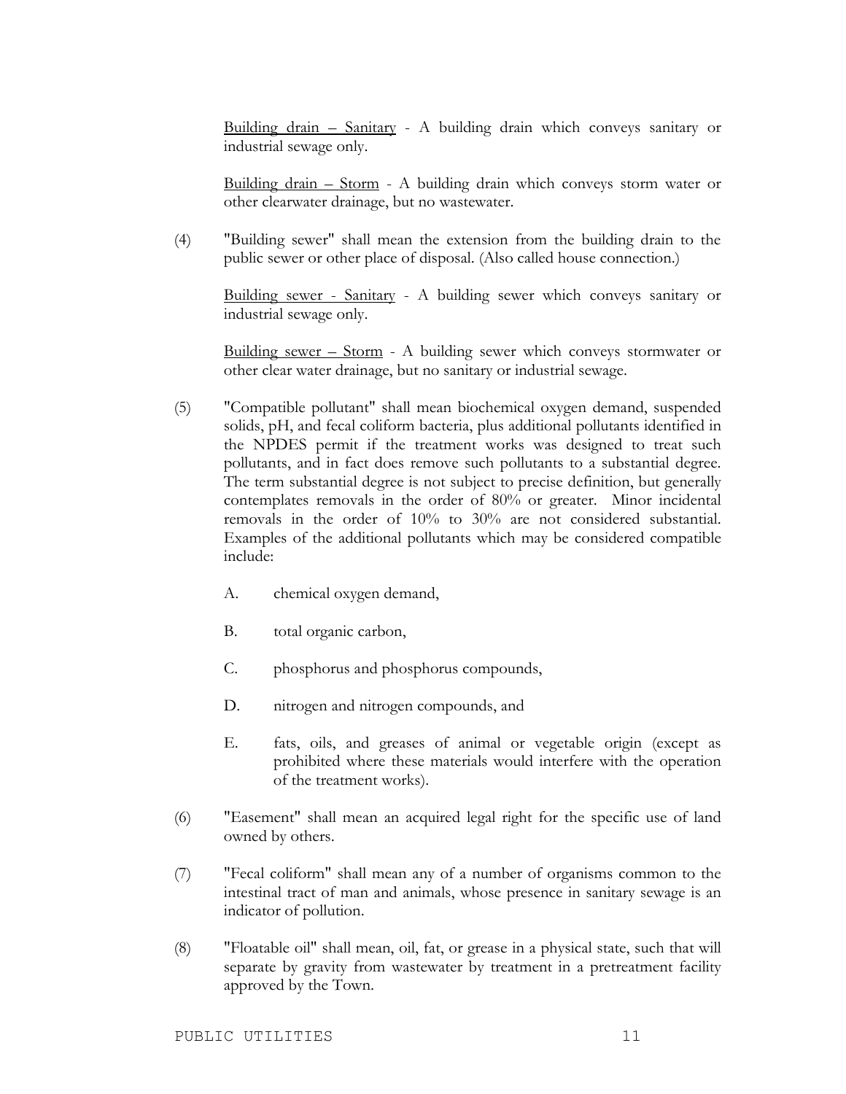Building drain – Sanitary - A building drain which conveys sanitary or industrial sewage only.

Building drain – Storm - A building drain which conveys storm water or other clearwater drainage, but no wastewater.

(4) "Building sewer" shall mean the extension from the building drain to the public sewer or other place of disposal. (Also called house connection.)

Building sewer - Sanitary - A building sewer which conveys sanitary or industrial sewage only.

Building sewer – Storm - A building sewer which conveys stormwater or other clear water drainage, but no sanitary or industrial sewage.

- (5) "Compatible pollutant" shall mean biochemical oxygen demand, suspended solids, pH, and fecal coliform bacteria, plus additional pollutants identified in the NPDES permit if the treatment works was designed to treat such pollutants, and in fact does remove such pollutants to a substantial degree. The term substantial degree is not subject to precise definition, but generally contemplates removals in the order of 80% or greater. Minor incidental removals in the order of 10% to 30% are not considered substantial. Examples of the additional pollutants which may be considered compatible include:
	- A. chemical oxygen demand,
	- B. total organic carbon,
	- C. phosphorus and phosphorus compounds,
	- D. nitrogen and nitrogen compounds, and
	- E. fats, oils, and greases of animal or vegetable origin (except as prohibited where these materials would interfere with the operation of the treatment works).
- (6) "Easement" shall mean an acquired legal right for the specific use of land owned by others.
- (7) "Fecal coliform" shall mean any of a number of organisms common to the intestinal tract of man and animals, whose presence in sanitary sewage is an indicator of pollution.
- (8) "Floatable oil" shall mean, oil, fat, or grease in a physical state, such that will separate by gravity from wastewater by treatment in a pretreatment facility approved by the Town.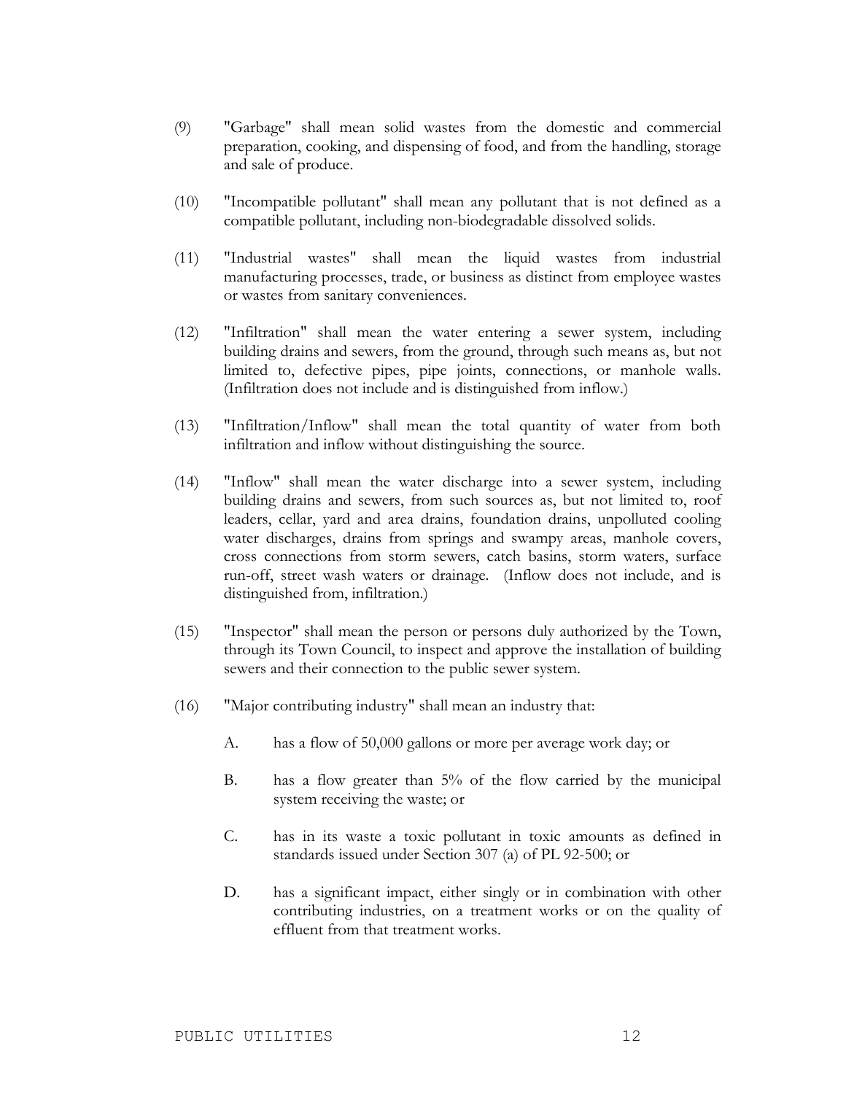- (9) "Garbage" shall mean solid wastes from the domestic and commercial preparation, cooking, and dispensing of food, and from the handling, storage and sale of produce.
- (10) "Incompatible pollutant" shall mean any pollutant that is not defined as a compatible pollutant, including non-biodegradable dissolved solids.
- (11) "Industrial wastes" shall mean the liquid wastes from industrial manufacturing processes, trade, or business as distinct from employee wastes or wastes from sanitary conveniences.
- (12) "Infiltration" shall mean the water entering a sewer system, including building drains and sewers, from the ground, through such means as, but not limited to, defective pipes, pipe joints, connections, or manhole walls. (Infiltration does not include and is distinguished from inflow.)
- (13) "Infiltration/Inflow" shall mean the total quantity of water from both infiltration and inflow without distinguishing the source.
- (14) "Inflow" shall mean the water discharge into a sewer system, including building drains and sewers, from such sources as, but not limited to, roof leaders, cellar, yard and area drains, foundation drains, unpolluted cooling water discharges, drains from springs and swampy areas, manhole covers, cross connections from storm sewers, catch basins, storm waters, surface run-off, street wash waters or drainage. (Inflow does not include, and is distinguished from, infiltration.)
- (15) "Inspector" shall mean the person or persons duly authorized by the Town, through its Town Council, to inspect and approve the installation of building sewers and their connection to the public sewer system.
- (16) "Major contributing industry" shall mean an industry that:
	- A. has a flow of 50,000 gallons or more per average work day; or
	- B. has a flow greater than 5% of the flow carried by the municipal system receiving the waste; or
	- C. has in its waste a toxic pollutant in toxic amounts as defined in standards issued under Section 307 (a) of PL 92-500; or
	- D. has a significant impact, either singly or in combination with other contributing industries, on a treatment works or on the quality of effluent from that treatment works.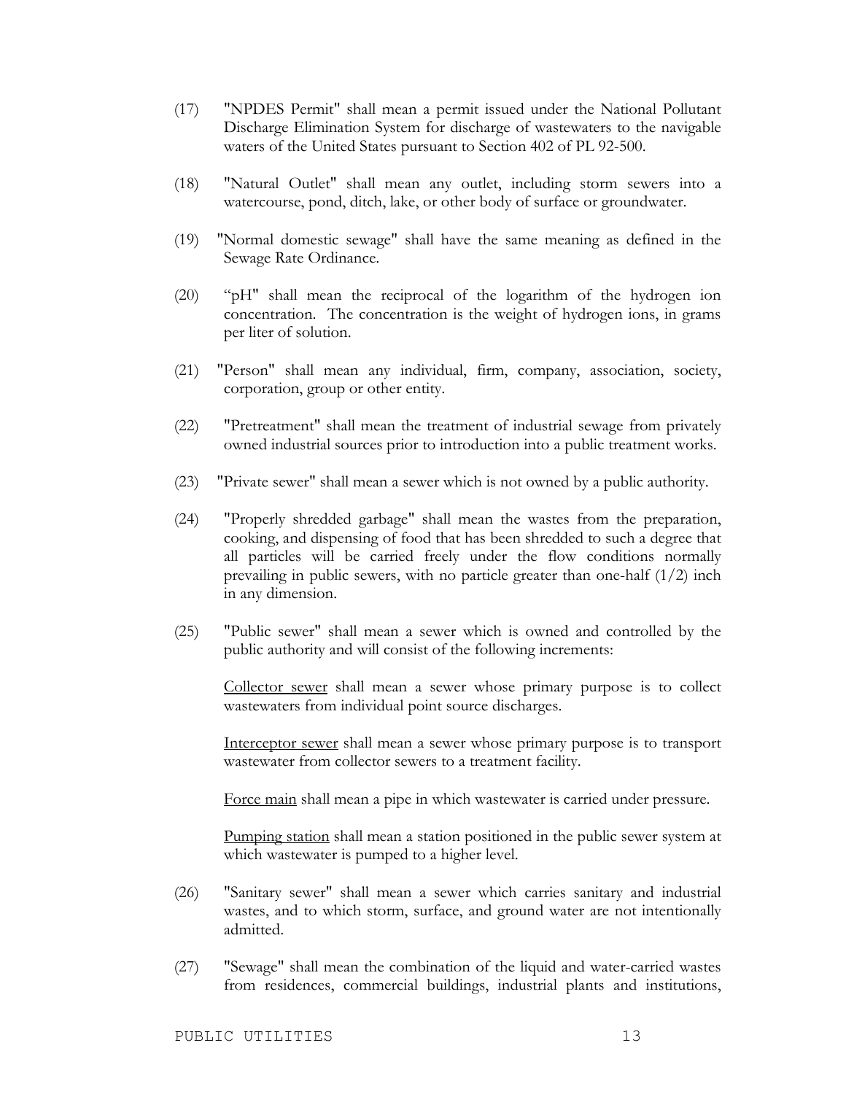- (17) "NPDES Permit" shall mean a permit issued under the National Pollutant Discharge Elimination System for discharge of wastewaters to the navigable waters of the United States pursuant to Section 402 of PL 92-500.
- (18) "Natural Outlet" shall mean any outlet, including storm sewers into a watercourse, pond, ditch, lake, or other body of surface or groundwater.
- (19) "Normal domestic sewage" shall have the same meaning as defined in the Sewage Rate Ordinance.
- (20) "pH" shall mean the reciprocal of the logarithm of the hydrogen ion concentration. The concentration is the weight of hydrogen ions, in grams per liter of solution.
- (21) "Person" shall mean any individual, firm, company, association, society, corporation, group or other entity.
- (22) "Pretreatment" shall mean the treatment of industrial sewage from privately owned industrial sources prior to introduction into a public treatment works.
- (23) "Private sewer" shall mean a sewer which is not owned by a public authority.
- (24) "Properly shredded garbage" shall mean the wastes from the preparation, cooking, and dispensing of food that has been shredded to such a degree that all particles will be carried freely under the flow conditions normally prevailing in public sewers, with no particle greater than one-half (1/2) inch in any dimension.
- (25) "Public sewer" shall mean a sewer which is owned and controlled by the public authority and will consist of the following increments:

Collector sewer shall mean a sewer whose primary purpose is to collect wastewaters from individual point source discharges.

Interceptor sewer shall mean a sewer whose primary purpose is to transport wastewater from collector sewers to a treatment facility.

Force main shall mean a pipe in which wastewater is carried under pressure.

Pumping station shall mean a station positioned in the public sewer system at which wastewater is pumped to a higher level.

- (26) "Sanitary sewer" shall mean a sewer which carries sanitary and industrial wastes, and to which storm, surface, and ground water are not intentionally admitted.
- (27) "Sewage" shall mean the combination of the liquid and water-carried wastes from residences, commercial buildings, industrial plants and institutions,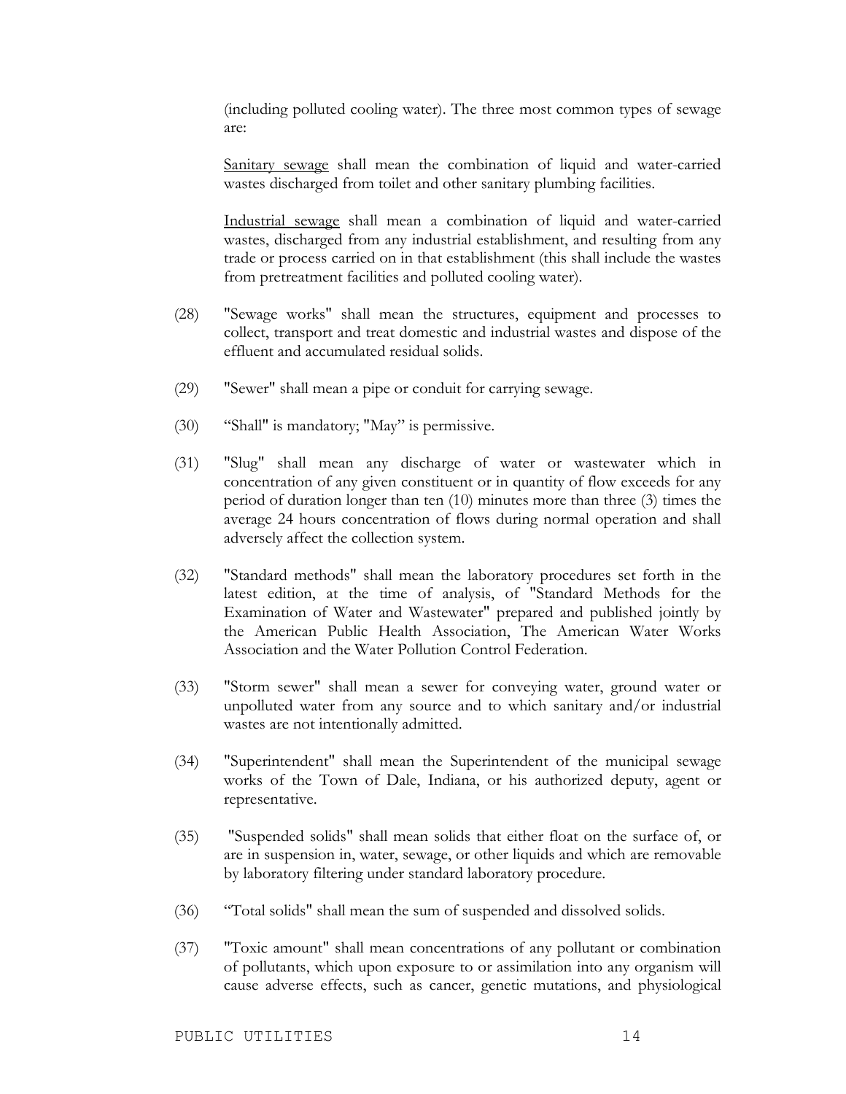(including polluted cooling water). The three most common types of sewage are:

Sanitary sewage shall mean the combination of liquid and water-carried wastes discharged from toilet and other sanitary plumbing facilities.

Industrial sewage shall mean a combination of liquid and water-carried wastes, discharged from any industrial establishment, and resulting from any trade or process carried on in that establishment (this shall include the wastes from pretreatment facilities and polluted cooling water).

- (28) "Sewage works" shall mean the structures, equipment and processes to collect, transport and treat domestic and industrial wastes and dispose of the effluent and accumulated residual solids.
- (29) "Sewer" shall mean a pipe or conduit for carrying sewage.
- (30) "Shall" is mandatory; "May" is permissive.
- (31) "Slug" shall mean any discharge of water or wastewater which in concentration of any given constituent or in quantity of flow exceeds for any period of duration longer than ten (10) minutes more than three (3) times the average 24 hours concentration of flows during normal operation and shall adversely affect the collection system.
- (32) "Standard methods" shall mean the laboratory procedures set forth in the latest edition, at the time of analysis, of "Standard Methods for the Examination of Water and Wastewater" prepared and published jointly by the American Public Health Association, The American Water Works Association and the Water Pollution Control Federation.
- (33) "Storm sewer" shall mean a sewer for conveying water, ground water or unpolluted water from any source and to which sanitary and/or industrial wastes are not intentionally admitted.
- (34) "Superintendent" shall mean the Superintendent of the municipal sewage works of the Town of Dale, Indiana, or his authorized deputy, agent or representative.
- (35) "Suspended solids" shall mean solids that either float on the surface of, or are in suspension in, water, sewage, or other liquids and which are removable by laboratory filtering under standard laboratory procedure.
- (36) "Total solids" shall mean the sum of suspended and dissolved solids.
- (37) "Toxic amount" shall mean concentrations of any pollutant or combination of pollutants, which upon exposure to or assimilation into any organism will cause adverse effects, such as cancer, genetic mutations, and physiological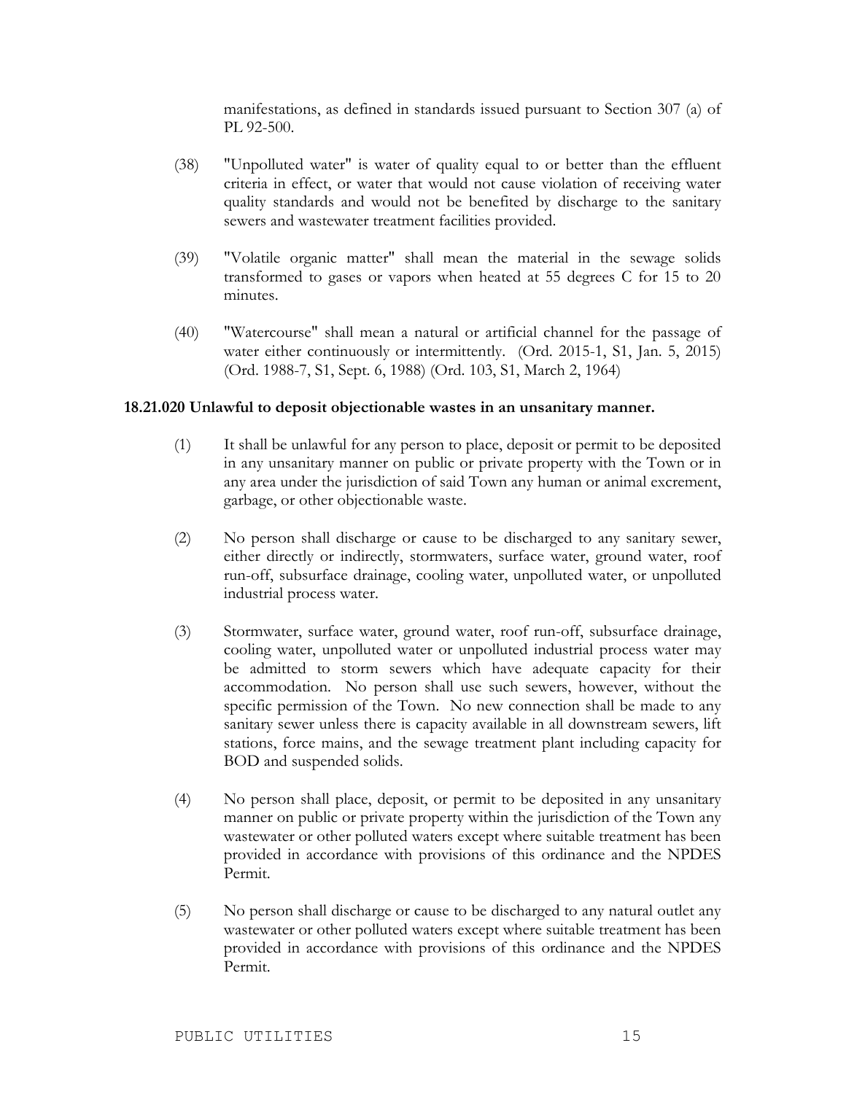manifestations, as defined in standards issued pursuant to Section 307 (a) of PL 92-500.

- (38) "Unpolluted water" is water of quality equal to or better than the effluent criteria in effect, or water that would not cause violation of receiving water quality standards and would not be benefited by discharge to the sanitary sewers and wastewater treatment facilities provided.
- (39) "Volatile organic matter" shall mean the material in the sewage solids transformed to gases or vapors when heated at 55 degrees C for 15 to 20 minutes.
- (40) "Watercourse" shall mean a natural or artificial channel for the passage of water either continuously or intermittently. (Ord. 2015-1, S1, Jan. 5, 2015) (Ord. 1988-7, S1, Sept. 6, 1988) (Ord. 103, S1, March 2, 1964)

#### **18.21.020 Unlawful to deposit objectionable wastes in an unsanitary manner.**

- (1) It shall be unlawful for any person to place, deposit or permit to be deposited in any unsanitary manner on public or private property with the Town or in any area under the jurisdiction of said Town any human or animal excrement, garbage, or other objectionable waste.
- (2) No person shall discharge or cause to be discharged to any sanitary sewer, either directly or indirectly, stormwaters, surface water, ground water, roof run-off, subsurface drainage, cooling water, unpolluted water, or unpolluted industrial process water.
- (3) Stormwater, surface water, ground water, roof run-off, subsurface drainage, cooling water, unpolluted water or unpolluted industrial process water may be admitted to storm sewers which have adequate capacity for their accommodation. No person shall use such sewers, however, without the specific permission of the Town. No new connection shall be made to any sanitary sewer unless there is capacity available in all downstream sewers, lift stations, force mains, and the sewage treatment plant including capacity for BOD and suspended solids.
- (4) No person shall place, deposit, or permit to be deposited in any unsanitary manner on public or private property within the jurisdiction of the Town any wastewater or other polluted waters except where suitable treatment has been provided in accordance with provisions of this ordinance and the NPDES Permit.
- (5) No person shall discharge or cause to be discharged to any natural outlet any wastewater or other polluted waters except where suitable treatment has been provided in accordance with provisions of this ordinance and the NPDES Permit.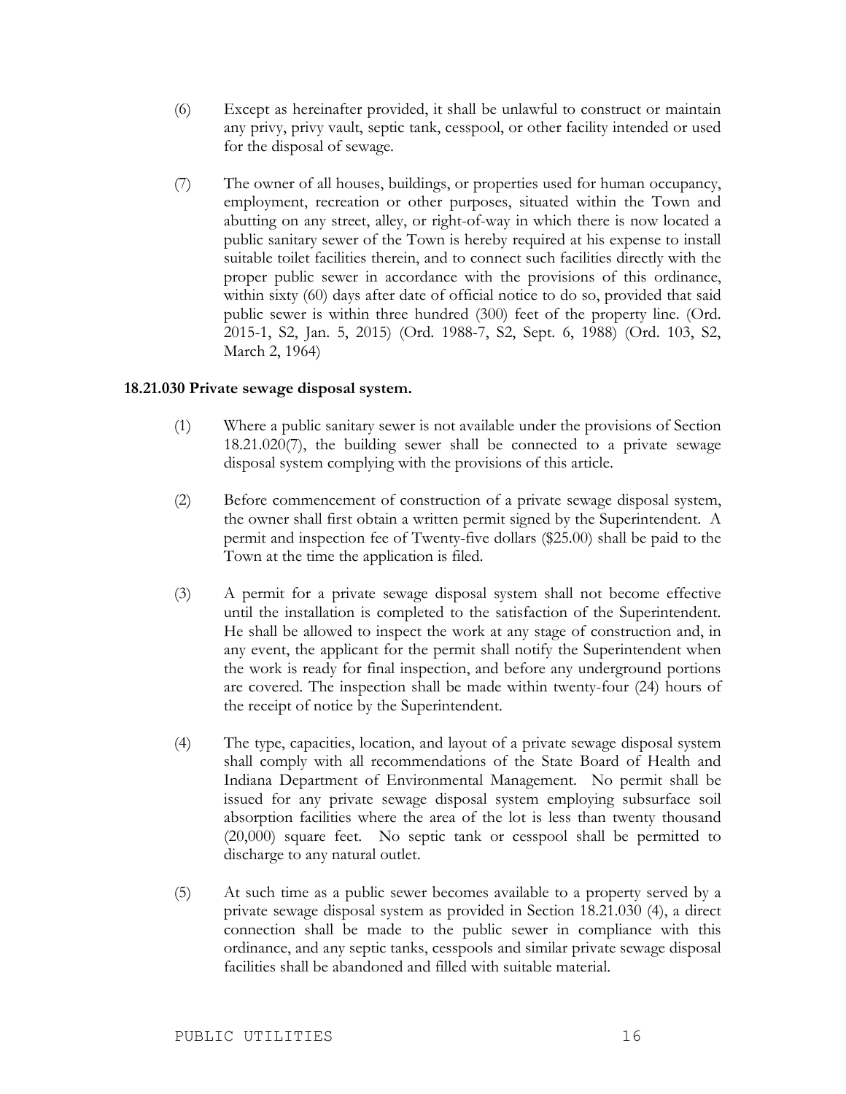- (6) Except as hereinafter provided, it shall be unlawful to construct or maintain any privy, privy vault, septic tank, cesspool, or other facility intended or used for the disposal of sewage.
- (7) The owner of all houses, buildings, or properties used for human occupancy, employment, recreation or other purposes, situated within the Town and abutting on any street, alley, or right-of-way in which there is now located a public sanitary sewer of the Town is hereby required at his expense to install suitable toilet facilities therein, and to connect such facilities directly with the proper public sewer in accordance with the provisions of this ordinance, within sixty (60) days after date of official notice to do so, provided that said public sewer is within three hundred (300) feet of the property line. (Ord. 2015-1, S2, Jan. 5, 2015) (Ord. 1988-7, S2, Sept. 6, 1988) (Ord. 103, S2, March 2, 1964)

#### **18.21.030 Private sewage disposal system.**

- (1) Where a public sanitary sewer is not available under the provisions of Section 18.21.020(7), the building sewer shall be connected to a private sewage disposal system complying with the provisions of this article.
- (2) Before commencement of construction of a private sewage disposal system, the owner shall first obtain a written permit signed by the Superintendent. A permit and inspection fee of Twenty-five dollars (\$25.00) shall be paid to the Town at the time the application is filed.
- (3) A permit for a private sewage disposal system shall not become effective until the installation is completed to the satisfaction of the Superintendent. He shall be allowed to inspect the work at any stage of construction and, in any event, the applicant for the permit shall notify the Superintendent when the work is ready for final inspection, and before any underground portions are covered. The inspection shall be made within twenty-four (24) hours of the receipt of notice by the Superintendent.
- (4) The type, capacities, location, and layout of a private sewage disposal system shall comply with all recommendations of the State Board of Health and Indiana Department of Environmental Management. No permit shall be issued for any private sewage disposal system employing subsurface soil absorption facilities where the area of the lot is less than twenty thousand (20,000) square feet. No septic tank or cesspool shall be permitted to discharge to any natural outlet.
- (5) At such time as a public sewer becomes available to a property served by a private sewage disposal system as provided in Section 18.21.030 (4), a direct connection shall be made to the public sewer in compliance with this ordinance, and any septic tanks, cesspools and similar private sewage disposal facilities shall be abandoned and filled with suitable material.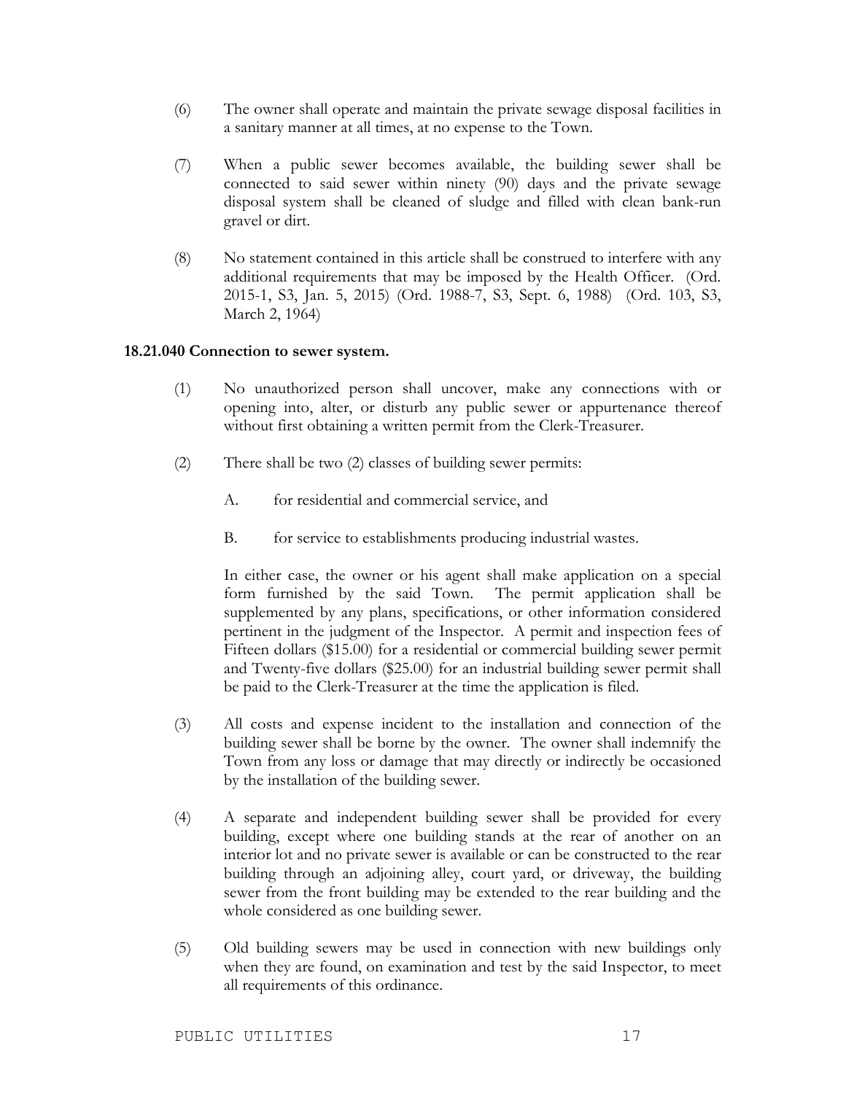- (6) The owner shall operate and maintain the private sewage disposal facilities in a sanitary manner at all times, at no expense to the Town.
- (7) When a public sewer becomes available, the building sewer shall be connected to said sewer within ninety (90) days and the private sewage disposal system shall be cleaned of sludge and filled with clean bank-run gravel or dirt.
- (8) No statement contained in this article shall be construed to interfere with any additional requirements that may be imposed by the Health Officer. (Ord. 2015-1, S3, Jan. 5, 2015) (Ord. 1988-7, S3, Sept. 6, 1988) (Ord. 103, S3, March 2, 1964)

#### **18.21.040 Connection to sewer system.**

- (1) No unauthorized person shall uncover, make any connections with or opening into, alter, or disturb any public sewer or appurtenance thereof without first obtaining a written permit from the Clerk-Treasurer.
- (2) There shall be two (2) classes of building sewer permits:
	- A. for residential and commercial service, and
	- B. for service to establishments producing industrial wastes.

In either case, the owner or his agent shall make application on a special form furnished by the said Town. The permit application shall be supplemented by any plans, specifications, or other information considered pertinent in the judgment of the Inspector. A permit and inspection fees of Fifteen dollars (\$15.00) for a residential or commercial building sewer permit and Twenty-five dollars (\$25.00) for an industrial building sewer permit shall be paid to the Clerk-Treasurer at the time the application is filed.

- (3) All costs and expense incident to the installation and connection of the building sewer shall be borne by the owner. The owner shall indemnify the Town from any loss or damage that may directly or indirectly be occasioned by the installation of the building sewer.
- (4) A separate and independent building sewer shall be provided for every building, except where one building stands at the rear of another on an interior lot and no private sewer is available or can be constructed to the rear building through an adjoining alley, court yard, or driveway, the building sewer from the front building may be extended to the rear building and the whole considered as one building sewer.
- (5) Old building sewers may be used in connection with new buildings only when they are found, on examination and test by the said Inspector, to meet all requirements of this ordinance.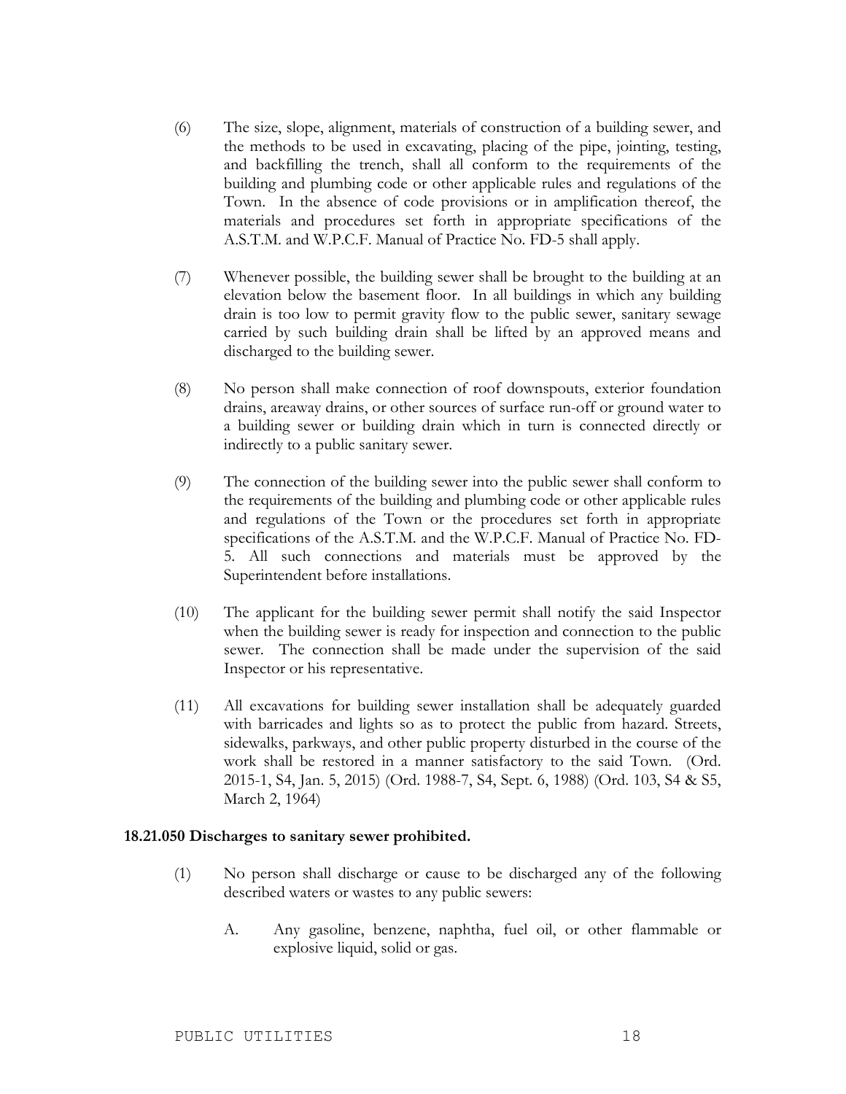- (6) The size, slope, alignment, materials of construction of a building sewer, and the methods to be used in excavating, placing of the pipe, jointing, testing, and backfilling the trench, shall all conform to the requirements of the building and plumbing code or other applicable rules and regulations of the Town. In the absence of code provisions or in amplification thereof, the materials and procedures set forth in appropriate specifications of the A.S.T.M. and W.P.C.F. Manual of Practice No. FD-5 shall apply.
- (7) Whenever possible, the building sewer shall be brought to the building at an elevation below the basement floor. In all buildings in which any building drain is too low to permit gravity flow to the public sewer, sanitary sewage carried by such building drain shall be lifted by an approved means and discharged to the building sewer.
- (8) No person shall make connection of roof downspouts, exterior foundation drains, areaway drains, or other sources of surface run-off or ground water to a building sewer or building drain which in turn is connected directly or indirectly to a public sanitary sewer.
- (9) The connection of the building sewer into the public sewer shall conform to the requirements of the building and plumbing code or other applicable rules and regulations of the Town or the procedures set forth in appropriate specifications of the A.S.T.M. and the W.P.C.F. Manual of Practice No. FD-5. All such connections and materials must be approved by the Superintendent before installations.
- (10) The applicant for the building sewer permit shall notify the said Inspector when the building sewer is ready for inspection and connection to the public sewer. The connection shall be made under the supervision of the said Inspector or his representative.
- (11) All excavations for building sewer installation shall be adequately guarded with barricades and lights so as to protect the public from hazard. Streets, sidewalks, parkways, and other public property disturbed in the course of the work shall be restored in a manner satisfactory to the said Town. (Ord. 2015-1, S4, Jan. 5, 2015) (Ord. 1988-7, S4, Sept. 6, 1988) (Ord. 103, S4 & S5, March 2, 1964)

#### **18.21.050 Discharges to sanitary sewer prohibited.**

- (1) No person shall discharge or cause to be discharged any of the following described waters or wastes to any public sewers:
	- A. Any gasoline, benzene, naphtha, fuel oil, or other flammable or explosive liquid, solid or gas.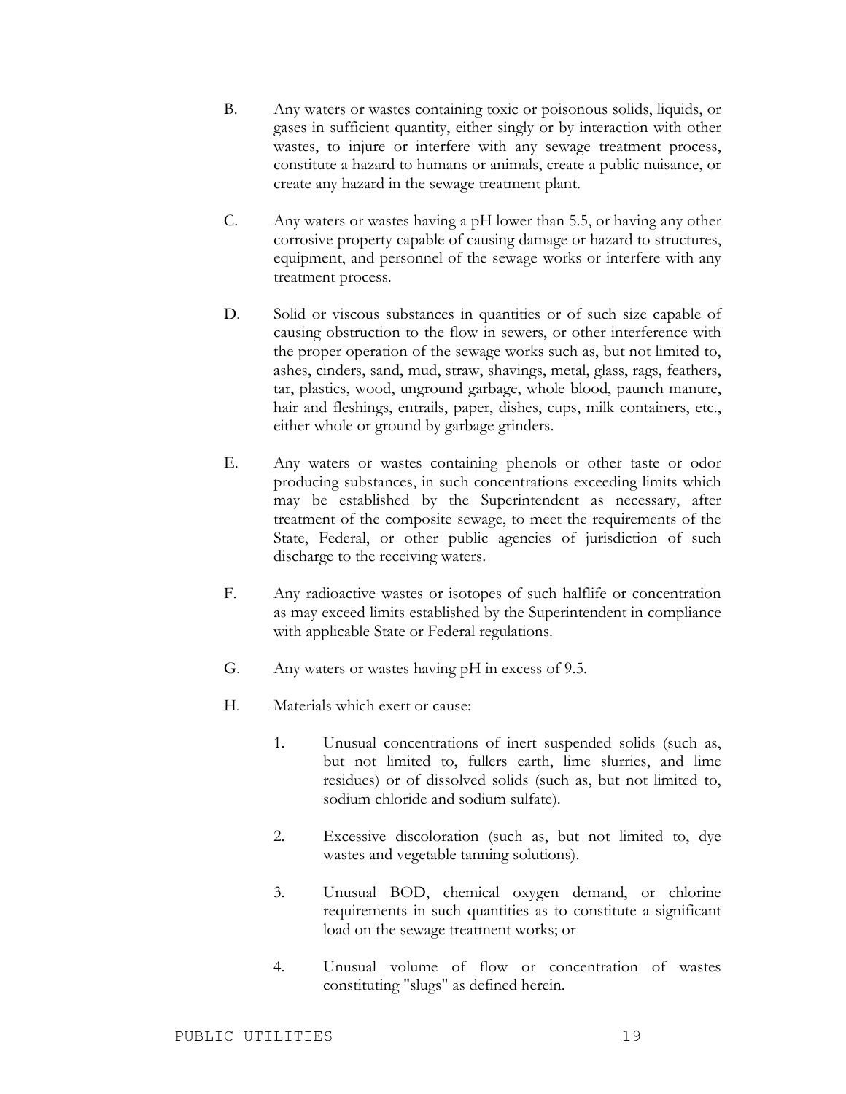- B. Any waters or wastes containing toxic or poisonous solids, liquids, or gases in sufficient quantity, either singly or by interaction with other wastes, to injure or interfere with any sewage treatment process, constitute a hazard to humans or animals, create a public nuisance, or create any hazard in the sewage treatment plant.
- C. Any waters or wastes having a pH lower than 5.5, or having any other corrosive property capable of causing damage or hazard to structures, equipment, and personnel of the sewage works or interfere with any treatment process.
- D. Solid or viscous substances in quantities or of such size capable of causing obstruction to the flow in sewers, or other interference with the proper operation of the sewage works such as, but not limited to, ashes, cinders, sand, mud, straw, shavings, metal, glass, rags, feathers, tar, plastics, wood, unground garbage, whole blood, paunch manure, hair and fleshings, entrails, paper, dishes, cups, milk containers, etc., either whole or ground by garbage grinders.
- E. Any waters or wastes containing phenols or other taste or odor producing substances, in such concentrations exceeding limits which may be established by the Superintendent as necessary, after treatment of the composite sewage, to meet the requirements of the State, Federal, or other public agencies of jurisdiction of such discharge to the receiving waters.
- F. Any radioactive wastes or isotopes of such halflife or concentration as may exceed limits established by the Superintendent in compliance with applicable State or Federal regulations.
- G. Any waters or wastes having pH in excess of 9.5.
- H. Materials which exert or cause:
	- 1. Unusual concentrations of inert suspended solids (such as, but not limited to, fullers earth, lime slurries, and lime residues) or of dissolved solids (such as, but not limited to, sodium chloride and sodium sulfate).
	- 2. Excessive discoloration (such as, but not limited to, dye wastes and vegetable tanning solutions).
	- 3. Unusual BOD, chemical oxygen demand, or chlorine requirements in such quantities as to constitute a significant load on the sewage treatment works; or
	- 4. Unusual volume of flow or concentration of wastes constituting "slugs" as defined herein.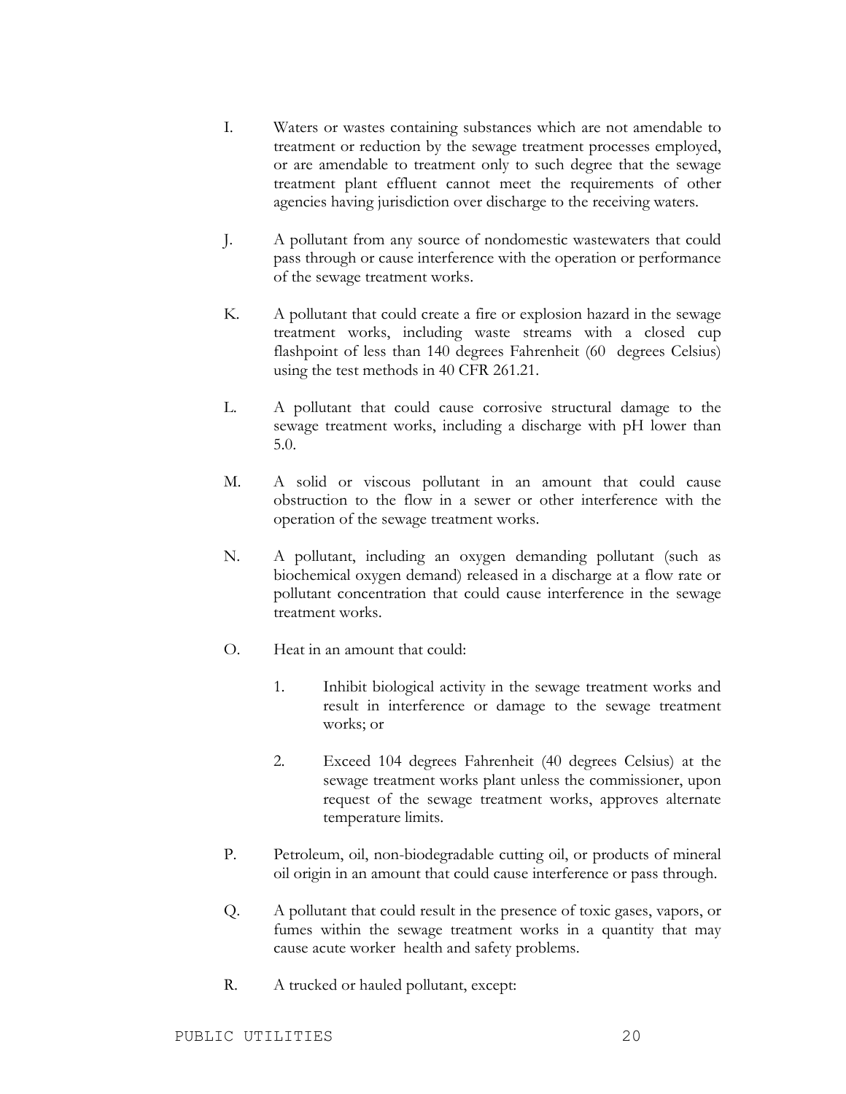- I. Waters or wastes containing substances which are not amendable to treatment or reduction by the sewage treatment processes employed, or are amendable to treatment only to such degree that the sewage treatment plant effluent cannot meet the requirements of other agencies having jurisdiction over discharge to the receiving waters.
- J. A pollutant from any source of nondomestic wastewaters that could pass through or cause interference with the operation or performance of the sewage treatment works.
- K. A pollutant that could create a fire or explosion hazard in the sewage treatment works, including waste streams with a closed cup flashpoint of less than 140 degrees Fahrenheit (60 degrees Celsius) using the test methods in 40 CFR 261.21.
- L. A pollutant that could cause corrosive structural damage to the sewage treatment works, including a discharge with pH lower than 5.0.
- M. A solid or viscous pollutant in an amount that could cause obstruction to the flow in a sewer or other interference with the operation of the sewage treatment works.
- N. A pollutant, including an oxygen demanding pollutant (such as biochemical oxygen demand) released in a discharge at a flow rate or pollutant concentration that could cause interference in the sewage treatment works.
- O. Heat in an amount that could:
	- 1. Inhibit biological activity in the sewage treatment works and result in interference or damage to the sewage treatment works; or
	- 2. Exceed 104 degrees Fahrenheit (40 degrees Celsius) at the sewage treatment works plant unless the commissioner, upon request of the sewage treatment works, approves alternate temperature limits.
- P. Petroleum, oil, non-biodegradable cutting oil, or products of mineral oil origin in an amount that could cause interference or pass through.
- Q. A pollutant that could result in the presence of toxic gases, vapors, or fumes within the sewage treatment works in a quantity that may cause acute worker health and safety problems.
- R. A trucked or hauled pollutant, except: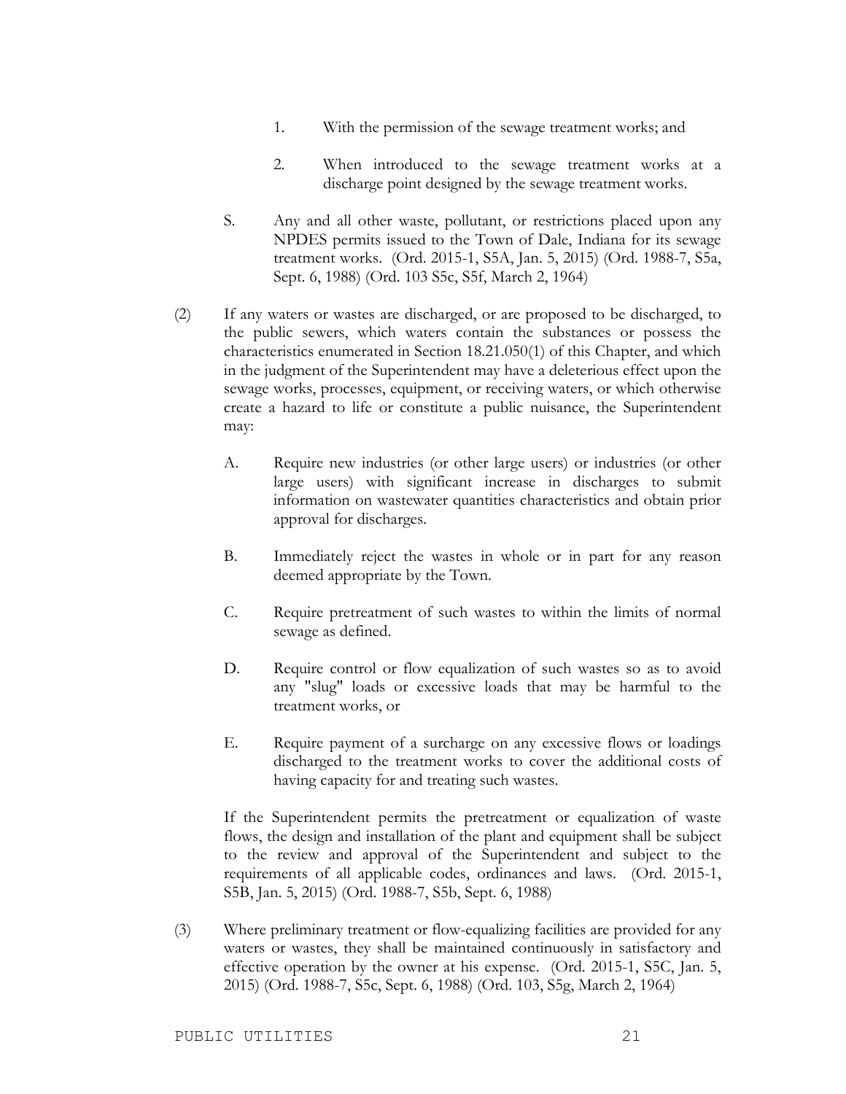- 1. With the permission of the sewage treatment works; and
- 2. When introduced to the sewage treatment works at a discharge point designed by the sewage treatment works.
- S. Any and all other waste, pollutant, or restrictions placed upon any NPDES permits issued to the Town of Dale, Indiana for its sewage treatment works. (Ord. 2015-1, S5A, Jan. 5, 2015) (Ord. 1988-7, S5a, Sept. 6, 1988) (Ord. 103 S5c, S5f, March 2, 1964)
- (2) If any waters or wastes are discharged, or are proposed to be discharged, to the public sewers, which waters contain the substances or possess the characteristics enumerated in Section 18.21.050(1) of this Chapter, and which in the judgment of the Superintendent may have a deleterious effect upon the sewage works, processes, equipment, or receiving waters, or which otherwise create a hazard to life or constitute a public nuisance, the Superintendent may:
	- A. Require new industries (or other large users) or industries (or other large users) with significant increase in discharges to submit information on wastewater quantities characteristics and obtain prior approval for discharges.
	- B. Immediately reject the wastes in whole or in part for any reason deemed appropriate by the Town.
	- C. Require pretreatment of such wastes to within the limits of normal sewage as defined.
	- D. Require control or flow equalization of such wastes so as to avoid any "slug" loads or excessive loads that may be harmful to the treatment works, or
	- E. Require payment of a surcharge on any excessive flows or loadings discharged to the treatment works to cover the additional costs of having capacity for and treating such wastes.

If the Superintendent permits the pretreatment or equalization of waste flows, the design and installation of the plant and equipment shall be subject to the review and approval of the Superintendent and subject to the requirements of all applicable codes, ordinances and laws. (Ord. 2015-1, S5B, Jan. 5, 2015) (Ord. 1988-7, S5b, Sept. 6, 1988)

(3) Where preliminary treatment or flow-equalizing facilities are provided for any waters or wastes, they shall be maintained continuously in satisfactory and effective operation by the owner at his expense. (Ord. 2015-1, S5C, Jan. 5, 2015) (Ord. 1988-7, S5c, Sept. 6, 1988) (Ord. 103, S5g, March 2, 1964)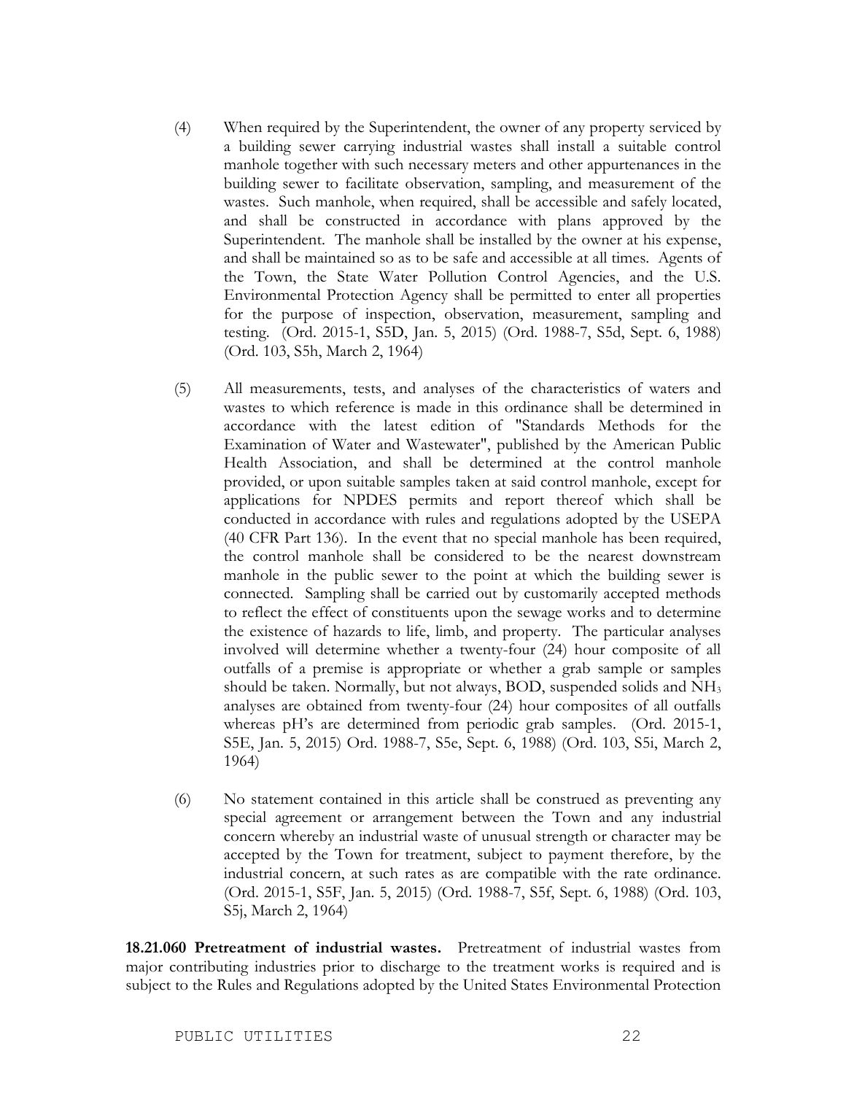- (4) When required by the Superintendent, the owner of any property serviced by a building sewer carrying industrial wastes shall install a suitable control manhole together with such necessary meters and other appurtenances in the building sewer to facilitate observation, sampling, and measurement of the wastes. Such manhole, when required, shall be accessible and safely located, and shall be constructed in accordance with plans approved by the Superintendent. The manhole shall be installed by the owner at his expense, and shall be maintained so as to be safe and accessible at all times. Agents of the Town, the State Water Pollution Control Agencies, and the U.S. Environmental Protection Agency shall be permitted to enter all properties for the purpose of inspection, observation, measurement, sampling and testing. (Ord. 2015-1, S5D, Jan. 5, 2015) (Ord. 1988-7, S5d, Sept. 6, 1988) (Ord. 103, S5h, March 2, 1964)
- (5) All measurements, tests, and analyses of the characteristics of waters and wastes to which reference is made in this ordinance shall be determined in accordance with the latest edition of "Standards Methods for the Examination of Water and Wastewater", published by the American Public Health Association, and shall be determined at the control manhole provided, or upon suitable samples taken at said control manhole, except for applications for NPDES permits and report thereof which shall be conducted in accordance with rules and regulations adopted by the USEPA (40 CFR Part 136). In the event that no special manhole has been required, the control manhole shall be considered to be the nearest downstream manhole in the public sewer to the point at which the building sewer is connected. Sampling shall be carried out by customarily accepted methods to reflect the effect of constituents upon the sewage works and to determine the existence of hazards to life, limb, and property. The particular analyses involved will determine whether a twenty-four (24) hour composite of all outfalls of a premise is appropriate or whether a grab sample or samples should be taken. Normally, but not always, BOD, suspended solids and NH3 analyses are obtained from twenty-four (24) hour composites of all outfalls whereas pH's are determined from periodic grab samples. (Ord. 2015-1, S5E, Jan. 5, 2015) Ord. 1988-7, S5e, Sept. 6, 1988) (Ord. 103, S5i, March 2, 1964)
- (6) No statement contained in this article shall be construed as preventing any special agreement or arrangement between the Town and any industrial concern whereby an industrial waste of unusual strength or character may be accepted by the Town for treatment, subject to payment therefore, by the industrial concern, at such rates as are compatible with the rate ordinance. (Ord. 2015-1, S5F, Jan. 5, 2015) (Ord. 1988-7, S5f, Sept. 6, 1988) (Ord. 103, S5j, March 2, 1964)

**18.21.060 Pretreatment of industrial wastes.** Pretreatment of industrial wastes from major contributing industries prior to discharge to the treatment works is required and is subject to the Rules and Regulations adopted by the United States Environmental Protection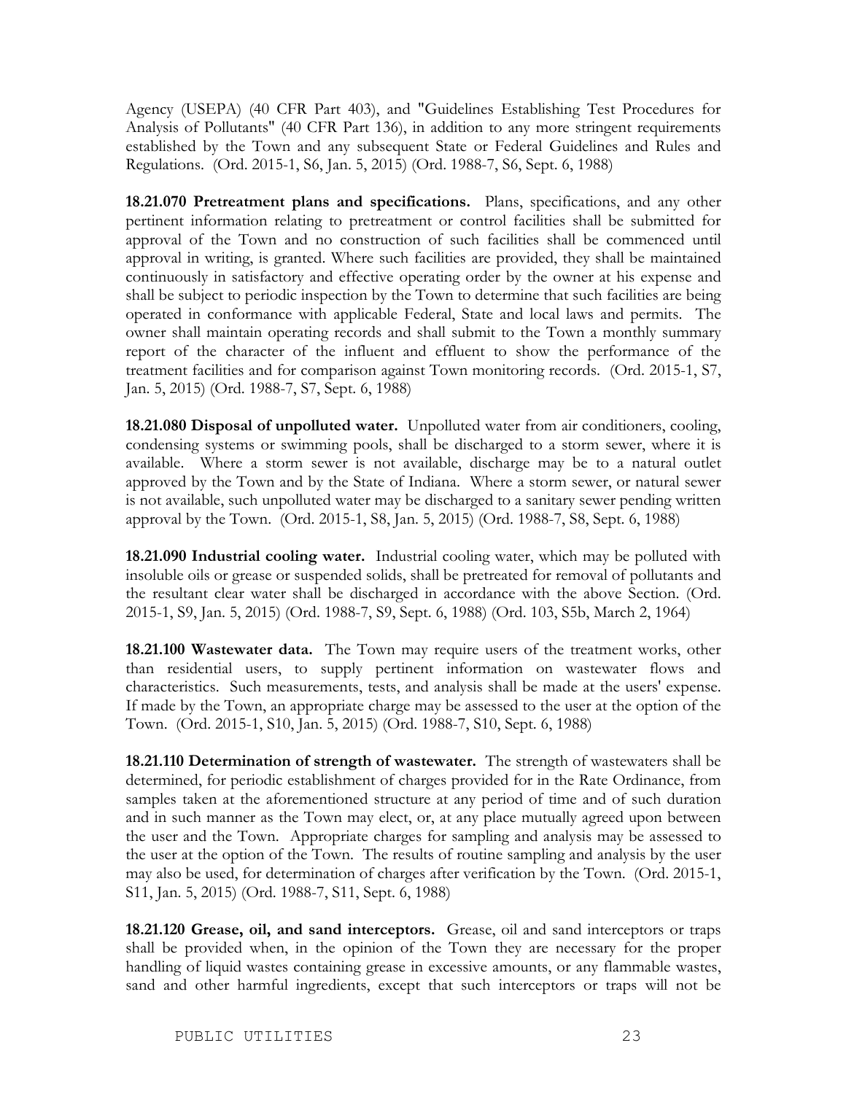Agency (USEPA) (40 CFR Part 403), and "Guidelines Establishing Test Procedures for Analysis of Pollutants" (40 CFR Part 136), in addition to any more stringent requirements established by the Town and any subsequent State or Federal Guidelines and Rules and Regulations. (Ord. 2015-1, S6, Jan. 5, 2015) (Ord. 1988-7, S6, Sept. 6, 1988)

**18.21.070 Pretreatment plans and specifications.** Plans, specifications, and any other pertinent information relating to pretreatment or control facilities shall be submitted for approval of the Town and no construction of such facilities shall be commenced until approval in writing, is granted. Where such facilities are provided, they shall be maintained continuously in satisfactory and effective operating order by the owner at his expense and shall be subject to periodic inspection by the Town to determine that such facilities are being operated in conformance with applicable Federal, State and local laws and permits. The owner shall maintain operating records and shall submit to the Town a monthly summary report of the character of the influent and effluent to show the performance of the treatment facilities and for comparison against Town monitoring records. (Ord. 2015-1, S7, Jan. 5, 2015) (Ord. 1988-7, S7, Sept. 6, 1988)

**18.21.080 Disposal of unpolluted water.** Unpolluted water from air conditioners, cooling, condensing systems or swimming pools, shall be discharged to a storm sewer, where it is available. Where a storm sewer is not available, discharge may be to a natural outlet approved by the Town and by the State of Indiana. Where a storm sewer, or natural sewer is not available, such unpolluted water may be discharged to a sanitary sewer pending written approval by the Town. (Ord. 2015-1, S8, Jan. 5, 2015) (Ord. 1988-7, S8, Sept. 6, 1988)

**18.21.090 Industrial cooling water.** Industrial cooling water, which may be polluted with insoluble oils or grease or suspended solids, shall be pretreated for removal of pollutants and the resultant clear water shall be discharged in accordance with the above Section. (Ord. 2015-1, S9, Jan. 5, 2015) (Ord. 1988-7, S9, Sept. 6, 1988) (Ord. 103, S5b, March 2, 1964)

**18.21.100 Wastewater data.** The Town may require users of the treatment works, other than residential users, to supply pertinent information on wastewater flows and characteristics. Such measurements, tests, and analysis shall be made at the users' expense. If made by the Town, an appropriate charge may be assessed to the user at the option of the Town. (Ord. 2015-1, S10, Jan. 5, 2015) (Ord. 1988-7, S10, Sept. 6, 1988)

**18.21.110 Determination of strength of wastewater.** The strength of wastewaters shall be determined, for periodic establishment of charges provided for in the Rate Ordinance, from samples taken at the aforementioned structure at any period of time and of such duration and in such manner as the Town may elect, or, at any place mutually agreed upon between the user and the Town. Appropriate charges for sampling and analysis may be assessed to the user at the option of the Town. The results of routine sampling and analysis by the user may also be used, for determination of charges after verification by the Town. (Ord. 2015-1, S11, Jan. 5, 2015) (Ord. 1988-7, S11, Sept. 6, 1988)

**18.21.120 Grease, oil, and sand interceptors.** Grease, oil and sand interceptors or traps shall be provided when, in the opinion of the Town they are necessary for the proper handling of liquid wastes containing grease in excessive amounts, or any flammable wastes, sand and other harmful ingredients, except that such interceptors or traps will not be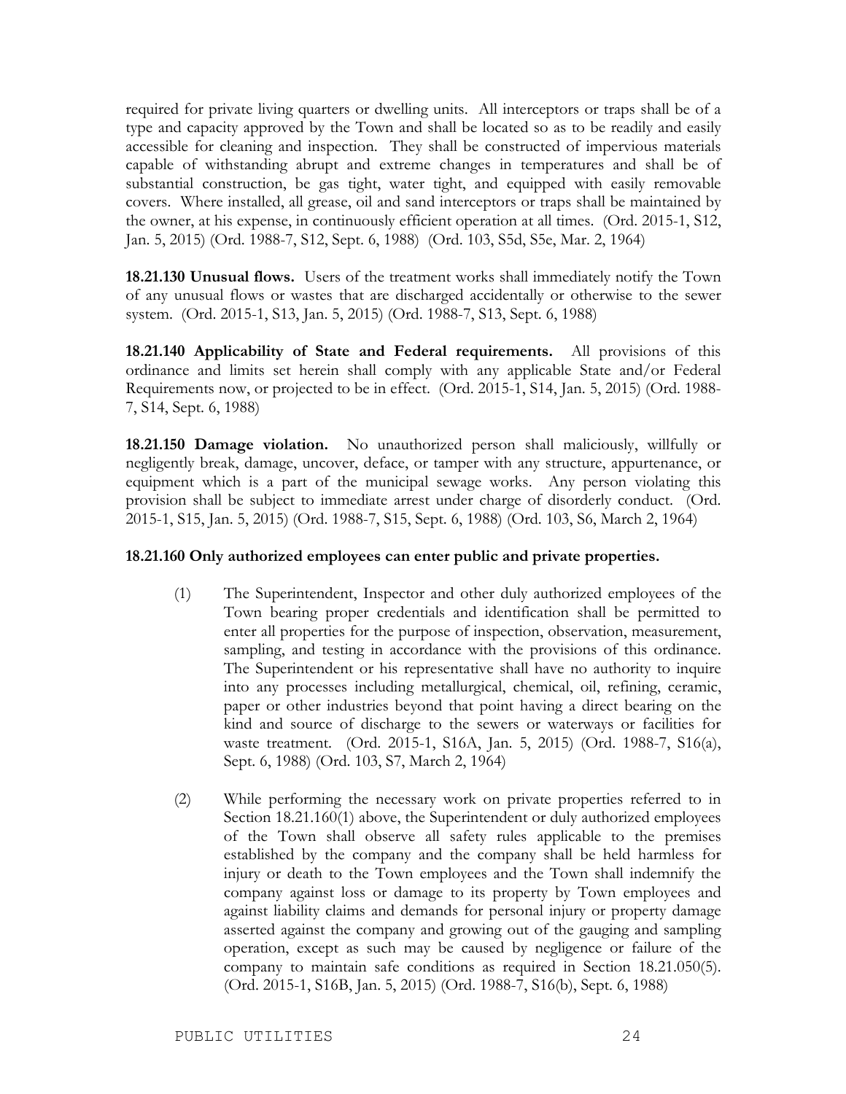required for private living quarters or dwelling units. All interceptors or traps shall be of a type and capacity approved by the Town and shall be located so as to be readily and easily accessible for cleaning and inspection. They shall be constructed of impervious materials capable of withstanding abrupt and extreme changes in temperatures and shall be of substantial construction, be gas tight, water tight, and equipped with easily removable covers. Where installed, all grease, oil and sand interceptors or traps shall be maintained by the owner, at his expense, in continuously efficient operation at all times. (Ord. 2015-1, S12, Jan. 5, 2015) (Ord. 1988-7, S12, Sept. 6, 1988) (Ord. 103, S5d, S5e, Mar. 2, 1964)

**18.21.130 Unusual flows.** Users of the treatment works shall immediately notify the Town of any unusual flows or wastes that are discharged accidentally or otherwise to the sewer system. (Ord. 2015-1, S13, Jan. 5, 2015) (Ord. 1988-7, S13, Sept. 6, 1988)

**18.21.140 Applicability of State and Federal requirements.** All provisions of this ordinance and limits set herein shall comply with any applicable State and/or Federal Requirements now, or projected to be in effect. (Ord. 2015-1, S14, Jan. 5, 2015) (Ord. 1988- 7, S14, Sept. 6, 1988)

**18.21.150 Damage violation.** No unauthorized person shall maliciously, willfully or negligently break, damage, uncover, deface, or tamper with any structure, appurtenance, or equipment which is a part of the municipal sewage works. Any person violating this provision shall be subject to immediate arrest under charge of disorderly conduct. (Ord. 2015-1, S15, Jan. 5, 2015) (Ord. 1988-7, S15, Sept. 6, 1988) (Ord. 103, S6, March 2, 1964)

#### **18.21.160 Only authorized employees can enter public and private properties.**

- (1) The Superintendent, Inspector and other duly authorized employees of the Town bearing proper credentials and identification shall be permitted to enter all properties for the purpose of inspection, observation, measurement, sampling, and testing in accordance with the provisions of this ordinance. The Superintendent or his representative shall have no authority to inquire into any processes including metallurgical, chemical, oil, refining, ceramic, paper or other industries beyond that point having a direct bearing on the kind and source of discharge to the sewers or waterways or facilities for waste treatment. (Ord. 2015-1, S16A, Jan. 5, 2015) (Ord. 1988-7, S16(a), Sept. 6, 1988) (Ord. 103, S7, March 2, 1964)
- (2) While performing the necessary work on private properties referred to in Section 18.21.160(1) above, the Superintendent or duly authorized employees of the Town shall observe all safety rules applicable to the premises established by the company and the company shall be held harmless for injury or death to the Town employees and the Town shall indemnify the company against loss or damage to its property by Town employees and against liability claims and demands for personal injury or property damage asserted against the company and growing out of the gauging and sampling operation, except as such may be caused by negligence or failure of the company to maintain safe conditions as required in Section 18.21.050(5). (Ord. 2015-1, S16B, Jan. 5, 2015) (Ord. 1988-7, S16(b), Sept. 6, 1988)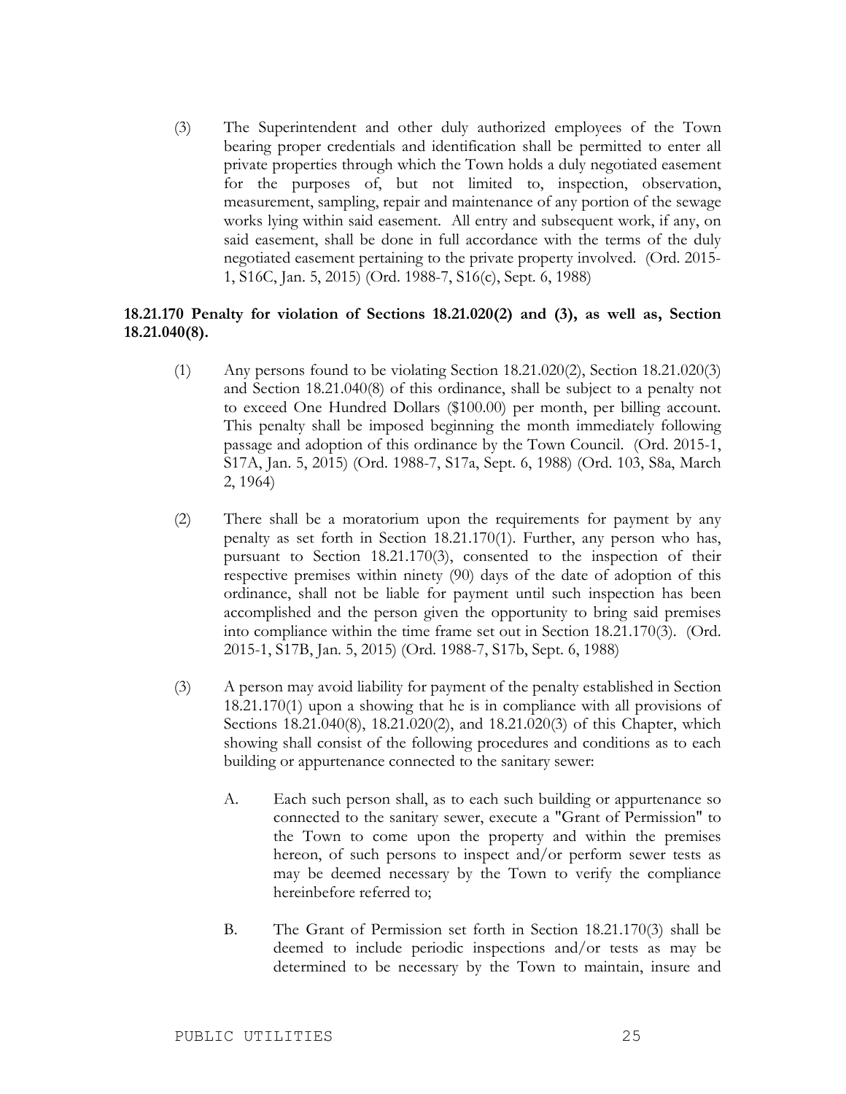(3) The Superintendent and other duly authorized employees of the Town bearing proper credentials and identification shall be permitted to enter all private properties through which the Town holds a duly negotiated easement for the purposes of, but not limited to, inspection, observation, measurement, sampling, repair and maintenance of any portion of the sewage works lying within said easement. All entry and subsequent work, if any, on said easement, shall be done in full accordance with the terms of the duly negotiated easement pertaining to the private property involved. (Ord. 2015- 1, S16C, Jan. 5, 2015) (Ord. 1988-7, S16(c), Sept. 6, 1988)

### **18.21.170 Penalty for violation of Sections 18.21.020(2) and (3), as well as, Section 18.21.040(8).**

- (1) Any persons found to be violating Section 18.21.020(2), Section 18.21.020(3) and Section 18.21.040(8) of this ordinance, shall be subject to a penalty not to exceed One Hundred Dollars (\$100.00) per month, per billing account. This penalty shall be imposed beginning the month immediately following passage and adoption of this ordinance by the Town Council. (Ord. 2015-1, S17A, Jan. 5, 2015) (Ord. 1988-7, S17a, Sept. 6, 1988) (Ord. 103, S8a, March 2, 1964)
- (2) There shall be a moratorium upon the requirements for payment by any penalty as set forth in Section 18.21.170(1). Further, any person who has, pursuant to Section 18.21.170(3), consented to the inspection of their respective premises within ninety (90) days of the date of adoption of this ordinance, shall not be liable for payment until such inspection has been accomplished and the person given the opportunity to bring said premises into compliance within the time frame set out in Section 18.21.170(3). (Ord. 2015-1, S17B, Jan. 5, 2015) (Ord. 1988-7, S17b, Sept. 6, 1988)
- (3) A person may avoid liability for payment of the penalty established in Section 18.21.170(1) upon a showing that he is in compliance with all provisions of Sections 18.21.040(8), 18.21.020(2), and 18.21.020(3) of this Chapter, which showing shall consist of the following procedures and conditions as to each building or appurtenance connected to the sanitary sewer:
	- A. Each such person shall, as to each such building or appurtenance so connected to the sanitary sewer, execute a "Grant of Permission" to the Town to come upon the property and within the premises hereon, of such persons to inspect and/or perform sewer tests as may be deemed necessary by the Town to verify the compliance hereinbefore referred to;
	- B. The Grant of Permission set forth in Section 18.21.170(3) shall be deemed to include periodic inspections and/or tests as may be determined to be necessary by the Town to maintain, insure and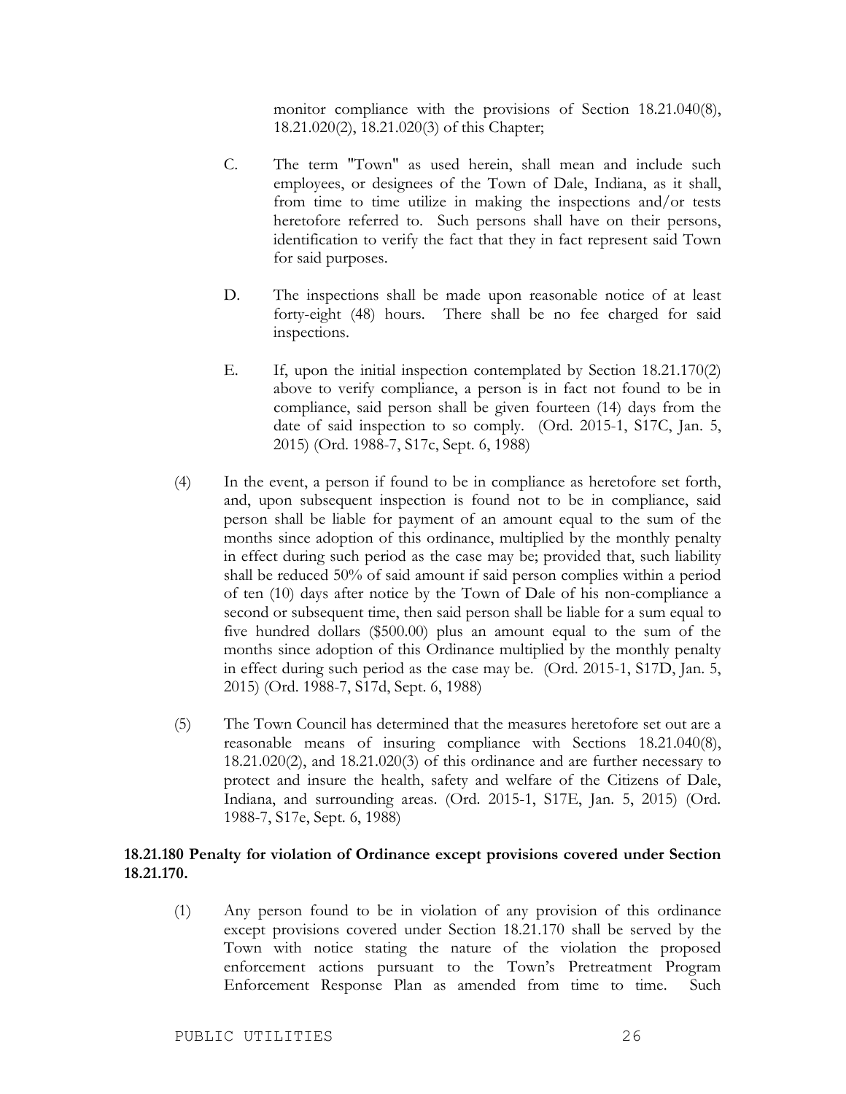monitor compliance with the provisions of Section 18.21.040(8), 18.21.020(2), 18.21.020(3) of this Chapter;

- C. The term "Town" as used herein, shall mean and include such employees, or designees of the Town of Dale, Indiana, as it shall, from time to time utilize in making the inspections and/or tests heretofore referred to. Such persons shall have on their persons, identification to verify the fact that they in fact represent said Town for said purposes.
- D. The inspections shall be made upon reasonable notice of at least forty-eight (48) hours. There shall be no fee charged for said inspections.
- E. If, upon the initial inspection contemplated by Section 18.21.170(2) above to verify compliance, a person is in fact not found to be in compliance, said person shall be given fourteen (14) days from the date of said inspection to so comply. (Ord. 2015-1, S17C, Jan. 5, 2015) (Ord. 1988-7, S17c, Sept. 6, 1988)
- (4) In the event, a person if found to be in compliance as heretofore set forth, and, upon subsequent inspection is found not to be in compliance, said person shall be liable for payment of an amount equal to the sum of the months since adoption of this ordinance, multiplied by the monthly penalty in effect during such period as the case may be; provided that, such liability shall be reduced 50% of said amount if said person complies within a period of ten (10) days after notice by the Town of Dale of his non-compliance a second or subsequent time, then said person shall be liable for a sum equal to five hundred dollars (\$500.00) plus an amount equal to the sum of the months since adoption of this Ordinance multiplied by the monthly penalty in effect during such period as the case may be. (Ord. 2015-1, S17D, Jan. 5, 2015) (Ord. 1988-7, S17d, Sept. 6, 1988)
- (5) The Town Council has determined that the measures heretofore set out are a reasonable means of insuring compliance with Sections 18.21.040(8), 18.21.020(2), and 18.21.020(3) of this ordinance and are further necessary to protect and insure the health, safety and welfare of the Citizens of Dale, Indiana, and surrounding areas. (Ord. 2015-1, S17E, Jan. 5, 2015) (Ord. 1988-7, S17e, Sept. 6, 1988)

## **18.21.180 Penalty for violation of Ordinance except provisions covered under Section 18.21.170.**

(1) Any person found to be in violation of any provision of this ordinance except provisions covered under Section 18.21.170 shall be served by the Town with notice stating the nature of the violation the proposed enforcement actions pursuant to the Town's Pretreatment Program Enforcement Response Plan as amended from time to time. Such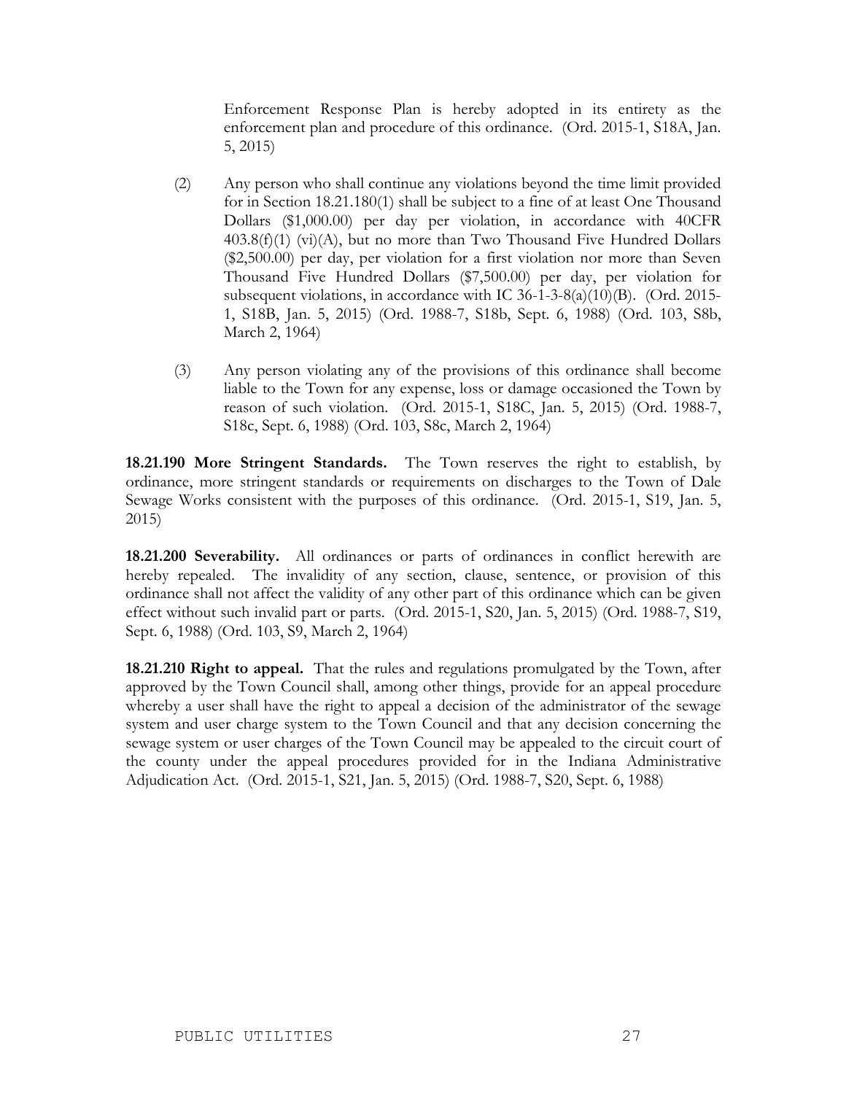Enforcement Response Plan is hereby adopted in its entirety as the enforcement plan and procedure of this ordinance. (Ord. 2015-1, S18A, Jan. 5, 2015)

- (2) Any person who shall continue any violations beyond the time limit provided for in Section 18.21.180(1) shall be subject to a fine of at least One Thousand Dollars (\$1,000.00) per day per violation, in accordance with 40CFR 403.8(f)(1) (vi)(A), but no more than Two Thousand Five Hundred Dollars (\$2,500.00) per day, per violation for a first violation nor more than Seven Thousand Five Hundred Dollars (\$7,500.00) per day, per violation for subsequent violations, in accordance with IC 36-1-3-8(a)(10)(B). (Ord. 2015- 1, S18B, Jan. 5, 2015) (Ord. 1988-7, S18b, Sept. 6, 1988) (Ord. 103, S8b, March 2, 1964)
- (3) Any person violating any of the provisions of this ordinance shall become liable to the Town for any expense, loss or damage occasioned the Town by reason of such violation. (Ord. 2015-1, S18C, Jan. 5, 2015) (Ord. 1988-7, S18c, Sept. 6, 1988) (Ord. 103, S8c, March 2, 1964)

**18.21.190 More Stringent Standards.** The Town reserves the right to establish, by ordinance, more stringent standards or requirements on discharges to the Town of Dale Sewage Works consistent with the purposes of this ordinance. (Ord. 2015-1, S19, Jan. 5, 2015)

**18.21.200 Severability.** All ordinances or parts of ordinances in conflict herewith are hereby repealed. The invalidity of any section, clause, sentence, or provision of this ordinance shall not affect the validity of any other part of this ordinance which can be given effect without such invalid part or parts. (Ord. 2015-1, S20, Jan. 5, 2015) (Ord. 1988-7, S19, Sept. 6, 1988) (Ord. 103, S9, March 2, 1964)

**18.21.210 Right to appeal.** That the rules and regulations promulgated by the Town, after approved by the Town Council shall, among other things, provide for an appeal procedure whereby a user shall have the right to appeal a decision of the administrator of the sewage system and user charge system to the Town Council and that any decision concerning the sewage system or user charges of the Town Council may be appealed to the circuit court of the county under the appeal procedures provided for in the Indiana Administrative Adjudication Act. (Ord. 2015-1, S21, Jan. 5, 2015) (Ord. 1988-7, S20, Sept. 6, 1988)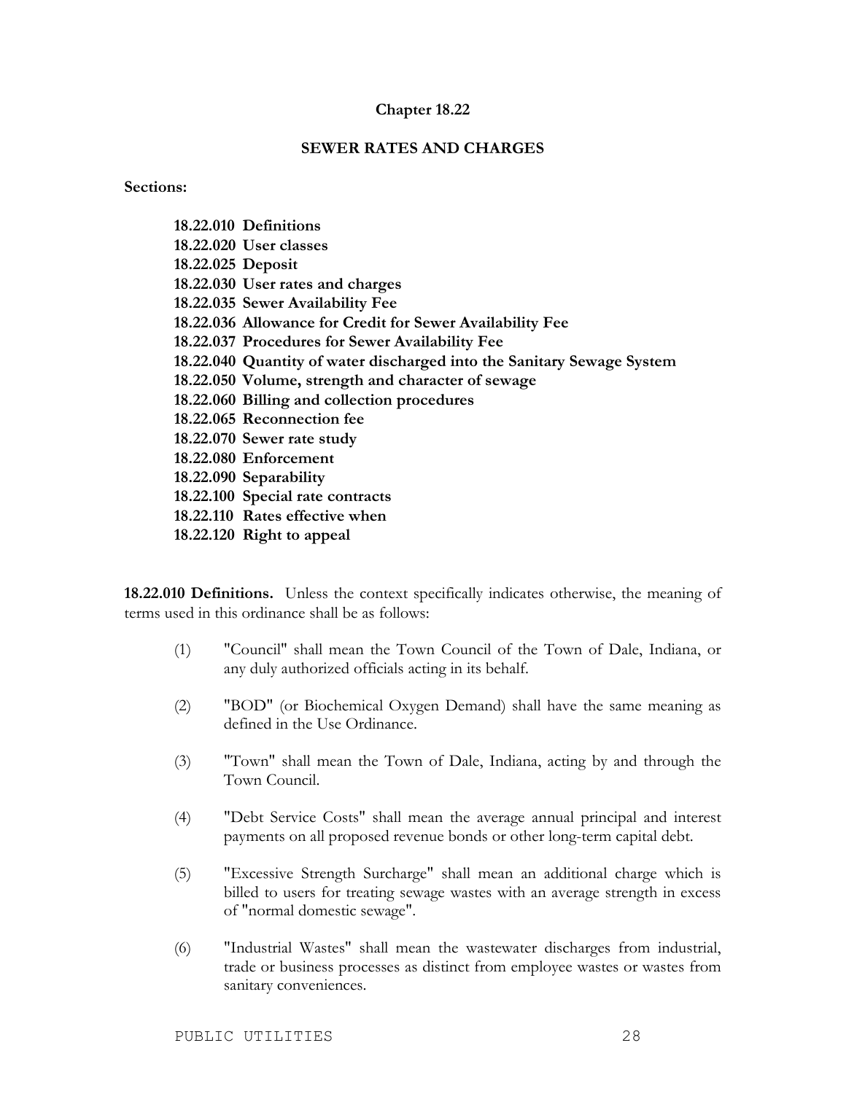#### **Chapter 18.22**

### **SEWER RATES AND CHARGES**

**Sections:**

|                   | 18.22.010 Definitions                                                  |
|-------------------|------------------------------------------------------------------------|
|                   | 18.22.020 User classes                                                 |
| 18.22.025 Deposit |                                                                        |
|                   | 18.22.030 User rates and charges                                       |
|                   | 18.22.035 Sewer Availability Fee                                       |
|                   | 18.22.036 Allowance for Credit for Sewer Availability Fee              |
|                   | 18.22.037 Procedures for Sewer Availability Fee                        |
|                   | 18.22.040 Quantity of water discharged into the Sanitary Sewage System |
|                   | 18.22.050 Volume, strength and character of sewage                     |
|                   | 18.22.060 Billing and collection procedures                            |
|                   | 18.22.065 Reconnection fee                                             |
|                   | 18.22.070 Sewer rate study                                             |
|                   | 18.22.080 Enforcement                                                  |
|                   | 18.22.090 Separability                                                 |
|                   | 18.22.100 Special rate contracts                                       |
|                   | 18.22.110 Rates effective when                                         |
|                   | 18.22.120 Right to appeal                                              |
|                   |                                                                        |

**18.22.010 Definitions.** Unless the context specifically indicates otherwise, the meaning of terms used in this ordinance shall be as follows:

- (1) "Council" shall mean the Town Council of the Town of Dale, Indiana, or any duly authorized officials acting in its behalf.
- (2) "BOD" (or Biochemical Oxygen Demand) shall have the same meaning as defined in the Use Ordinance.
- (3) "Town" shall mean the Town of Dale, Indiana, acting by and through the Town Council.
- (4) "Debt Service Costs" shall mean the average annual principal and interest payments on all proposed revenue bonds or other long-term capital debt.
- (5) "Excessive Strength Surcharge" shall mean an additional charge which is billed to users for treating sewage wastes with an average strength in excess of "normal domestic sewage".
- (6) "Industrial Wastes" shall mean the wastewater discharges from industrial, trade or business processes as distinct from employee wastes or wastes from sanitary conveniences.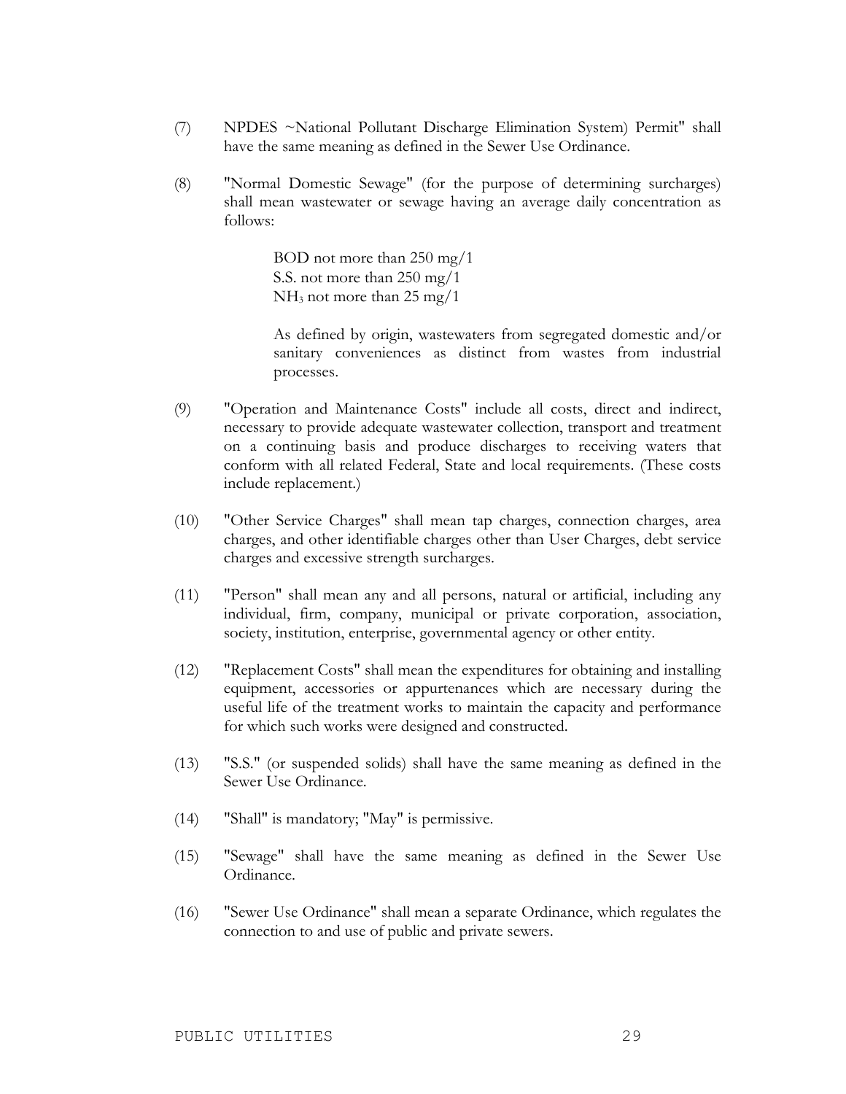- (7) NPDES ~National Pollutant Discharge Elimination System) Permit" shall have the same meaning as defined in the Sewer Use Ordinance.
- (8) "Normal Domestic Sewage" (for the purpose of determining surcharges) shall mean wastewater or sewage having an average daily concentration as follows:

BOD not more than 250 mg/1 S.S. not more than 250 mg/1 NH3 not more than 25 mg/1

As defined by origin, wastewaters from segregated domestic and/or sanitary conveniences as distinct from wastes from industrial processes.

- (9) "Operation and Maintenance Costs" include all costs, direct and indirect, necessary to provide adequate wastewater collection, transport and treatment on a continuing basis and produce discharges to receiving waters that conform with all related Federal, State and local requirements. (These costs include replacement.)
- (10) "Other Service Charges" shall mean tap charges, connection charges, area charges, and other identifiable charges other than User Charges, debt service charges and excessive strength surcharges.
- (11) "Person" shall mean any and all persons, natural or artificial, including any individual, firm, company, municipal or private corporation, association, society, institution, enterprise, governmental agency or other entity.
- (12) "Replacement Costs" shall mean the expenditures for obtaining and installing equipment, accessories or appurtenances which are necessary during the useful life of the treatment works to maintain the capacity and performance for which such works were designed and constructed.
- (13) "S.S." (or suspended solids) shall have the same meaning as defined in the Sewer Use Ordinance.
- (14) "Shall" is mandatory; "May" is permissive.
- (15) "Sewage" shall have the same meaning as defined in the Sewer Use Ordinance.
- (16) "Sewer Use Ordinance" shall mean a separate Ordinance, which regulates the connection to and use of public and private sewers.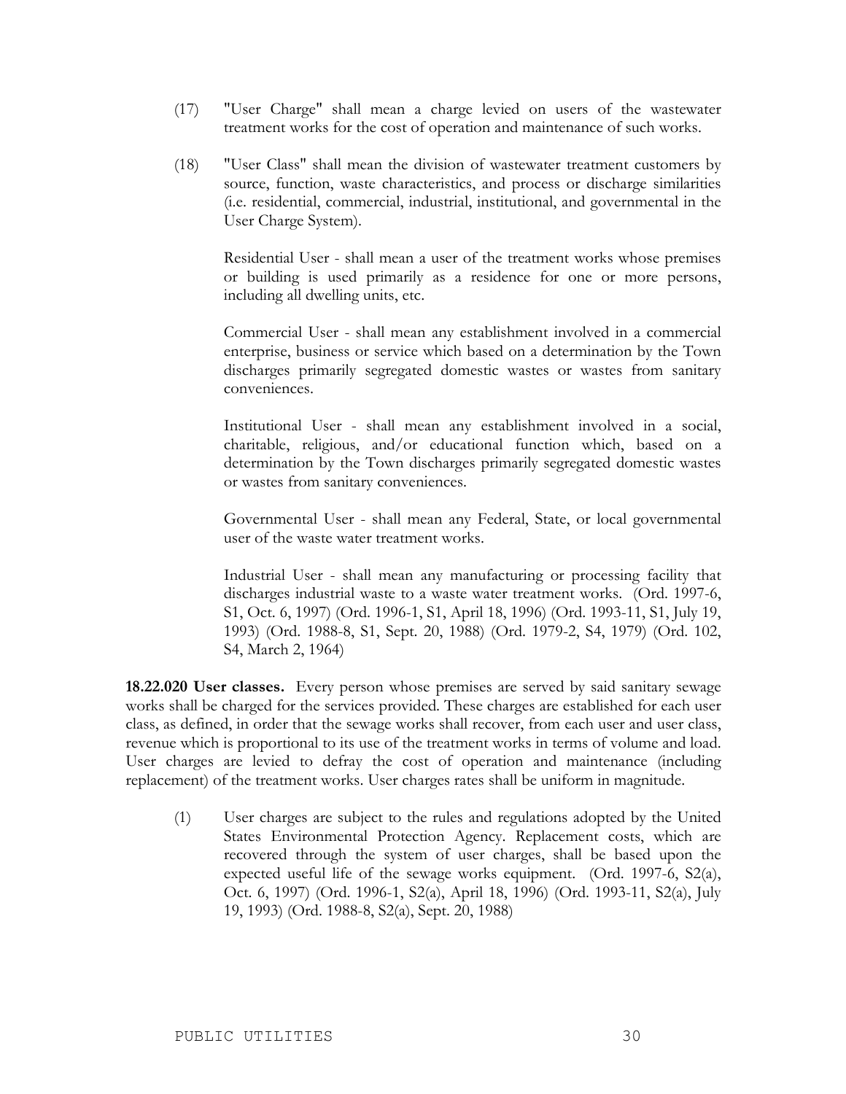- (17) "User Charge" shall mean a charge levied on users of the wastewater treatment works for the cost of operation and maintenance of such works.
- (18) "User Class" shall mean the division of wastewater treatment customers by source, function, waste characteristics, and process or discharge similarities (i.e. residential, commercial, industrial, institutional, and governmental in the User Charge System).

Residential User - shall mean a user of the treatment works whose premises or building is used primarily as a residence for one or more persons, including all dwelling units, etc.

Commercial User - shall mean any establishment involved in a commercial enterprise, business or service which based on a determination by the Town discharges primarily segregated domestic wastes or wastes from sanitary conveniences.

Institutional User - shall mean any establishment involved in a social, charitable, religious, and/or educational function which, based on a determination by the Town discharges primarily segregated domestic wastes or wastes from sanitary conveniences.

Governmental User - shall mean any Federal, State, or local governmental user of the waste water treatment works.

Industrial User - shall mean any manufacturing or processing facility that discharges industrial waste to a waste water treatment works. (Ord. 1997-6, S1, Oct. 6, 1997) (Ord. 1996-1, S1, April 18, 1996) (Ord. 1993-11, S1, July 19, 1993) (Ord. 1988-8, S1, Sept. 20, 1988) (Ord. 1979-2, S4, 1979) (Ord. 102, S4, March 2, 1964)

**18.22.020 User classes.** Every person whose premises are served by said sanitary sewage works shall be charged for the services provided. These charges are established for each user class, as defined, in order that the sewage works shall recover, from each user and user class, revenue which is proportional to its use of the treatment works in terms of volume and load. User charges are levied to defray the cost of operation and maintenance (including replacement) of the treatment works. User charges rates shall be uniform in magnitude.

(1) User charges are subject to the rules and regulations adopted by the United States Environmental Protection Agency. Replacement costs, which are recovered through the system of user charges, shall be based upon the expected useful life of the sewage works equipment. (Ord. 1997-6, S2(a), Oct. 6, 1997) (Ord. 1996-1, S2(a), April 18, 1996) (Ord. 1993-11, S2(a), July 19, 1993) (Ord. 1988-8, S2(a), Sept. 20, 1988)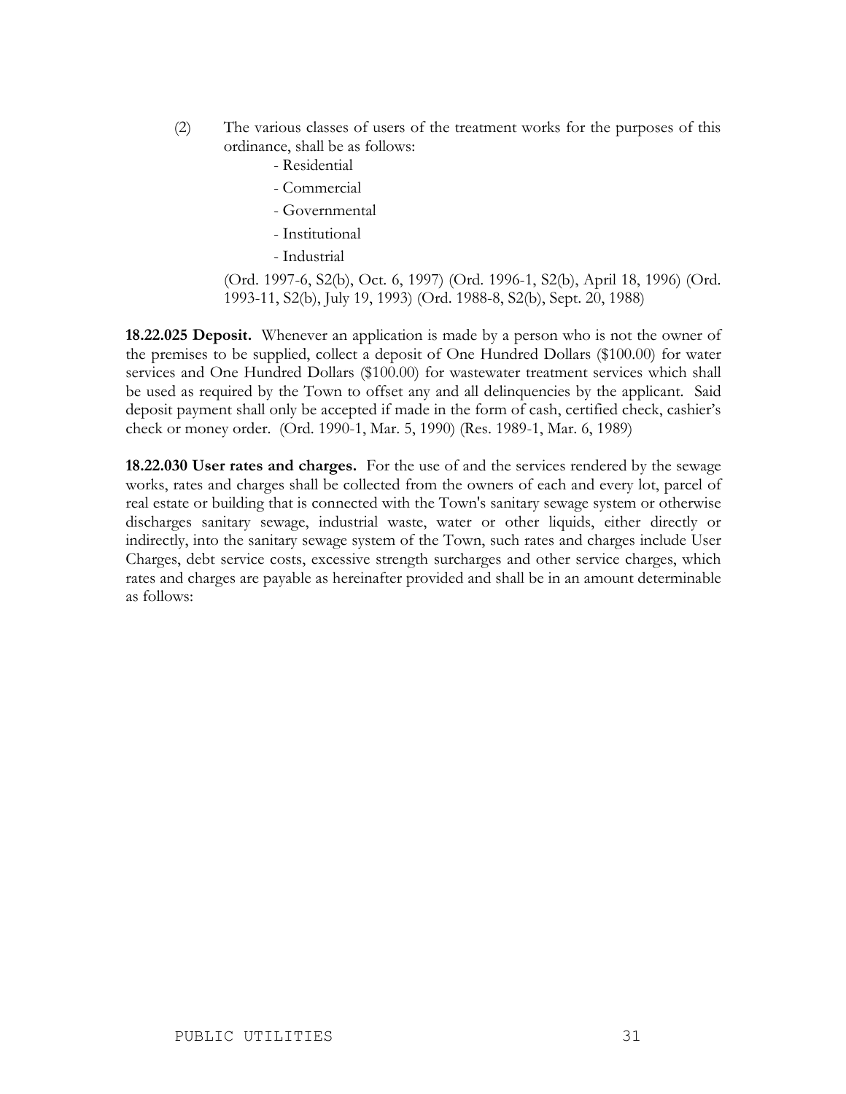- (2) The various classes of users of the treatment works for the purposes of this ordinance, shall be as follows:
	- Residential
	- Commercial
	- Governmental
	- Institutional
	- Industrial

(Ord. 1997-6, S2(b), Oct. 6, 1997) (Ord. 1996-1, S2(b), April 18, 1996) (Ord. 1993-11, S2(b), July 19, 1993) (Ord. 1988-8, S2(b), Sept. 20, 1988)

**18.22.025 Deposit.** Whenever an application is made by a person who is not the owner of the premises to be supplied, collect a deposit of One Hundred Dollars (\$100.00) for water services and One Hundred Dollars (\$100.00) for wastewater treatment services which shall be used as required by the Town to offset any and all delinquencies by the applicant. Said deposit payment shall only be accepted if made in the form of cash, certified check, cashier's check or money order. (Ord. 1990-1, Mar. 5, 1990) (Res. 1989-1, Mar. 6, 1989)

**18.22.030 User rates and charges.** For the use of and the services rendered by the sewage works, rates and charges shall be collected from the owners of each and every lot, parcel of real estate or building that is connected with the Town's sanitary sewage system or otherwise discharges sanitary sewage, industrial waste, water or other liquids, either directly or indirectly, into the sanitary sewage system of the Town, such rates and charges include User Charges, debt service costs, excessive strength surcharges and other service charges, which rates and charges are payable as hereinafter provided and shall be in an amount determinable as follows: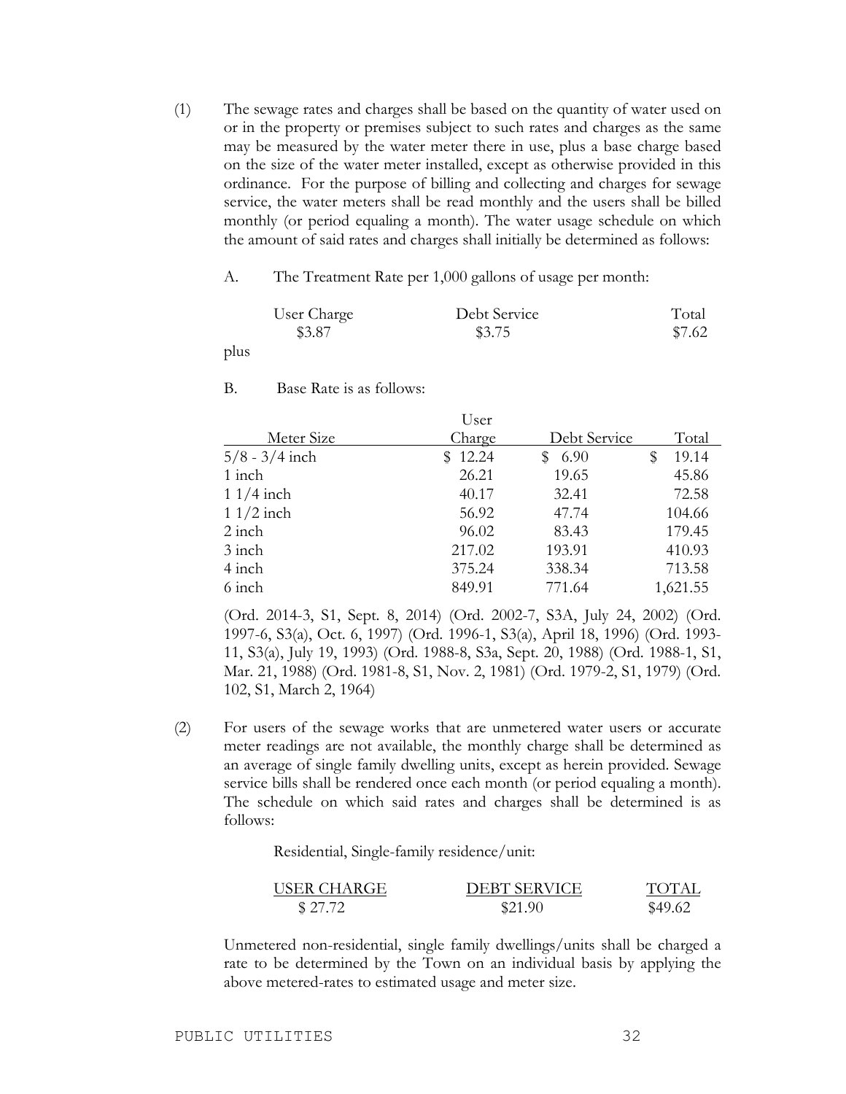(1) The sewage rates and charges shall be based on the quantity of water used on or in the property or premises subject to such rates and charges as the same may be measured by the water meter there in use, plus a base charge based on the size of the water meter installed, except as otherwise provided in this ordinance. For the purpose of billing and collecting and charges for sewage service, the water meters shall be read monthly and the users shall be billed monthly (or period equaling a month). The water usage schedule on which the amount of said rates and charges shall initially be determined as follows:

#### A. The Treatment Rate per 1,000 gallons of usage per month:

| User Charge | Debt Service | Total  |
|-------------|--------------|--------|
| \$3.87      | \$3.75       | \$7.62 |

plus

B. Base Rate is as follows:

|                  | User    |              |            |
|------------------|---------|--------------|------------|
| Meter Size       | Charge  | Debt Service | Total      |
| $5/8 - 3/4$ inch | \$12.24 | 6.90         | 19.14<br>S |
| 1 inch           | 26.21   | 19.65        | 45.86      |
| $11/4$ inch      | 40.17   | 32.41        | 72.58      |
| $11/2$ inch      | 56.92   | 47.74        | 104.66     |
| $2$ inch         | 96.02   | 83.43        | 179.45     |
| $3$ inch         | 217.02  | 193.91       | 410.93     |
| 4 inch           | 375.24  | 338.34       | 713.58     |
| 6 inch           | 849.91  | 771.64       | 1,621.55   |

(Ord. 2014-3, S1, Sept. 8, 2014) (Ord. 2002-7, S3A, July 24, 2002) (Ord. 1997-6, S3(a), Oct. 6, 1997) (Ord. 1996-1, S3(a), April 18, 1996) (Ord. 1993- 11, S3(a), July 19, 1993) (Ord. 1988-8, S3a, Sept. 20, 1988) (Ord. 1988-1, S1, Mar. 21, 1988) (Ord. 1981-8, S1, Nov. 2, 1981) (Ord. 1979-2, S1, 1979) (Ord. 102, S1, March 2, 1964)

(2) For users of the sewage works that are unmetered water users or accurate meter readings are not available, the monthly charge shall be determined as an average of single family dwelling units, except as herein provided. Sewage service bills shall be rendered once each month (or period equaling a month). The schedule on which said rates and charges shall be determined is as follows:

Residential, Single-family residence/unit:

| USER CHARGE | <b>DEBT SERVICE</b> | TOTAL   |
|-------------|---------------------|---------|
| \$27.72     | \$21.90             | \$49.62 |

Unmetered non-residential, single family dwellings/units shall be charged a rate to be determined by the Town on an individual basis by applying the above metered-rates to estimated usage and meter size.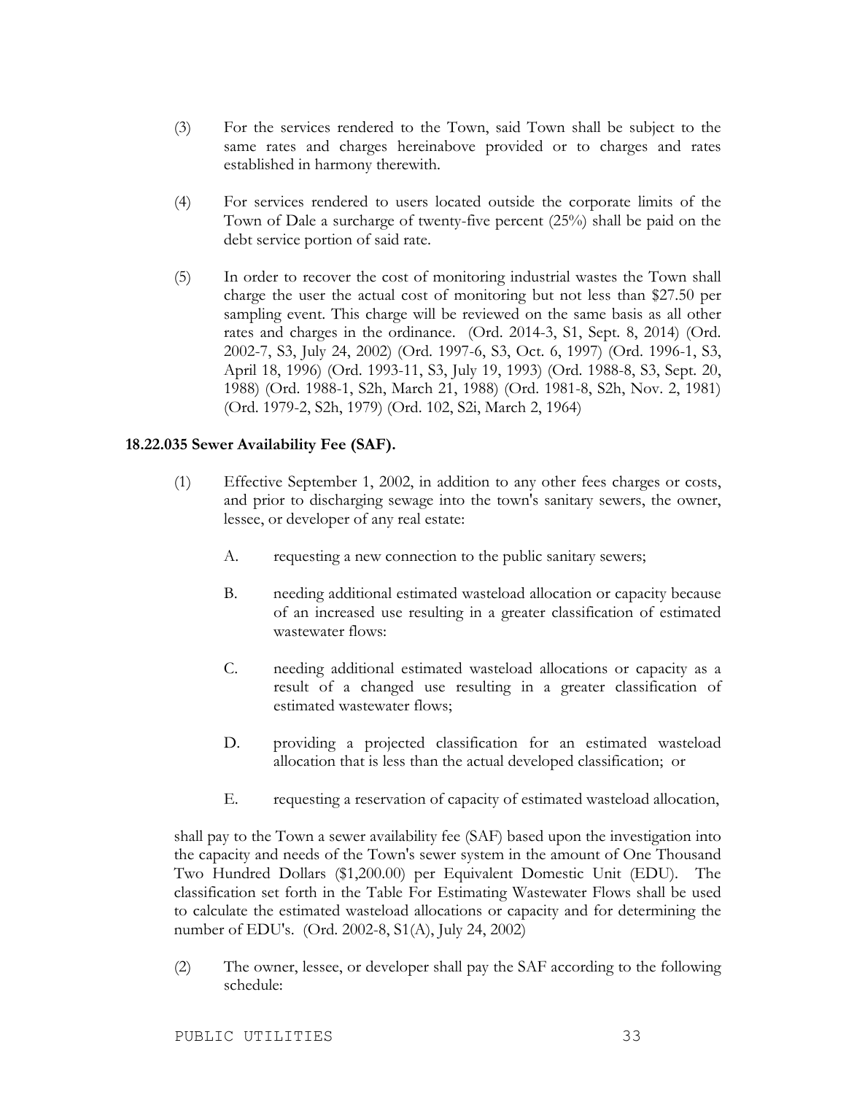- (3) For the services rendered to the Town, said Town shall be subject to the same rates and charges hereinabove provided or to charges and rates established in harmony therewith.
- (4) For services rendered to users located outside the corporate limits of the Town of Dale a surcharge of twenty-five percent (25%) shall be paid on the debt service portion of said rate.
- (5) In order to recover the cost of monitoring industrial wastes the Town shall charge the user the actual cost of monitoring but not less than \$27.50 per sampling event. This charge will be reviewed on the same basis as all other rates and charges in the ordinance. (Ord. 2014-3, S1, Sept. 8, 2014) (Ord. 2002-7, S3, July 24, 2002) (Ord. 1997-6, S3, Oct. 6, 1997) (Ord. 1996-1, S3, April 18, 1996) (Ord. 1993-11, S3, July 19, 1993) (Ord. 1988-8, S3, Sept. 20, 1988) (Ord. 1988-1, S2h, March 21, 1988) (Ord. 1981-8, S2h, Nov. 2, 1981) (Ord. 1979-2, S2h, 1979) (Ord. 102, S2i, March 2, 1964)

#### **18.22.035 Sewer Availability Fee (SAF).**

- (1) Effective September 1, 2002, in addition to any other fees charges or costs, and prior to discharging sewage into the town's sanitary sewers, the owner, lessee, or developer of any real estate:
	- A. requesting a new connection to the public sanitary sewers;
	- B. needing additional estimated wasteload allocation or capacity because of an increased use resulting in a greater classification of estimated wastewater flows:
	- C. needing additional estimated wasteload allocations or capacity as a result of a changed use resulting in a greater classification of estimated wastewater flows;
	- D. providing a projected classification for an estimated wasteload allocation that is less than the actual developed classification; or
	- E. requesting a reservation of capacity of estimated wasteload allocation,

shall pay to the Town a sewer availability fee (SAF) based upon the investigation into the capacity and needs of the Town's sewer system in the amount of One Thousand Two Hundred Dollars (\$1,200.00) per Equivalent Domestic Unit (EDU). The classification set forth in the Table For Estimating Wastewater Flows shall be used to calculate the estimated wasteload allocations or capacity and for determining the number of EDU's. (Ord. 2002-8, S1(A), July 24, 2002)

(2) The owner, lessee, or developer shall pay the SAF according to the following schedule: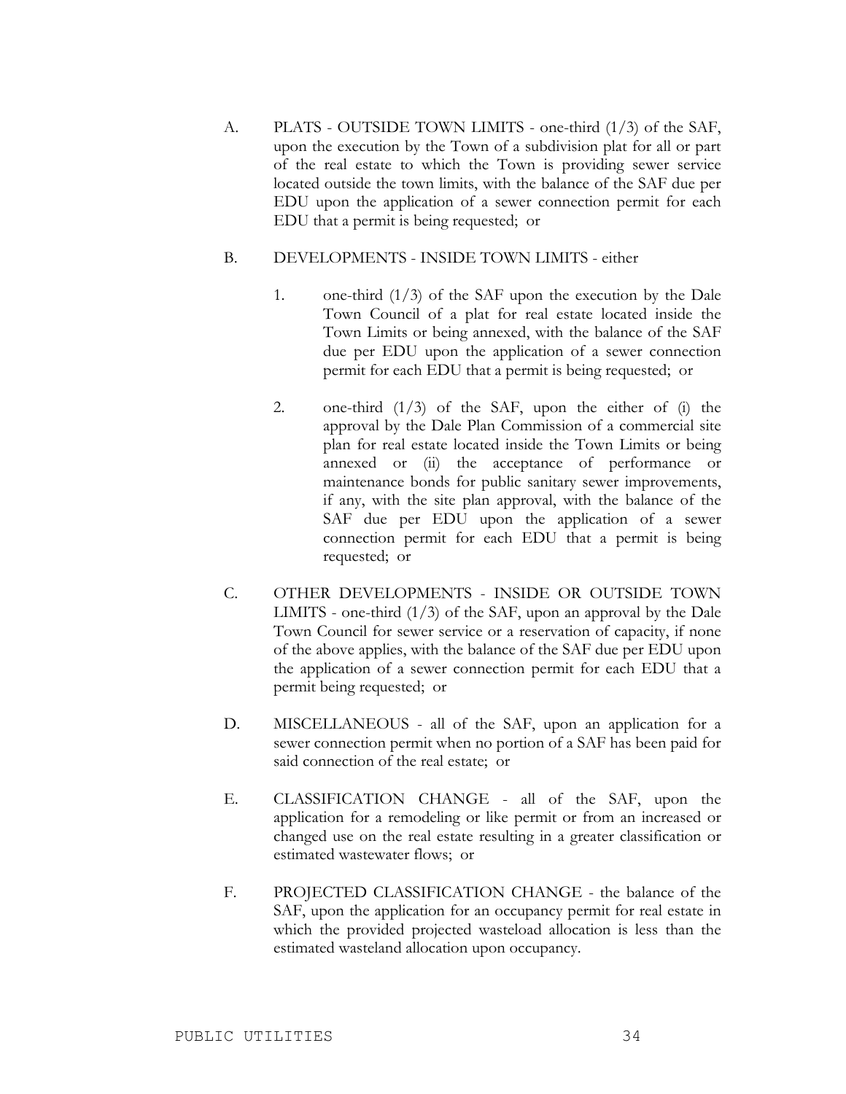A. PLATS - OUTSIDE TOWN LIMITS - one-third (1/3) of the SAF, upon the execution by the Town of a subdivision plat for all or part of the real estate to which the Town is providing sewer service located outside the town limits, with the balance of the SAF due per EDU upon the application of a sewer connection permit for each EDU that a permit is being requested; or

#### B. DEVELOPMENTS - INSIDE TOWN LIMITS - either

- 1. one-third  $(1/3)$  of the SAF upon the execution by the Dale Town Council of a plat for real estate located inside the Town Limits or being annexed, with the balance of the SAF due per EDU upon the application of a sewer connection permit for each EDU that a permit is being requested; or
- 2. one-third  $(1/3)$  of the SAF, upon the either of  $(i)$  the approval by the Dale Plan Commission of a commercial site plan for real estate located inside the Town Limits or being annexed or (ii) the acceptance of performance or maintenance bonds for public sanitary sewer improvements, if any, with the site plan approval, with the balance of the SAF due per EDU upon the application of a sewer connection permit for each EDU that a permit is being requested; or
- C. OTHER DEVELOPMENTS INSIDE OR OUTSIDE TOWN LIMITS - one-third  $(1/3)$  of the SAF, upon an approval by the Dale Town Council for sewer service or a reservation of capacity, if none of the above applies, with the balance of the SAF due per EDU upon the application of a sewer connection permit for each EDU that a permit being requested; or
- D. MISCELLANEOUS all of the SAF, upon an application for a sewer connection permit when no portion of a SAF has been paid for said connection of the real estate; or
- E. CLASSIFICATION CHANGE all of the SAF, upon the application for a remodeling or like permit or from an increased or changed use on the real estate resulting in a greater classification or estimated wastewater flows; or
- F. PROJECTED CLASSIFICATION CHANGE the balance of the SAF, upon the application for an occupancy permit for real estate in which the provided projected wasteload allocation is less than the estimated wasteland allocation upon occupancy.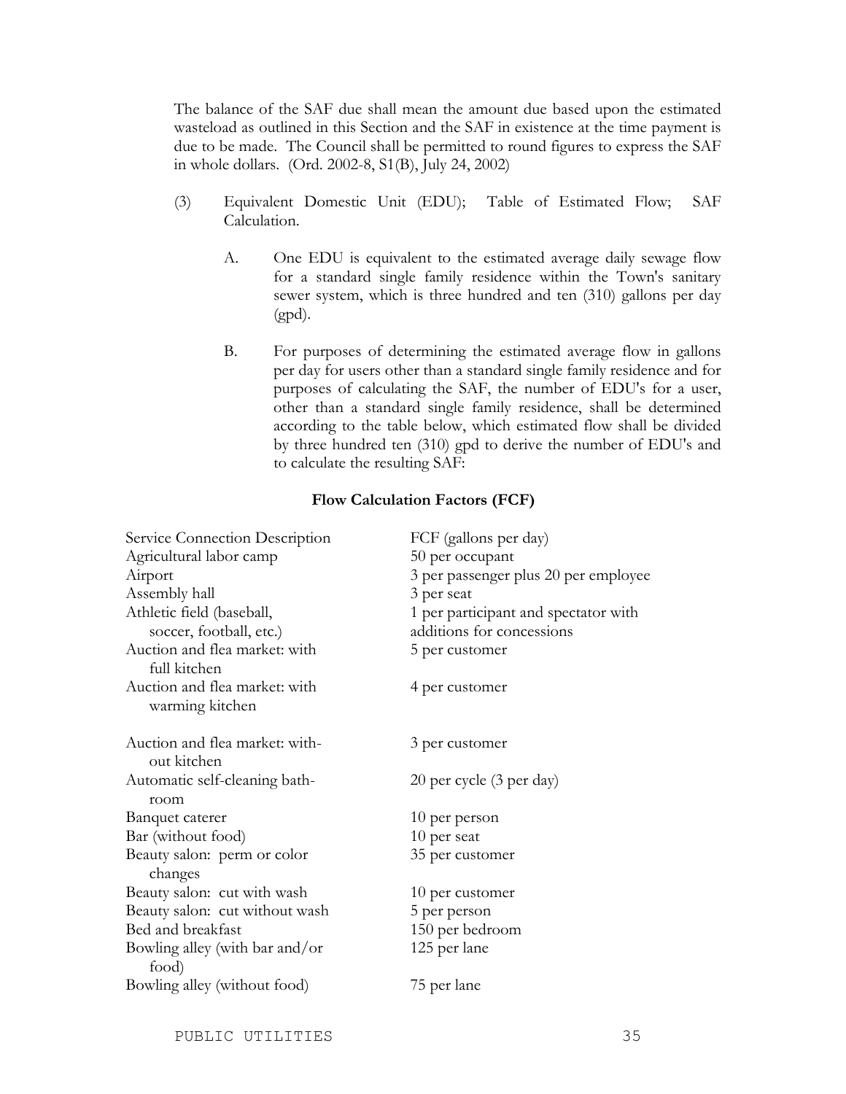The balance of the SAF due shall mean the amount due based upon the estimated wasteload as outlined in this Section and the SAF in existence at the time payment is due to be made. The Council shall be permitted to round figures to express the SAF in whole dollars. (Ord. 2002-8, S1(B), July 24, 2002)

- (3) Equivalent Domestic Unit (EDU); Table of Estimated Flow; SAF Calculation.
	- A. One EDU is equivalent to the estimated average daily sewage flow for a standard single family residence within the Town's sanitary sewer system, which is three hundred and ten (310) gallons per day (gpd).
	- B. For purposes of determining the estimated average flow in gallons per day for users other than a standard single family residence and for purposes of calculating the SAF, the number of EDU's for a user, other than a standard single family residence, shall be determined according to the table below, which estimated flow shall be divided by three hundred ten (310) gpd to derive the number of EDU's and to calculate the resulting SAF:

#### **Flow Calculation Factors (FCF)**

| Service Connection Description                       | FCF (gallons per day)                                             |  |
|------------------------------------------------------|-------------------------------------------------------------------|--|
| Agricultural labor camp                              | 50 per occupant                                                   |  |
| Airport                                              | 3 per passenger plus 20 per employee                              |  |
| Assembly hall                                        | 3 per seat                                                        |  |
| Athletic field (baseball,<br>soccer, football, etc.) | 1 per participant and spectator with<br>additions for concessions |  |
| Auction and flea market: with<br>full kitchen        | 5 per customer                                                    |  |
| Auction and flea market: with<br>warming kitchen     | 4 per customer                                                    |  |
| Auction and flea market: with-<br>out kitchen        | 3 per customer                                                    |  |
| Automatic self-cleaning bath-<br>room                | 20 per cycle (3 per day)                                          |  |
| <b>Banquet caterer</b>                               | 10 per person                                                     |  |
| Bar (without food)                                   | 10 per seat                                                       |  |
| Beauty salon: perm or color<br>changes               | 35 per customer                                                   |  |
| Beauty salon: cut with wash                          | 10 per customer                                                   |  |
| Beauty salon: cut without wash                       | 5 per person                                                      |  |
| Bed and breakfast                                    | 150 per bedroom                                                   |  |
| Bowling alley (with bar and/or<br>food)              | 125 per lane                                                      |  |
| Bowling alley (without food)                         | 75 per lane                                                       |  |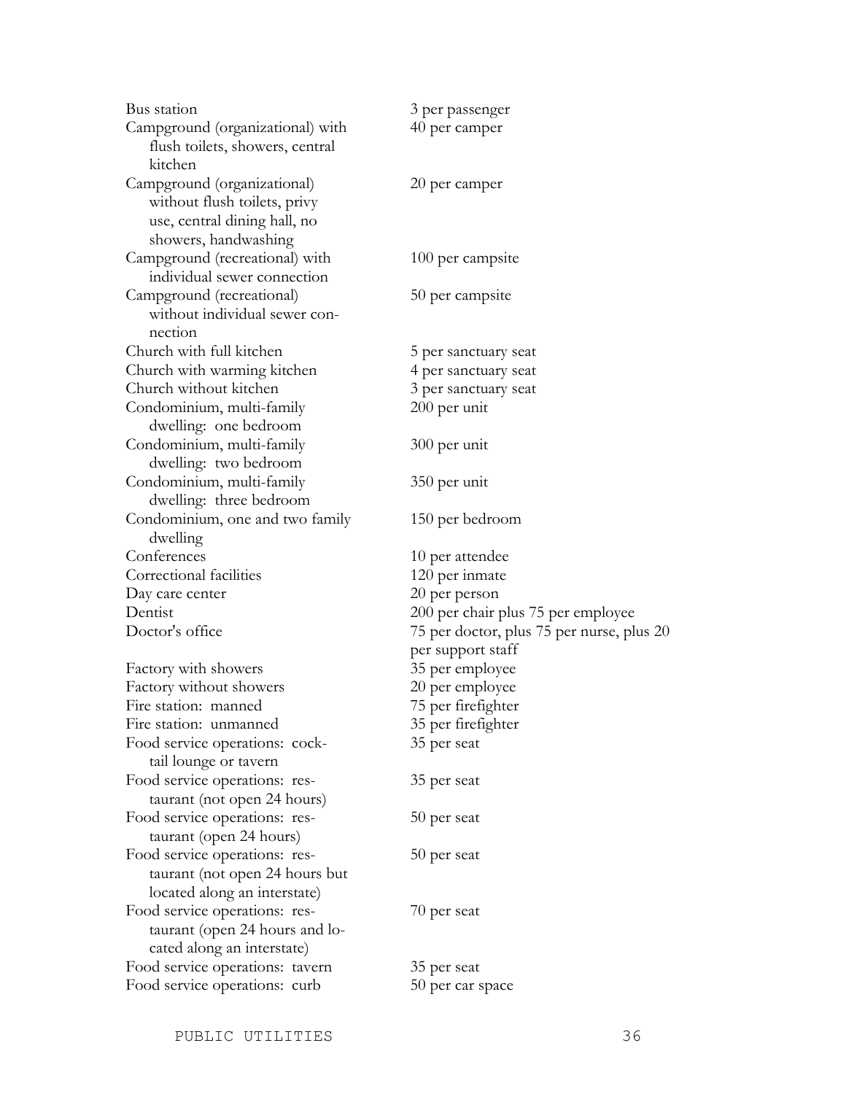Bus station 3 per passenger Campground (organizational) with 40 per camper flush toilets, showers, central kitchen Campground (organizational) 20 per camper without flush toilets, privy use, central dining hall, no showers, handwashing Campground (recreational) with 100 per campsite individual sewer connection Campground (recreational) 50 per campsite without individual sewer connection Church with full kitchen 5 per sanctuary seat Church with warming kitchen 4 per sanctuary seat Church without kitchen 3 per sanctuary seat Condominium, multi-family 200 per unit dwelling: one bedroom Condominium, multi-family 300 per unit dwelling: two bedroom Condominium, multi-family 350 per unit dwelling: three bedroom Condominium, one and two family 150 per bedroom dwelling Conferences 10 per attendee Correctional facilities 120 per inmate Day care center 20 per person Dentist 200 per chair plus 75 per employee Factory with showers 35 per employee Factory without showers 20 per employee Fire station: manned 75 per firefighter Fire station: unmanned 35 per firefighter Food service operations: cock-<br>35 per seat tail lounge or tavern Food service operations: res- 35 per seat taurant (not open 24 hours) Food service operations: res- 50 per seat taurant (open 24 hours) Food service operations: res- 50 per seat taurant (not open 24 hours but located along an interstate) Food service operations: res- 70 per seat taurant (open 24 hours and located along an interstate)

Doctor's office 75 per doctor, plus 75 per nurse, plus 20 per support staff Food service operations: tavern 35 per seat

Food service operations: curb 50 per car space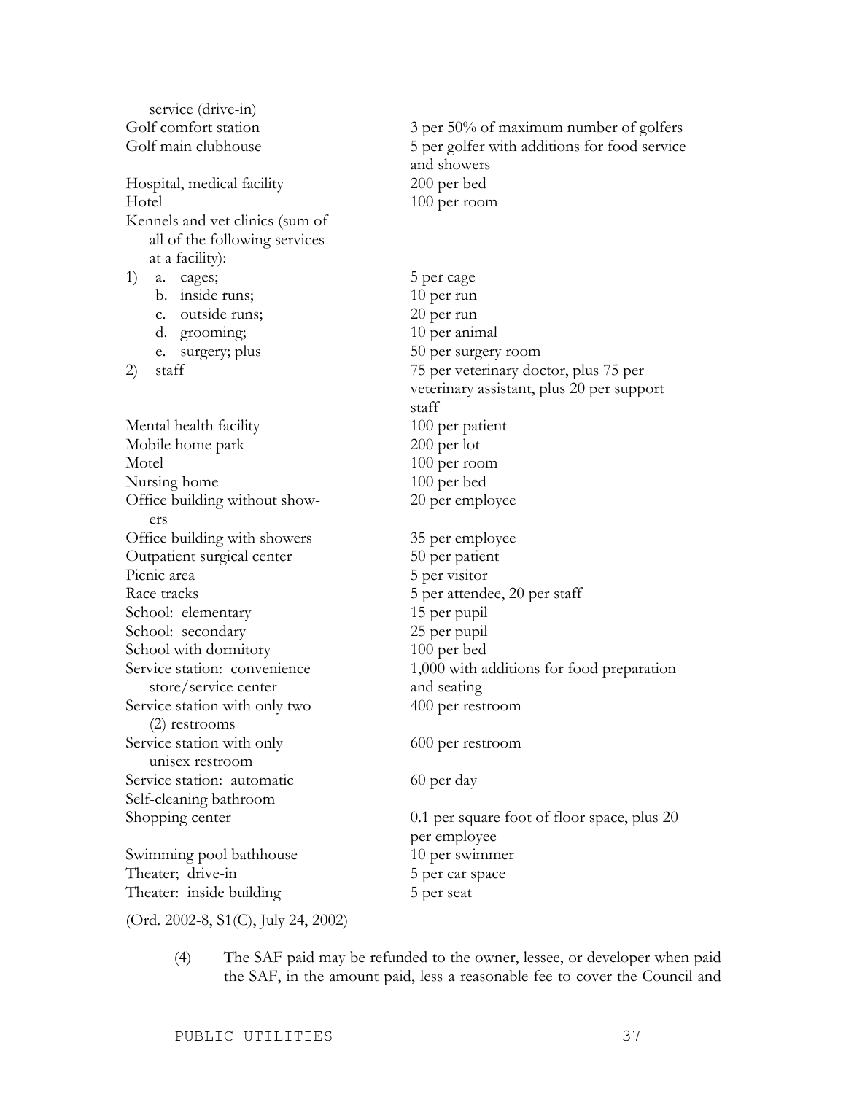service (drive-in) Golf comfort station 3 per 50% of maximum number of golfers Golf main clubhouse 5 per golfer with additions for food service and showers Hospital, medical facility 200 per bed Hotel 100 per room Kennels and vet clinics (sum of all of the following services at a facility): 1) a. cages; 5 per cage b. inside runs; 10 per run c. outside runs; 20 per run d. grooming; 10 per animal e. surgery; plus 50 per surgery room 2) staff 75 per veterinary doctor, plus 75 per staff Mental health facility 100 per patient Mobile home park 200 per lot Motel 100 per room Nursing home 100 per bed Office building without show-<br>20 per employee ers Office building with showers 35 per employee Outpatient surgical center 50 per patient Picnic area 5 per visitor Race tracks 5 per attendee, 20 per staff School: elementary 15 per pupil School: secondary 25 per pupil School with dormitory 100 per bed Service station: convenience 1,000 with additions for food preparation store/service center and seating Service station with only two 400 per restroom (2) restrooms Service station with only 600 per restroom unisex restroom Service station: automatic 60 per day Self-cleaning bathroom Shopping center 0.1 per square foot of floor space, plus 20 per employee Swimming pool bathhouse 10 per swimmer Theater; drive-in 5 per car space Theater: inside building 5 per seat

veterinary assistant, plus 20 per support

(Ord. 2002-8, S1(C), July 24, 2002)

(4) The SAF paid may be refunded to the owner, lessee, or developer when paid the SAF, in the amount paid, less a reasonable fee to cover the Council and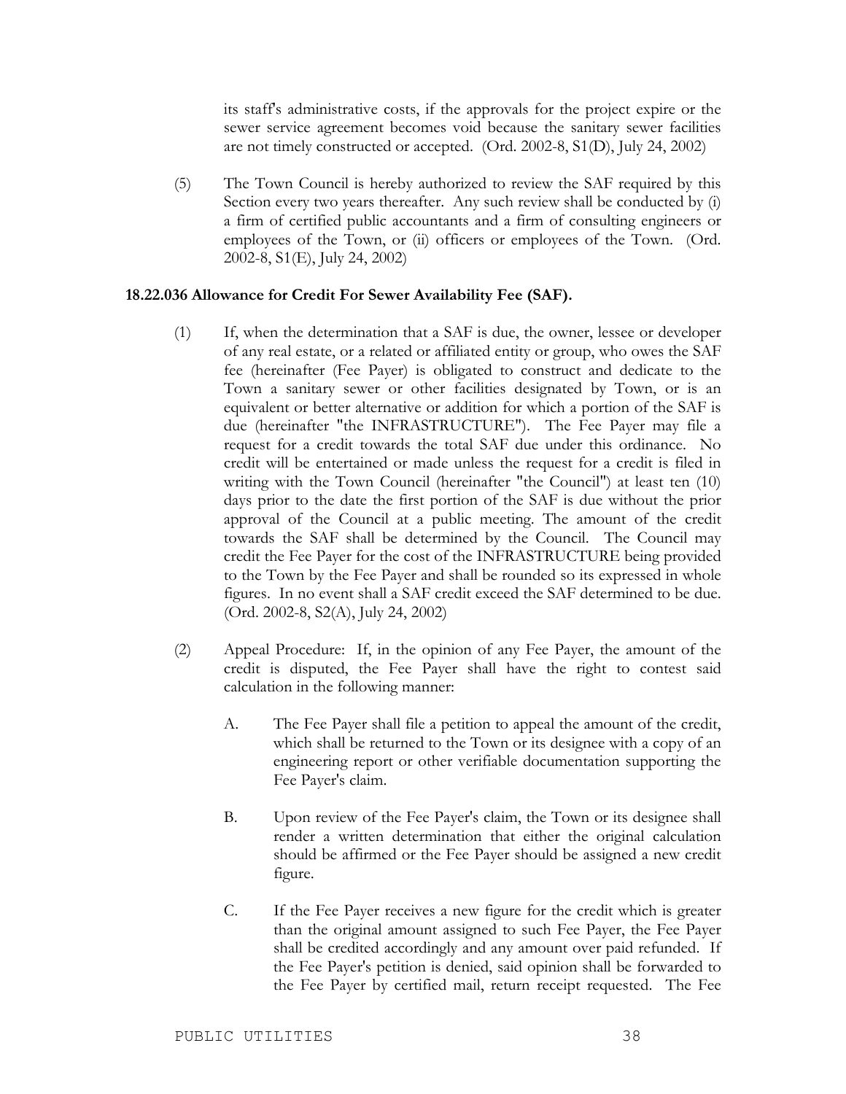its staff's administrative costs, if the approvals for the project expire or the sewer service agreement becomes void because the sanitary sewer facilities are not timely constructed or accepted. (Ord. 2002-8, S1(D), July 24, 2002)

(5) The Town Council is hereby authorized to review the SAF required by this Section every two years thereafter. Any such review shall be conducted by (i) a firm of certified public accountants and a firm of consulting engineers or employees of the Town, or (ii) officers or employees of the Town. (Ord. 2002-8, S1(E), July 24, 2002)

#### **18.22.036 Allowance for Credit For Sewer Availability Fee (SAF).**

- (1) If, when the determination that a SAF is due, the owner, lessee or developer of any real estate, or a related or affiliated entity or group, who owes the SAF fee (hereinafter (Fee Payer) is obligated to construct and dedicate to the Town a sanitary sewer or other facilities designated by Town, or is an equivalent or better alternative or addition for which a portion of the SAF is due (hereinafter "the INFRASTRUCTURE"). The Fee Payer may file a request for a credit towards the total SAF due under this ordinance. No credit will be entertained or made unless the request for a credit is filed in writing with the Town Council (hereinafter "the Council") at least ten (10) days prior to the date the first portion of the SAF is due without the prior approval of the Council at a public meeting. The amount of the credit towards the SAF shall be determined by the Council. The Council may credit the Fee Payer for the cost of the INFRASTRUCTURE being provided to the Town by the Fee Payer and shall be rounded so its expressed in whole figures. In no event shall a SAF credit exceed the SAF determined to be due. (Ord. 2002-8, S2(A), July 24, 2002)
- (2) Appeal Procedure: If, in the opinion of any Fee Payer, the amount of the credit is disputed, the Fee Payer shall have the right to contest said calculation in the following manner:
	- A. The Fee Payer shall file a petition to appeal the amount of the credit, which shall be returned to the Town or its designee with a copy of an engineering report or other verifiable documentation supporting the Fee Payer's claim.
	- B. Upon review of the Fee Payer's claim, the Town or its designee shall render a written determination that either the original calculation should be affirmed or the Fee Payer should be assigned a new credit figure.
	- C. If the Fee Payer receives a new figure for the credit which is greater than the original amount assigned to such Fee Payer, the Fee Payer shall be credited accordingly and any amount over paid refunded. If the Fee Payer's petition is denied, said opinion shall be forwarded to the Fee Payer by certified mail, return receipt requested. The Fee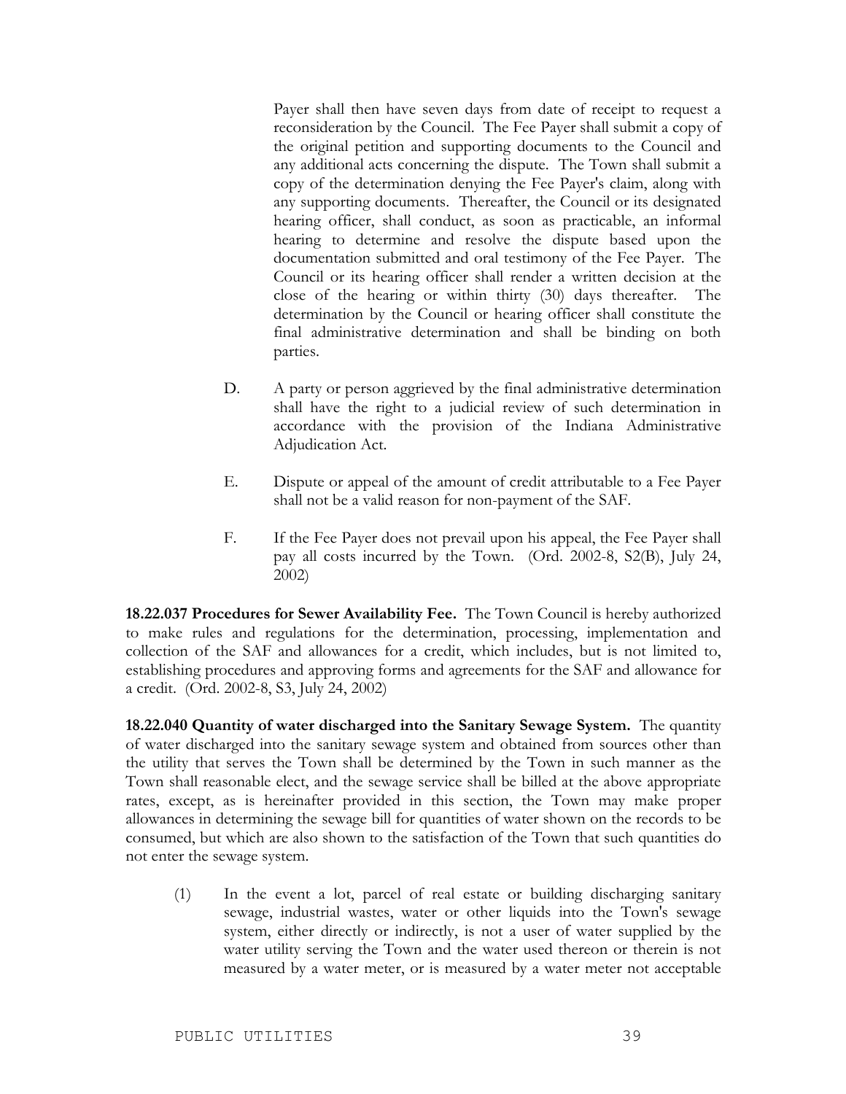Payer shall then have seven days from date of receipt to request a reconsideration by the Council. The Fee Payer shall submit a copy of the original petition and supporting documents to the Council and any additional acts concerning the dispute. The Town shall submit a copy of the determination denying the Fee Payer's claim, along with any supporting documents. Thereafter, the Council or its designated hearing officer, shall conduct, as soon as practicable, an informal hearing to determine and resolve the dispute based upon the documentation submitted and oral testimony of the Fee Payer. The Council or its hearing officer shall render a written decision at the close of the hearing or within thirty (30) days thereafter. The determination by the Council or hearing officer shall constitute the final administrative determination and shall be binding on both parties.

- D. A party or person aggrieved by the final administrative determination shall have the right to a judicial review of such determination in accordance with the provision of the Indiana Administrative Adjudication Act.
- E. Dispute or appeal of the amount of credit attributable to a Fee Payer shall not be a valid reason for non-payment of the SAF.
- F. If the Fee Payer does not prevail upon his appeal, the Fee Payer shall pay all costs incurred by the Town. (Ord. 2002-8, S2(B), July 24, 2002)

**18.22.037 Procedures for Sewer Availability Fee.** The Town Council is hereby authorized to make rules and regulations for the determination, processing, implementation and collection of the SAF and allowances for a credit, which includes, but is not limited to, establishing procedures and approving forms and agreements for the SAF and allowance for a credit. (Ord. 2002-8, S3, July 24, 2002)

**18.22.040 Quantity of water discharged into the Sanitary Sewage System.** The quantity of water discharged into the sanitary sewage system and obtained from sources other than the utility that serves the Town shall be determined by the Town in such manner as the Town shall reasonable elect, and the sewage service shall be billed at the above appropriate rates, except, as is hereinafter provided in this section, the Town may make proper allowances in determining the sewage bill for quantities of water shown on the records to be consumed, but which are also shown to the satisfaction of the Town that such quantities do not enter the sewage system.

(1) In the event a lot, parcel of real estate or building discharging sanitary sewage, industrial wastes, water or other liquids into the Town's sewage system, either directly or indirectly, is not a user of water supplied by the water utility serving the Town and the water used thereon or therein is not measured by a water meter, or is measured by a water meter not acceptable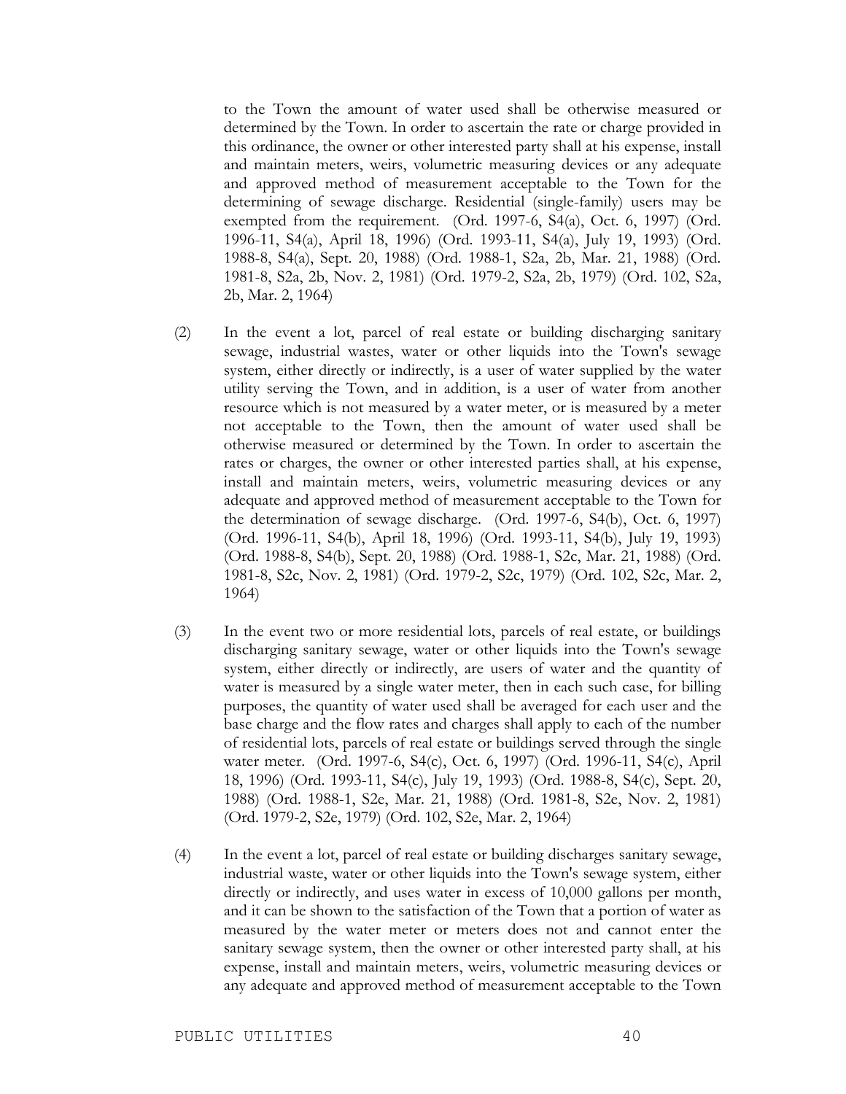to the Town the amount of water used shall be otherwise measured or determined by the Town. In order to ascertain the rate or charge provided in this ordinance, the owner or other interested party shall at his expense, install and maintain meters, weirs, volumetric measuring devices or any adequate and approved method of measurement acceptable to the Town for the determining of sewage discharge. Residential (single-family) users may be exempted from the requirement. (Ord. 1997-6, S4(a), Oct. 6, 1997) (Ord. 1996-11, S4(a), April 18, 1996) (Ord. 1993-11, S4(a), July 19, 1993) (Ord. 1988-8, S4(a), Sept. 20, 1988) (Ord. 1988-1, S2a, 2b, Mar. 21, 1988) (Ord. 1981-8, S2a, 2b, Nov. 2, 1981) (Ord. 1979-2, S2a, 2b, 1979) (Ord. 102, S2a, 2b, Mar. 2, 1964)

- (2) In the event a lot, parcel of real estate or building discharging sanitary sewage, industrial wastes, water or other liquids into the Town's sewage system, either directly or indirectly, is a user of water supplied by the water utility serving the Town, and in addition, is a user of water from another resource which is not measured by a water meter, or is measured by a meter not acceptable to the Town, then the amount of water used shall be otherwise measured or determined by the Town. In order to ascertain the rates or charges, the owner or other interested parties shall, at his expense, install and maintain meters, weirs, volumetric measuring devices or any adequate and approved method of measurement acceptable to the Town for the determination of sewage discharge. (Ord. 1997-6, S4(b), Oct. 6, 1997) (Ord. 1996-11, S4(b), April 18, 1996) (Ord. 1993-11, S4(b), July 19, 1993) (Ord. 1988-8, S4(b), Sept. 20, 1988) (Ord. 1988-1, S2c, Mar. 21, 1988) (Ord. 1981-8, S2c, Nov. 2, 1981) (Ord. 1979-2, S2c, 1979) (Ord. 102, S2c, Mar. 2, 1964)
- (3) In the event two or more residential lots, parcels of real estate, or buildings discharging sanitary sewage, water or other liquids into the Town's sewage system, either directly or indirectly, are users of water and the quantity of water is measured by a single water meter, then in each such case, for billing purposes, the quantity of water used shall be averaged for each user and the base charge and the flow rates and charges shall apply to each of the number of residential lots, parcels of real estate or buildings served through the single water meter. (Ord. 1997-6, S4(c), Oct. 6, 1997) (Ord. 1996-11, S4(c), April 18, 1996) (Ord. 1993-11, S4(c), July 19, 1993) (Ord. 1988-8, S4(c), Sept. 20, 1988) (Ord. 1988-1, S2e, Mar. 21, 1988) (Ord. 1981-8, S2e, Nov. 2, 1981) (Ord. 1979-2, S2e, 1979) (Ord. 102, S2e, Mar. 2, 1964)
- (4) In the event a lot, parcel of real estate or building discharges sanitary sewage, industrial waste, water or other liquids into the Town's sewage system, either directly or indirectly, and uses water in excess of 10,000 gallons per month, and it can be shown to the satisfaction of the Town that a portion of water as measured by the water meter or meters does not and cannot enter the sanitary sewage system, then the owner or other interested party shall, at his expense, install and maintain meters, weirs, volumetric measuring devices or any adequate and approved method of measurement acceptable to the Town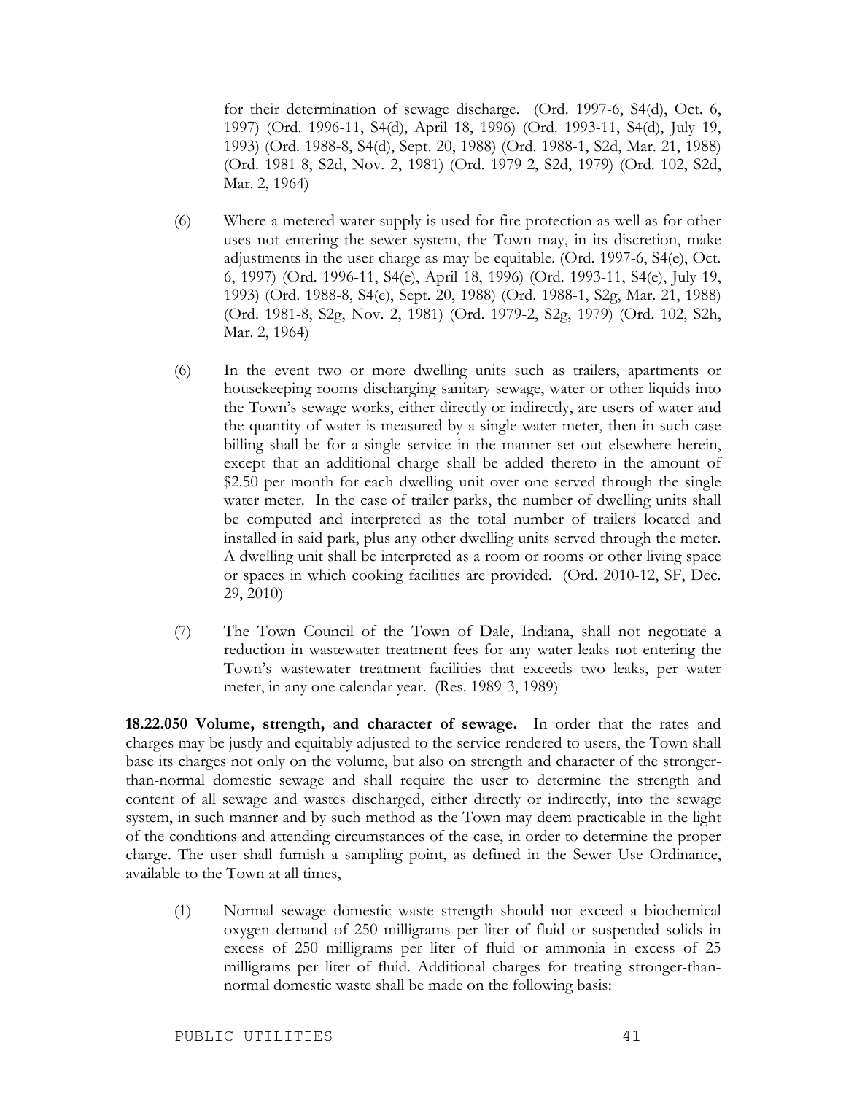for their determination of sewage discharge. (Ord. 1997-6, S4(d), Oct. 6, 1997) (Ord. 1996-11, S4(d), April 18, 1996) (Ord. 1993-11, S4(d), July 19, 1993) (Ord. 1988-8, S4(d), Sept. 20, 1988) (Ord. 1988-1, S2d, Mar. 21, 1988) (Ord. 1981-8, S2d, Nov. 2, 1981) (Ord. 1979-2, S2d, 1979) (Ord. 102, S2d, Mar. 2, 1964)

- (6) Where a metered water supply is used for fire protection as well as for other uses not entering the sewer system, the Town may, in its discretion, make adjustments in the user charge as may be equitable. (Ord. 1997-6, S4(e), Oct. 6, 1997) (Ord. 1996-11, S4(e), April 18, 1996) (Ord. 1993-11, S4(e), July 19, 1993) (Ord. 1988-8, S4(e), Sept. 20, 1988) (Ord. 1988-1, S2g, Mar. 21, 1988) (Ord. 1981-8, S2g, Nov. 2, 1981) (Ord. 1979-2, S2g, 1979) (Ord. 102, S2h, Mar. 2, 1964)
- (6) In the event two or more dwelling units such as trailers, apartments or housekeeping rooms discharging sanitary sewage, water or other liquids into the Town's sewage works, either directly or indirectly, are users of water and the quantity of water is measured by a single water meter, then in such case billing shall be for a single service in the manner set out elsewhere herein, except that an additional charge shall be added thereto in the amount of \$2.50 per month for each dwelling unit over one served through the single water meter. In the case of trailer parks, the number of dwelling units shall be computed and interpreted as the total number of trailers located and installed in said park, plus any other dwelling units served through the meter. A dwelling unit shall be interpreted as a room or rooms or other living space or spaces in which cooking facilities are provided. (Ord. 2010-12, SF, Dec. 29, 2010)
- (7) The Town Council of the Town of Dale, Indiana, shall not negotiate a reduction in wastewater treatment fees for any water leaks not entering the Town's wastewater treatment facilities that exceeds two leaks, per water meter, in any one calendar year. (Res. 1989-3, 1989)

**18.22.050 Volume, strength, and character of sewage.** In order that the rates and charges may be justly and equitably adjusted to the service rendered to users, the Town shall base its charges not only on the volume, but also on strength and character of the strongerthan-normal domestic sewage and shall require the user to determine the strength and content of all sewage and wastes discharged, either directly or indirectly, into the sewage system, in such manner and by such method as the Town may deem practicable in the light of the conditions and attending circumstances of the case, in order to determine the proper charge. The user shall furnish a sampling point, as defined in the Sewer Use Ordinance, available to the Town at all times,

(1) Normal sewage domestic waste strength should not exceed a biochemical oxygen demand of 250 milligrams per liter of fluid or suspended solids in excess of 250 milligrams per liter of fluid or ammonia in excess of 25 milligrams per liter of fluid. Additional charges for treating stronger-thannormal domestic waste shall be made on the following basis: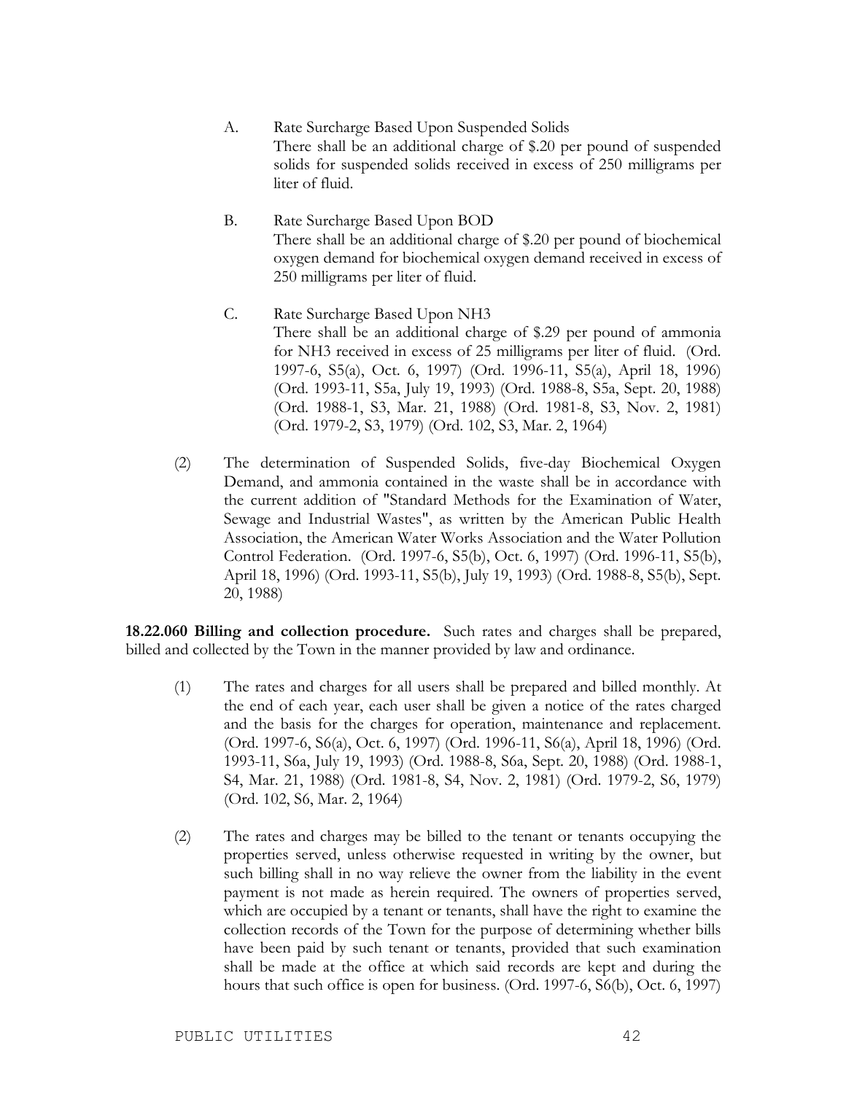- A. Rate Surcharge Based Upon Suspended Solids There shall be an additional charge of \$.20 per pound of suspended solids for suspended solids received in excess of 250 milligrams per liter of fluid.
- B. Rate Surcharge Based Upon BOD There shall be an additional charge of \$.20 per pound of biochemical oxygen demand for biochemical oxygen demand received in excess of 250 milligrams per liter of fluid.
- C. Rate Surcharge Based Upon NH3 There shall be an additional charge of \$.29 per pound of ammonia for NH3 received in excess of 25 milligrams per liter of fluid. (Ord. 1997-6, S5(a), Oct. 6, 1997) (Ord. 1996-11, S5(a), April 18, 1996) (Ord. 1993-11, S5a, July 19, 1993) (Ord. 1988-8, S5a, Sept. 20, 1988) (Ord. 1988-1, S3, Mar. 21, 1988) (Ord. 1981-8, S3, Nov. 2, 1981) (Ord. 1979-2, S3, 1979) (Ord. 102, S3, Mar. 2, 1964)
- (2) The determination of Suspended Solids, five-day Biochemical Oxygen Demand, and ammonia contained in the waste shall be in accordance with the current addition of "Standard Methods for the Examination of Water, Sewage and Industrial Wastes", as written by the American Public Health Association, the American Water Works Association and the Water Pollution Control Federation. (Ord. 1997-6, S5(b), Oct. 6, 1997) (Ord. 1996-11, S5(b), April 18, 1996) (Ord. 1993-11, S5(b), July 19, 1993) (Ord. 1988-8, S5(b), Sept. 20, 1988)

**18.22.060 Billing and collection procedure.** Such rates and charges shall be prepared, billed and collected by the Town in the manner provided by law and ordinance.

- (1) The rates and charges for all users shall be prepared and billed monthly. At the end of each year, each user shall be given a notice of the rates charged and the basis for the charges for operation, maintenance and replacement. (Ord. 1997-6, S6(a), Oct. 6, 1997) (Ord. 1996-11, S6(a), April 18, 1996) (Ord. 1993-11, S6a, July 19, 1993) (Ord. 1988-8, S6a, Sept. 20, 1988) (Ord. 1988-1, S4, Mar. 21, 1988) (Ord. 1981-8, S4, Nov. 2, 1981) (Ord. 1979-2, S6, 1979) (Ord. 102, S6, Mar. 2, 1964)
- (2) The rates and charges may be billed to the tenant or tenants occupying the properties served, unless otherwise requested in writing by the owner, but such billing shall in no way relieve the owner from the liability in the event payment is not made as herein required. The owners of properties served, which are occupied by a tenant or tenants, shall have the right to examine the collection records of the Town for the purpose of determining whether bills have been paid by such tenant or tenants, provided that such examination shall be made at the office at which said records are kept and during the hours that such office is open for business. (Ord. 1997-6, S6(b), Oct. 6, 1997)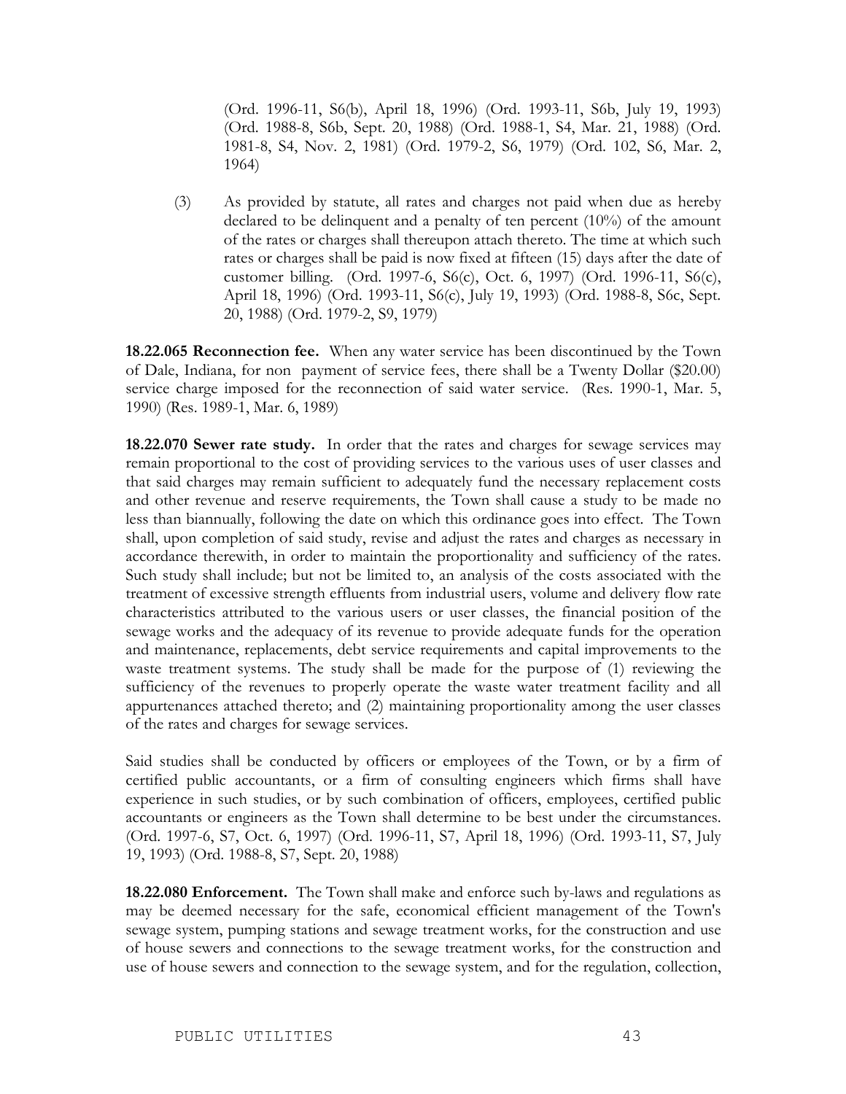(Ord. 1996-11, S6(b), April 18, 1996) (Ord. 1993-11, S6b, July 19, 1993) (Ord. 1988-8, S6b, Sept. 20, 1988) (Ord. 1988-1, S4, Mar. 21, 1988) (Ord. 1981-8, S4, Nov. 2, 1981) (Ord. 1979-2, S6, 1979) (Ord. 102, S6, Mar. 2, 1964)

(3) As provided by statute, all rates and charges not paid when due as hereby declared to be delinquent and a penalty of ten percent (10%) of the amount of the rates or charges shall thereupon attach thereto. The time at which such rates or charges shall be paid is now fixed at fifteen (15) days after the date of customer billing. (Ord. 1997-6, S6(c), Oct. 6, 1997) (Ord. 1996-11, S6(c), April 18, 1996) (Ord. 1993-11, S6(c), July 19, 1993) (Ord. 1988-8, S6c, Sept. 20, 1988) (Ord. 1979-2, S9, 1979)

**18.22.065 Reconnection fee.** When any water service has been discontinued by the Town of Dale, Indiana, for non payment of service fees, there shall be a Twenty Dollar (\$20.00) service charge imposed for the reconnection of said water service. (Res. 1990-1, Mar. 5, 1990) (Res. 1989-1, Mar. 6, 1989)

**18.22.070 Sewer rate study.** In order that the rates and charges for sewage services may remain proportional to the cost of providing services to the various uses of user classes and that said charges may remain sufficient to adequately fund the necessary replacement costs and other revenue and reserve requirements, the Town shall cause a study to be made no less than biannually, following the date on which this ordinance goes into effect. The Town shall, upon completion of said study, revise and adjust the rates and charges as necessary in accordance therewith, in order to maintain the proportionality and sufficiency of the rates. Such study shall include; but not be limited to, an analysis of the costs associated with the treatment of excessive strength effluents from industrial users, volume and delivery flow rate characteristics attributed to the various users or user classes, the financial position of the sewage works and the adequacy of its revenue to provide adequate funds for the operation and maintenance, replacements, debt service requirements and capital improvements to the waste treatment systems. The study shall be made for the purpose of (1) reviewing the sufficiency of the revenues to properly operate the waste water treatment facility and all appurtenances attached thereto; and (2) maintaining proportionality among the user classes of the rates and charges for sewage services.

Said studies shall be conducted by officers or employees of the Town, or by a firm of certified public accountants, or a firm of consulting engineers which firms shall have experience in such studies, or by such combination of officers, employees, certified public accountants or engineers as the Town shall determine to be best under the circumstances. (Ord. 1997-6, S7, Oct. 6, 1997) (Ord. 1996-11, S7, April 18, 1996) (Ord. 1993-11, S7, July 19, 1993) (Ord. 1988-8, S7, Sept. 20, 1988)

**18.22.080 Enforcement.** The Town shall make and enforce such by-laws and regulations as may be deemed necessary for the safe, economical efficient management of the Town's sewage system, pumping stations and sewage treatment works, for the construction and use of house sewers and connections to the sewage treatment works, for the construction and use of house sewers and connection to the sewage system, and for the regulation, collection,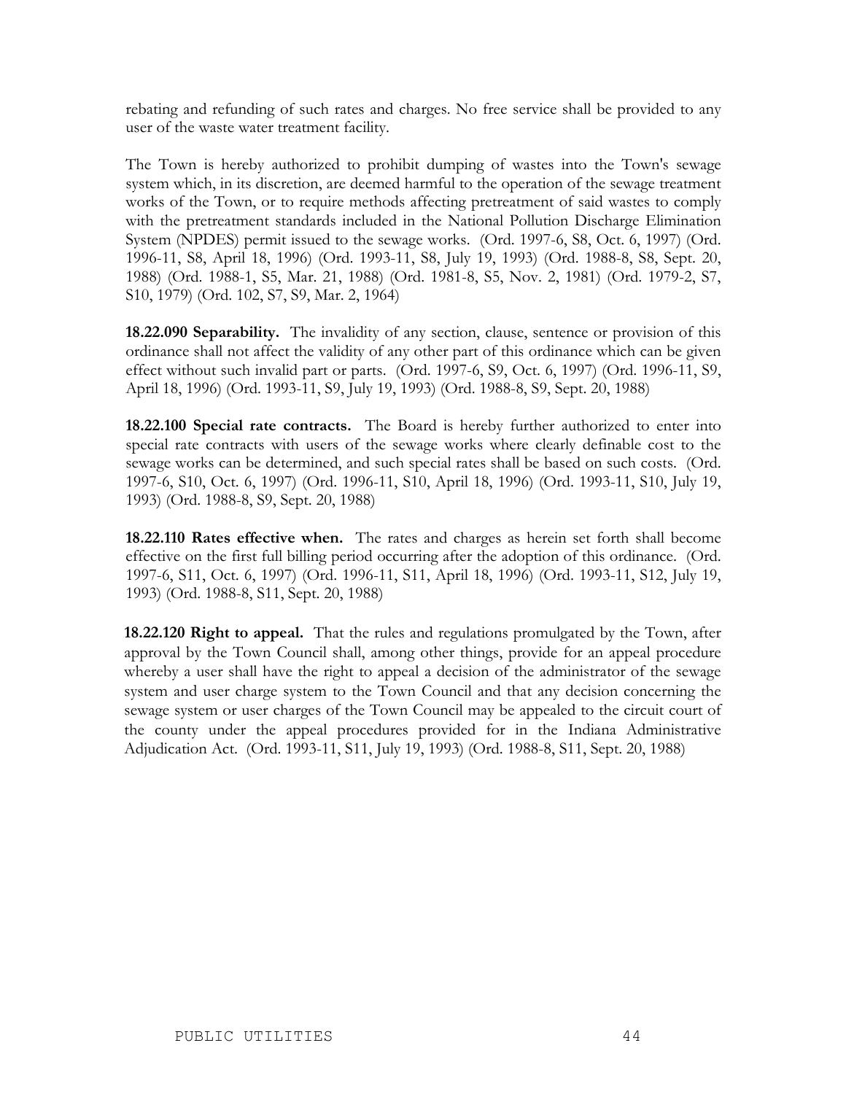rebating and refunding of such rates and charges. No free service shall be provided to any user of the waste water treatment facility.

The Town is hereby authorized to prohibit dumping of wastes into the Town's sewage system which, in its discretion, are deemed harmful to the operation of the sewage treatment works of the Town, or to require methods affecting pretreatment of said wastes to comply with the pretreatment standards included in the National Pollution Discharge Elimination System (NPDES) permit issued to the sewage works. (Ord. 1997-6, S8, Oct. 6, 1997) (Ord. 1996-11, S8, April 18, 1996) (Ord. 1993-11, S8, July 19, 1993) (Ord. 1988-8, S8, Sept. 20, 1988) (Ord. 1988-1, S5, Mar. 21, 1988) (Ord. 1981-8, S5, Nov. 2, 1981) (Ord. 1979-2, S7, S10, 1979) (Ord. 102, S7, S9, Mar. 2, 1964)

**18.22.090 Separability.** The invalidity of any section, clause, sentence or provision of this ordinance shall not affect the validity of any other part of this ordinance which can be given effect without such invalid part or parts. (Ord. 1997-6, S9, Oct. 6, 1997) (Ord. 1996-11, S9, April 18, 1996) (Ord. 1993-11, S9, July 19, 1993) (Ord. 1988-8, S9, Sept. 20, 1988)

**18.22.100 Special rate contracts.** The Board is hereby further authorized to enter into special rate contracts with users of the sewage works where clearly definable cost to the sewage works can be determined, and such special rates shall be based on such costs. (Ord. 1997-6, S10, Oct. 6, 1997) (Ord. 1996-11, S10, April 18, 1996) (Ord. 1993-11, S10, July 19, 1993) (Ord. 1988-8, S9, Sept. 20, 1988)

**18.22.110 Rates effective when.** The rates and charges as herein set forth shall become effective on the first full billing period occurring after the adoption of this ordinance. (Ord. 1997-6, S11, Oct. 6, 1997) (Ord. 1996-11, S11, April 18, 1996) (Ord. 1993-11, S12, July 19, 1993) (Ord. 1988-8, S11, Sept. 20, 1988)

**18.22.120 Right to appeal.** That the rules and regulations promulgated by the Town, after approval by the Town Council shall, among other things, provide for an appeal procedure whereby a user shall have the right to appeal a decision of the administrator of the sewage system and user charge system to the Town Council and that any decision concerning the sewage system or user charges of the Town Council may be appealed to the circuit court of the county under the appeal procedures provided for in the Indiana Administrative Adjudication Act. (Ord. 1993-11, S11, July 19, 1993) (Ord. 1988-8, S11, Sept. 20, 1988)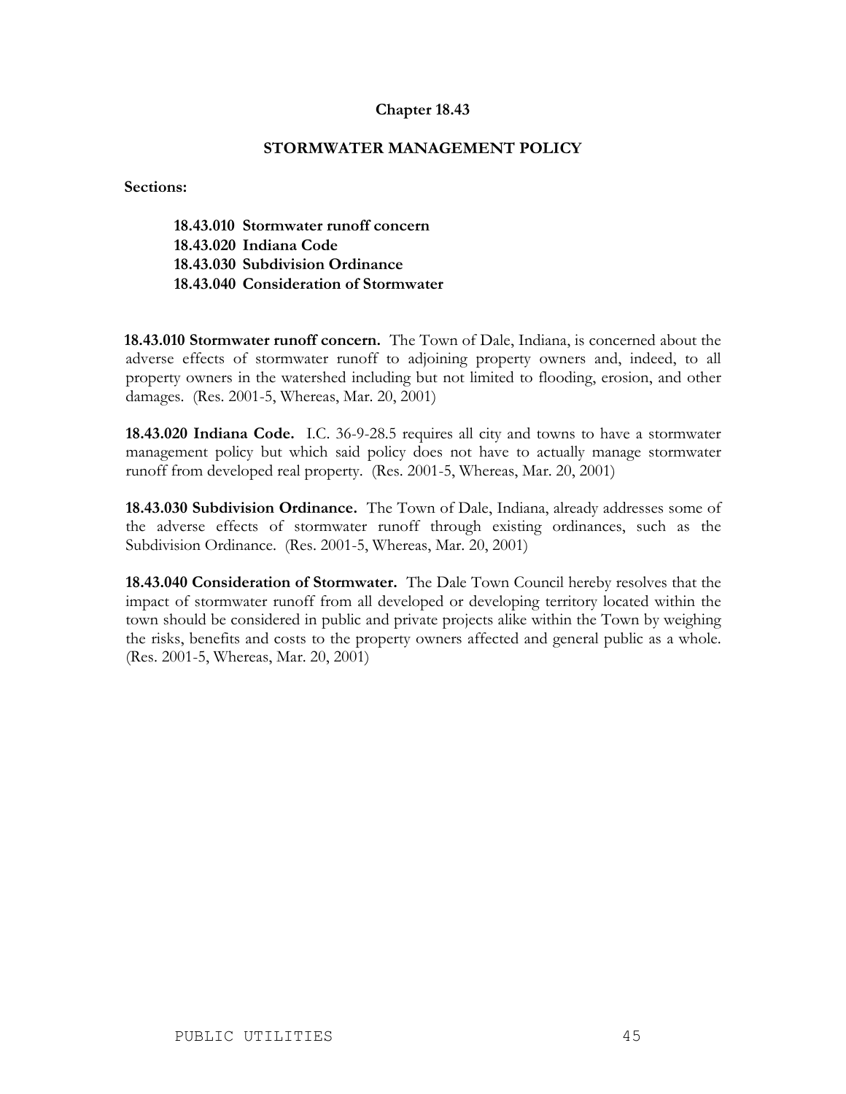#### **Chapter 18.43**

#### **STORMWATER MANAGEMENT POLICY**

**Sections:**

**18.43.010 Stormwater runoff concern 18.43.020 Indiana Code 18.43.030 Subdivision Ordinance 18.43.040 Consideration of Stormwater**

**18.43.010 Stormwater runoff concern.** The Town of Dale, Indiana, is concerned about the adverse effects of stormwater runoff to adjoining property owners and, indeed, to all property owners in the watershed including but not limited to flooding, erosion, and other damages. (Res. 2001-5, Whereas, Mar. 20, 2001)

**18.43.020 Indiana Code.** I.C. 36-9-28.5 requires all city and towns to have a stormwater management policy but which said policy does not have to actually manage stormwater runoff from developed real property. (Res. 2001-5, Whereas, Mar. 20, 2001)

**18.43.030 Subdivision Ordinance.** The Town of Dale, Indiana, already addresses some of the adverse effects of stormwater runoff through existing ordinances, such as the Subdivision Ordinance. (Res. 2001-5, Whereas, Mar. 20, 2001)

**18.43.040 Consideration of Stormwater.** The Dale Town Council hereby resolves that the impact of stormwater runoff from all developed or developing territory located within the town should be considered in public and private projects alike within the Town by weighing the risks, benefits and costs to the property owners affected and general public as a whole. (Res. 2001-5, Whereas, Mar. 20, 2001)